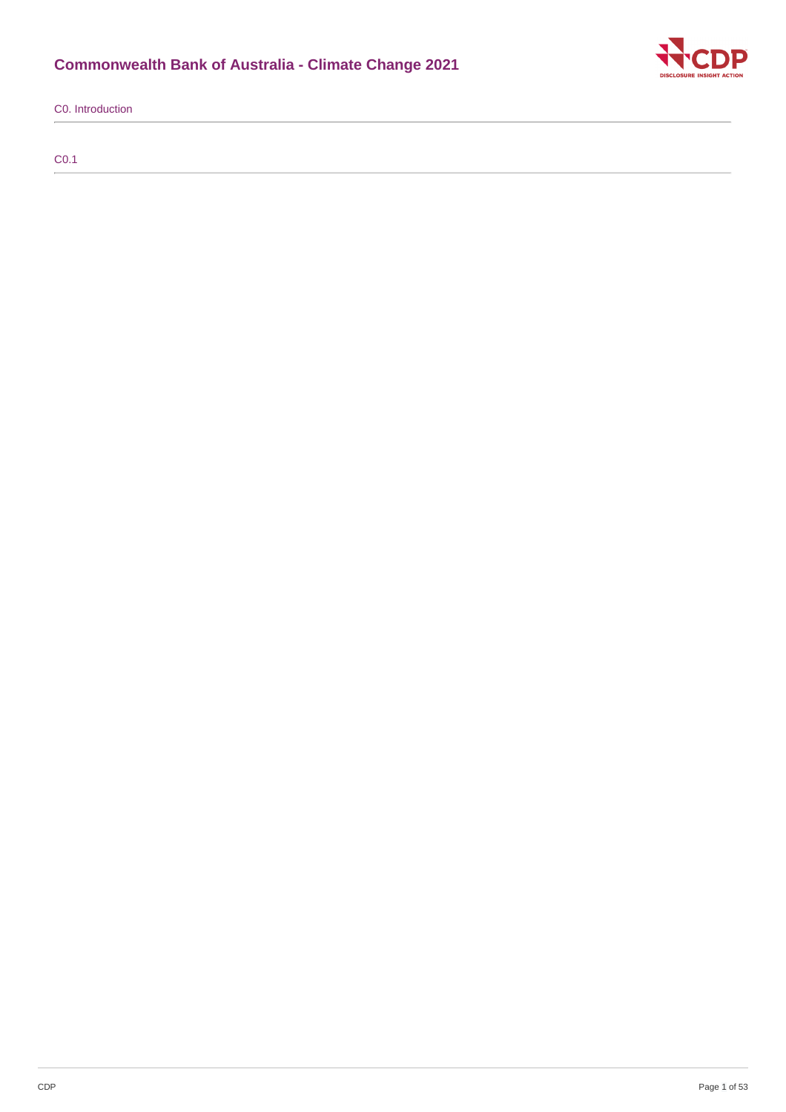# **Commonwealth Bank of Australia - Climate Change 2021**



C0. Introduction

C0.1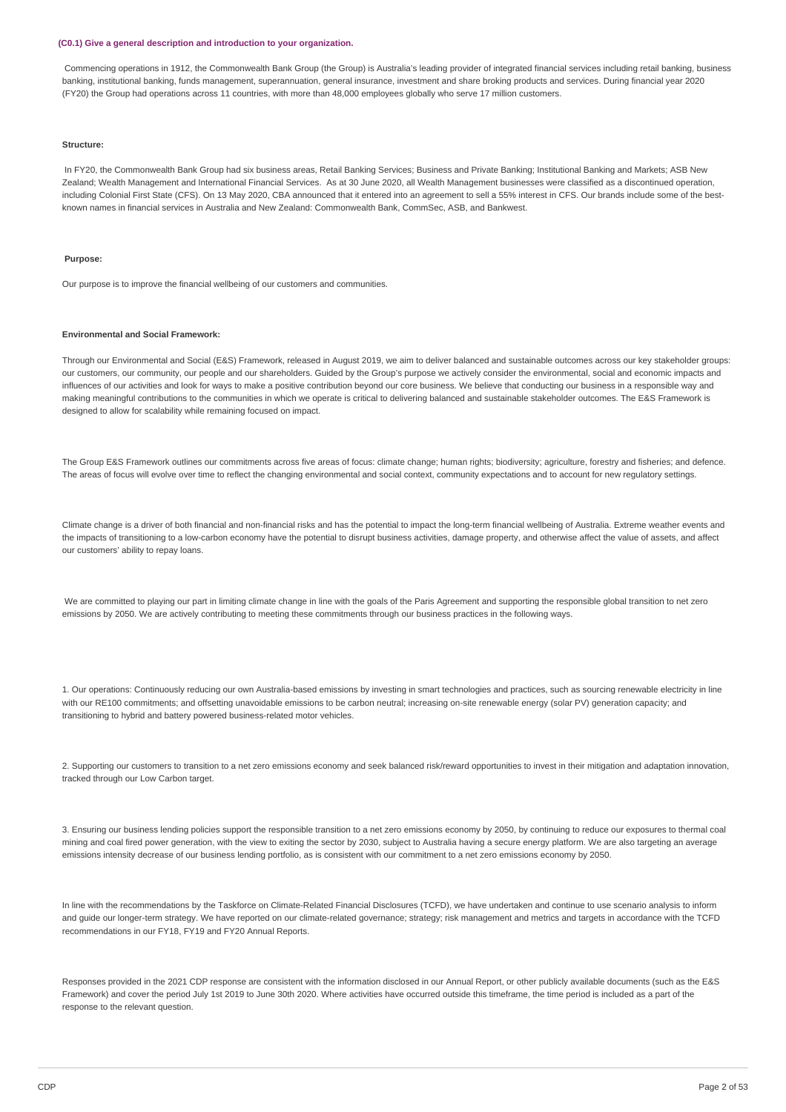#### **(C0.1) Give a general description and introduction to your organization.**

Commencing operations in 1912, the Commonwealth Bank Group (the Group) is Australia's leading provider of integrated financial services including retail banking, business banking, institutional banking, funds management, superannuation, general insurance, investment and share broking products and services. During financial year 2020 (FY20) the Group had operations across 11 countries, with more than 48,000 employees globally who serve 17 million customers.

#### **Structure:**

In FY20, the Commonwealth Bank Group had six business areas, Retail Banking Services; Business and Private Banking; Institutional Banking and Markets; ASB New Zealand; Wealth Management and International Financial Services. As at 30 June 2020, all Wealth Management businesses were classified as a discontinued operation, including Colonial First State (CFS). On 13 May 2020, CBA announced that it entered into an agreement to sell a 55% interest in CFS. Our brands include some of the bestknown names in financial services in Australia and New Zealand: Commonwealth Bank, CommSec, ASB, and Bankwest.

#### **Purpose:**

Our purpose is to improve the financial wellbeing of our customers and communities.

#### **Environmental and Social Framework:**

Through our Environmental and Social (E&S) Framework, released in August 2019, we aim to deliver balanced and sustainable outcomes across our key stakeholder groups: our customers, our community, our people and our shareholders. Guided by the Group's purpose we actively consider the environmental, social and economic impacts and influences of our activities and look for ways to make a positive contribution beyond our core business. We believe that conducting our business in a responsible way and making meaningful contributions to the communities in which we operate is critical to delivering balanced and sustainable stakeholder outcomes. The E&S Framework is designed to allow for scalability while remaining focused on impact.

The Group E&S Framework outlines our commitments across five areas of focus: climate change; human rights; biodiversity; agriculture, forestry and fisheries; and defence. The areas of focus will evolve over time to reflect the changing environmental and social context, community expectations and to account for new regulatory settings.

Climate change is a driver of both financial and non-financial risks and has the potential to impact the long-term financial wellbeing of Australia. Extreme weather events and the impacts of transitioning to a low-carbon economy have the potential to disrupt business activities, damage property, and otherwise affect the value of assets, and affect our customers' ability to repay loans.

We are committed to playing our part in limiting climate change in line with the goals of the Paris Agreement and supporting the responsible global transition to net zero emissions by 2050. We are actively contributing to meeting these commitments through our business practices in the following ways.

1. Our operations: Continuously reducing our own Australia-based emissions by investing in smart technologies and practices, such as sourcing renewable electricity in line with our RE100 commitments; and offsetting unavoidable emissions to be carbon neutral; increasing on-site renewable energy (solar PV) generation capacity; and transitioning to hybrid and battery powered business-related motor vehicles.

2. Supporting our customers to transition to a net zero emissions economy and seek balanced risk/reward opportunities to invest in their mitigation and adaptation innovation, tracked through our Low Carbon target.

3. Ensuring our business lending policies support the responsible transition to a net zero emissions economy by 2050, by continuing to reduce our exposures to thermal coal mining and coal fired power generation, with the view to exiting the sector by 2030, subject to Australia having a secure energy platform. We are also targeting an average emissions intensity decrease of our business lending portfolio, as is consistent with our commitment to a net zero emissions economy by 2050.

In line with the recommendations by the Taskforce on Climate-Related Financial Disclosures (TCFD), we have undertaken and continue to use scenario analysis to inform and guide our longer-term strategy. We have reported on our climate-related governance; strategy; risk management and metrics and targets in accordance with the TCFD recommendations in our FY18, FY19 and FY20 Annual Reports.

Responses provided in the 2021 CDP response are consistent with the information disclosed in our Annual Report, or other publicly available documents (such as the E&S Framework) and cover the period July 1st 2019 to June 30th 2020. Where activities have occurred outside this timeframe, the time period is included as a part of the response to the relevant question.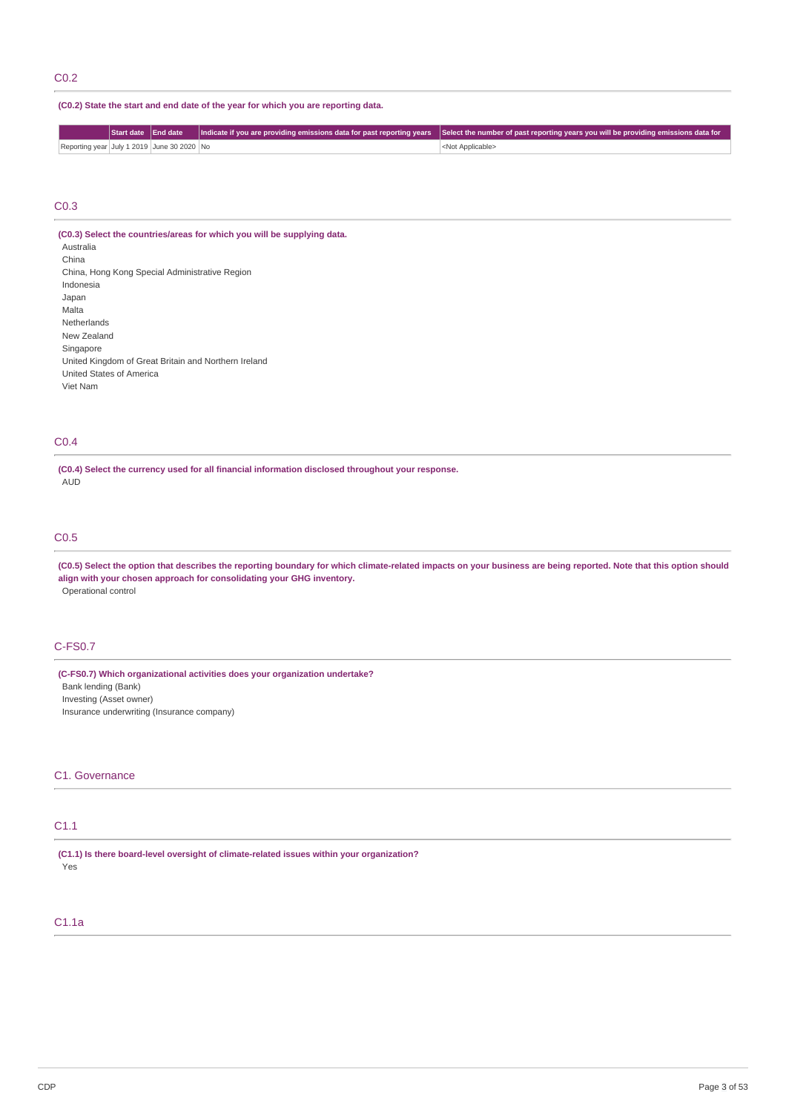# C0.2

## **(C0.2) State the start and end date of the year for which you are reporting data.**

|                                            |  | Start date End date Indicate if you are providing emissions data for past reporting years Select the number of past reporting years you will be providing emissions data for |
|--------------------------------------------|--|------------------------------------------------------------------------------------------------------------------------------------------------------------------------------|
| Reporting year July 1 2019 June 30 2020 No |  | <not applicable=""></not>                                                                                                                                                    |

#### C0.3

**(C0.3) Select the countries/areas for which you will be supplying data.** Australia China China, Hong Kong Special Administrative Region Indonesia Japan Malta Netherlands New Zealand Singapore United Kingdom of Great Britain and Northern Ireland United States of America Viet Nam

# C0.4

**(C0.4) Select the currency used for all financial information disclosed throughout your response.** AUD

## C0.5

(C0.5) Select the option that describes the reporting boundary for which climate-related impacts on your business are being reported. Note that this option should **align with your chosen approach for consolidating your GHG inventory.** Operational control

# C-FS0.7

**(C-FS0.7) Which organizational activities does your organization undertake?**

Bank lending (Bank) Investing (Asset owner) Insurance underwriting (Insurance company)

# C1. Governance

## C1.1

**(C1.1) Is there board-level oversight of climate-related issues within your organization?** Yes

## C1.1a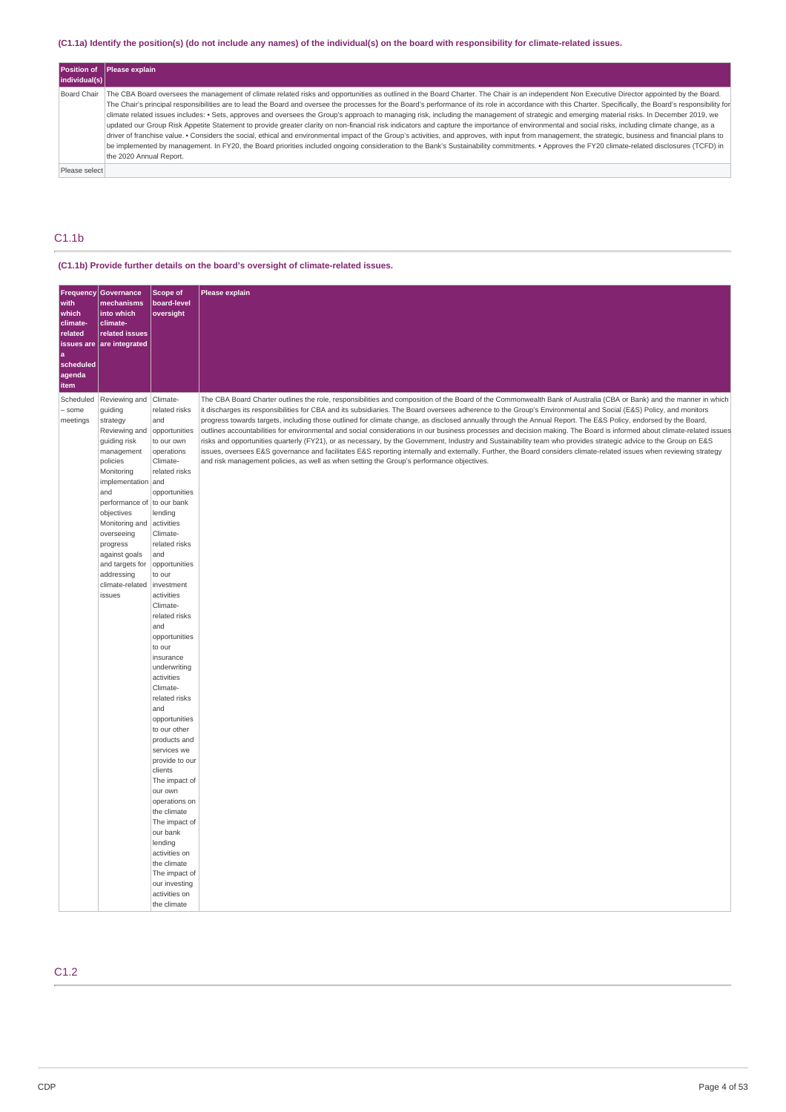# (C1.1a) Identify the position(s) (do not include any names) of the individual(s) on the board with responsibility for climate-related issues.

| individual(s) | Position of Please explain                                                                                                                                                                                                                                                                                                                                                                                                                                                                                                                                                                                                                                                                                                                                                                                                                                                                                                                                                                                                                                                                                                                                                                                                                                   |
|---------------|--------------------------------------------------------------------------------------------------------------------------------------------------------------------------------------------------------------------------------------------------------------------------------------------------------------------------------------------------------------------------------------------------------------------------------------------------------------------------------------------------------------------------------------------------------------------------------------------------------------------------------------------------------------------------------------------------------------------------------------------------------------------------------------------------------------------------------------------------------------------------------------------------------------------------------------------------------------------------------------------------------------------------------------------------------------------------------------------------------------------------------------------------------------------------------------------------------------------------------------------------------------|
| Board Chair   | The CBA Board oversees the management of climate related risks and opportunities as outlined in the Board Charter. The Chair is an independent Non Executive Director appointed by the Board.<br>The Chair's principal responsibilities are to lead the Board and oversee the processes for the Board's performance of its role in accordance with this Charter. Specifically, the Board's responsibility for<br>climate related issues includes: • Sets, approves and oversees the Group's approach to managing risk, including the management of strategic and emerging material risks. In December 2019, we<br>updated our Group Risk Appetite Statement to provide greater clarity on non-financial risk indicators and capture the importance of environmental and social risks, including climate change, as a<br>driver of franchise value. • Considers the social, ethical and environmental impact of the Group's activities, and approves, with input from management, the strategic, business and financial plans to<br>be implemented by management. In FY20, the Board priorities included ongoing consideration to the Bank's Sustainability commitments. . Approves the FY20 climate-related disclosures (TCFD) in<br>the 2020 Annual Report. |
| Please select |                                                                                                                                                                                                                                                                                                                                                                                                                                                                                                                                                                                                                                                                                                                                                                                                                                                                                                                                                                                                                                                                                                                                                                                                                                                              |

# C1.1b

# **(C1.1b) Provide further details on the board's oversight of climate-related issues.**

|                |                                          | Scope of                       |                                                                                                                                                                                                                                                                                                                                          |
|----------------|------------------------------------------|--------------------------------|------------------------------------------------------------------------------------------------------------------------------------------------------------------------------------------------------------------------------------------------------------------------------------------------------------------------------------------|
| with           | Frequency Governance<br>mechanisms       | board-level                    | Please explain                                                                                                                                                                                                                                                                                                                           |
| which          | into which                               | oversight                      |                                                                                                                                                                                                                                                                                                                                          |
| climate-       | climate-                                 |                                |                                                                                                                                                                                                                                                                                                                                          |
| related        | related issues                           |                                |                                                                                                                                                                                                                                                                                                                                          |
| issues are     | are integrated                           |                                |                                                                                                                                                                                                                                                                                                                                          |
| a<br>scheduled |                                          |                                |                                                                                                                                                                                                                                                                                                                                          |
| agenda         |                                          |                                |                                                                                                                                                                                                                                                                                                                                          |
| item           |                                          |                                |                                                                                                                                                                                                                                                                                                                                          |
| Scheduled      | Reviewing and Climate-                   |                                | The CBA Board Charter outlines the role, responsibilities and composition of the Board of the Commonwealth Bank of Australia (CBA or Bank) and the manner in which                                                                                                                                                                       |
| - some         | guiding                                  | related risks                  | it discharges its responsibilities for CBA and its subsidiaries. The Board oversees adherence to the Group's Environmental and Social (E&S) Policy, and monitors                                                                                                                                                                         |
| meetings       | strategy                                 | and                            | progress towards targets, including those outlined for climate change, as disclosed annually through the Annual Report. The E&S Policy, endorsed by the Board,                                                                                                                                                                           |
|                | Reviewing and                            | opportunities                  | outlines accountabilities for environmental and social considerations in our business processes and decision making. The Board is informed about climate-related issues                                                                                                                                                                  |
|                | guiding risk                             | to our own                     | risks and opportunities quarterly (FY21), or as necessary, by the Government, Industry and Sustainability team who provides strategic advice to the Group on E&S<br>issues, oversees E&S governance and facilitates E&S reporting internally and externally. Further, the Board considers climate-related issues when reviewing strategy |
|                | management<br>policies                   | operations<br>Climate-         | and risk management policies, as well as when setting the Group's performance objectives.                                                                                                                                                                                                                                                |
|                | Monitoring                               | related risks                  |                                                                                                                                                                                                                                                                                                                                          |
|                | implementation and                       |                                |                                                                                                                                                                                                                                                                                                                                          |
|                | and                                      | opportunities                  |                                                                                                                                                                                                                                                                                                                                          |
|                | performance of to our bank<br>objectives | lending                        |                                                                                                                                                                                                                                                                                                                                          |
|                | Monitoring and                           | activities                     |                                                                                                                                                                                                                                                                                                                                          |
|                | overseeing                               | Climate-                       |                                                                                                                                                                                                                                                                                                                                          |
|                | progress                                 | related risks                  |                                                                                                                                                                                                                                                                                                                                          |
|                | against goals                            | and                            |                                                                                                                                                                                                                                                                                                                                          |
|                | and targets for                          | opportunities                  |                                                                                                                                                                                                                                                                                                                                          |
|                | addressing<br>climate-related            | to our<br>investment           |                                                                                                                                                                                                                                                                                                                                          |
|                | issues                                   | activities                     |                                                                                                                                                                                                                                                                                                                                          |
|                |                                          | Climate-                       |                                                                                                                                                                                                                                                                                                                                          |
|                |                                          | related risks                  |                                                                                                                                                                                                                                                                                                                                          |
|                |                                          | and                            |                                                                                                                                                                                                                                                                                                                                          |
|                |                                          | opportunities<br>to our        |                                                                                                                                                                                                                                                                                                                                          |
|                |                                          | insurance                      |                                                                                                                                                                                                                                                                                                                                          |
|                |                                          | underwriting                   |                                                                                                                                                                                                                                                                                                                                          |
|                |                                          | activities                     |                                                                                                                                                                                                                                                                                                                                          |
|                |                                          | Climate-<br>related risks      |                                                                                                                                                                                                                                                                                                                                          |
|                |                                          | and                            |                                                                                                                                                                                                                                                                                                                                          |
|                |                                          | opportunities                  |                                                                                                                                                                                                                                                                                                                                          |
|                |                                          | to our other                   |                                                                                                                                                                                                                                                                                                                                          |
|                |                                          | products and                   |                                                                                                                                                                                                                                                                                                                                          |
|                |                                          | services we<br>provide to our  |                                                                                                                                                                                                                                                                                                                                          |
|                |                                          | clients                        |                                                                                                                                                                                                                                                                                                                                          |
|                |                                          | The impact of                  |                                                                                                                                                                                                                                                                                                                                          |
|                |                                          | our own                        |                                                                                                                                                                                                                                                                                                                                          |
|                |                                          | operations on                  |                                                                                                                                                                                                                                                                                                                                          |
|                |                                          | the climate<br>The impact of   |                                                                                                                                                                                                                                                                                                                                          |
|                |                                          | our bank                       |                                                                                                                                                                                                                                                                                                                                          |
|                |                                          | lending                        |                                                                                                                                                                                                                                                                                                                                          |
|                |                                          | activities on                  |                                                                                                                                                                                                                                                                                                                                          |
|                |                                          | the climate                    |                                                                                                                                                                                                                                                                                                                                          |
|                |                                          | The impact of<br>our investing |                                                                                                                                                                                                                                                                                                                                          |
|                |                                          | activities on                  |                                                                                                                                                                                                                                                                                                                                          |
|                |                                          | the climate                    |                                                                                                                                                                                                                                                                                                                                          |

# C1.2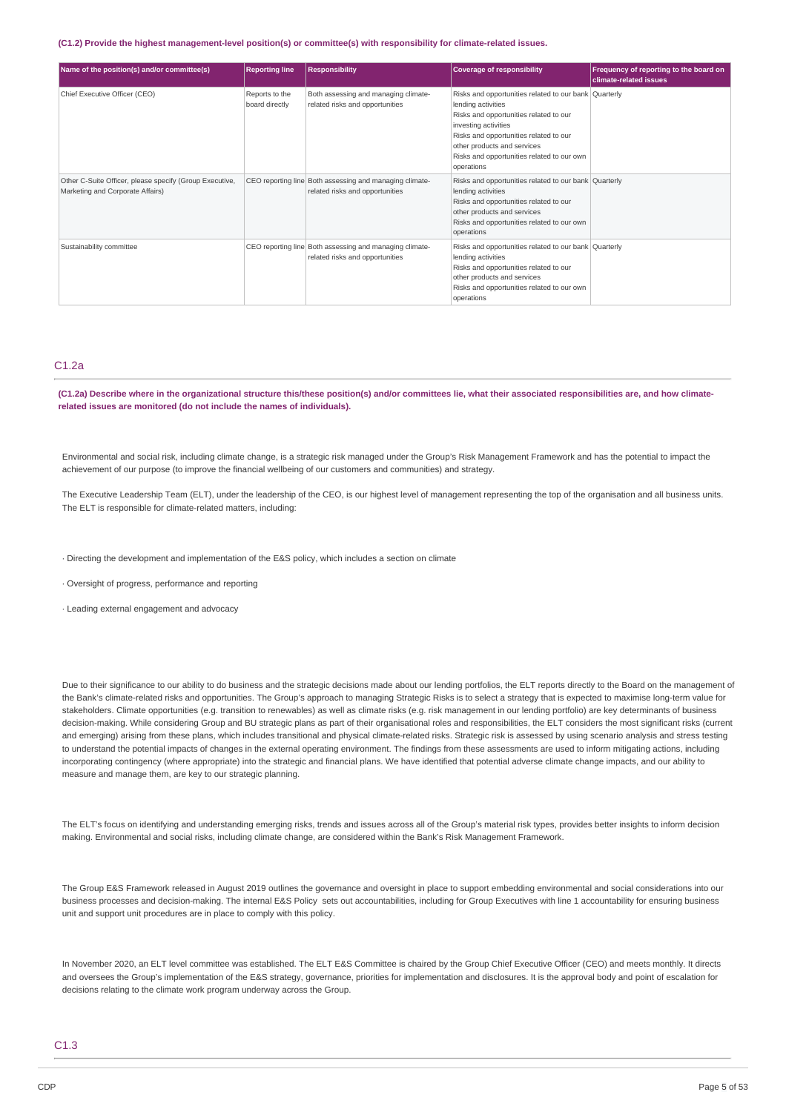#### **(C1.2) Provide the highest management-level position(s) or committee(s) with responsibility for climate-related issues.**

| Name of the position(s) and/or committee(s)                                                 | <b>Reporting line</b>            | <b>Responsibility</b>                                                                      | <b>Coverage of responsibility</b>                                                                                                                                                                                                                                                  | Frequency of reporting to the board on<br>climate-related issues |
|---------------------------------------------------------------------------------------------|----------------------------------|--------------------------------------------------------------------------------------------|------------------------------------------------------------------------------------------------------------------------------------------------------------------------------------------------------------------------------------------------------------------------------------|------------------------------------------------------------------|
| Chief Executive Officer (CEO)                                                               | Reports to the<br>board directly | Both assessing and managing climate-<br>related risks and opportunities                    | Risks and opportunities related to our bank Quarterly<br>lending activities<br>Risks and opportunities related to our<br>investing activities<br>Risks and opportunities related to our<br>other products and services<br>Risks and opportunities related to our own<br>operations |                                                                  |
| Other C-Suite Officer, please specify (Group Executive,<br>Marketing and Corporate Affairs) |                                  | CEO reporting line Both assessing and managing climate-<br>related risks and opportunities | Risks and opportunities related to our bank Quarterly<br>lending activities<br>Risks and opportunities related to our<br>other products and services<br>Risks and opportunities related to our own<br>operations                                                                   |                                                                  |
| Sustainability committee                                                                    |                                  | CEO reporting line Both assessing and managing climate-<br>related risks and opportunities | Risks and opportunities related to our bank Quarterly<br>lending activities<br>Risks and opportunities related to our<br>other products and services<br>Risks and opportunities related to our own<br>operations                                                                   |                                                                  |

#### C1.2a

(C1.2a) Describe where in the organizational structure this/these position(s) and/or committees lie, what their associated responsibilities are, and how climate**related issues are monitored (do not include the names of individuals).**

Environmental and social risk, including climate change, is a strategic risk managed under the Group's Risk Management Framework and has the potential to impact the achievement of our purpose (to improve the financial wellbeing of our customers and communities) and strategy.

The Executive Leadership Team (ELT), under the leadership of the CEO, is our highest level of management representing the top of the organisation and all business units. The ELT is responsible for climate-related matters, including:

· Directing the development and implementation of the E&S policy, which includes a section on climate

· Oversight of progress, performance and reporting

· Leading external engagement and advocacy

Due to their significance to our ability to do business and the strategic decisions made about our lending portfolios, the ELT reports directly to the Board on the management of the Bank's climate-related risks and opportunities. The Group's approach to managing Strategic Risks is to select a strategy that is expected to maximise long-term value for stakeholders. Climate opportunities (e.g. transition to renewables) as well as climate risks (e.g. risk management in our lending portfolio) are key determinants of business decision-making. While considering Group and BU strategic plans as part of their organisational roles and responsibilities, the ELT considers the most significant risks (current and emerging) arising from these plans, which includes transitional and physical climate-related risks. Strategic risk is assessed by using scenario analysis and stress testing to understand the potential impacts of changes in the external operating environment. The findings from these assessments are used to inform mitigating actions, including incorporating contingency (where appropriate) into the strategic and financial plans. We have identified that potential adverse climate change impacts, and our ability to measure and manage them, are key to our strategic planning.

The ELT's focus on identifying and understanding emerging risks, trends and issues across all of the Group's material risk types, provides better insights to inform decision making. Environmental and social risks, including climate change, are considered within the Bank's Risk Management Framework.

The Group E&S Framework released in August 2019 outlines the governance and oversight in place to support embedding environmental and social considerations into our business processes and decision-making. The internal E&S Policy sets out accountabilities, including for Group Executives with line 1 accountability for ensuring business unit and support unit procedures are in place to comply with this policy.

In November 2020, an ELT level committee was established. The ELT E&S Committee is chaired by the Group Chief Executive Officer (CEO) and meets monthly. It directs and oversees the Group's implementation of the E&S strategy, governance, priorities for implementation and disclosures. It is the approval body and point of escalation for decisions relating to the climate work program underway across the Group.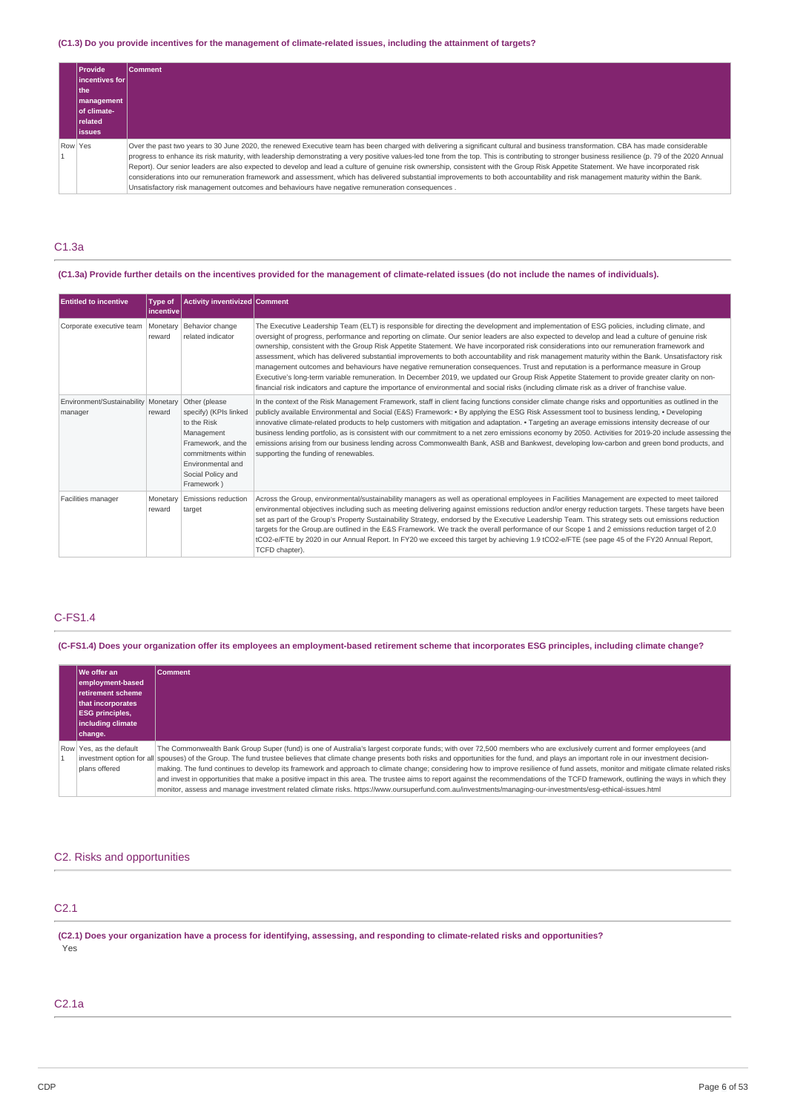## (C1.3) Do you provide incentives for the management of climate-related issues, including the attainment of targets?

| <b>Provide</b><br>lincentives for<br>l the<br><b>Imanagement</b><br>of climate-<br><b>related</b><br>lissues | <b>Comment</b>                                                                                                                                                                                                                                                                                                                                                                                                                                                                                                                                                                                                                                                                                                                                                                                                                                                        |
|--------------------------------------------------------------------------------------------------------------|-----------------------------------------------------------------------------------------------------------------------------------------------------------------------------------------------------------------------------------------------------------------------------------------------------------------------------------------------------------------------------------------------------------------------------------------------------------------------------------------------------------------------------------------------------------------------------------------------------------------------------------------------------------------------------------------------------------------------------------------------------------------------------------------------------------------------------------------------------------------------|
| Row Yes                                                                                                      | Over the past two years to 30 June 2020, the renewed Executive team has been charged with delivering a significant cultural and business transformation. CBA has made considerable<br>progress to enhance its risk maturity, with leadership demonstrating a very positive values-led tone from the top. This is contributing to stronger business resilience (p. 79 of the 2020 Annual<br>Report). Our senior leaders are also expected to develop and lead a culture of genuine risk ownership, consistent with the Group Risk Appetite Statement. We have incorporated risk<br>considerations into our remuneration framework and assessment, which has delivered substantial improvements to both accountability and risk management maturity within the Bank.<br>Unsatisfactory risk management outcomes and behaviours have negative remuneration consequences. |

## C1.3a

## (C1.3a) Provide further details on the incentives provided for the management of climate-related issues (do not include the names of individuals).

| <b>Entitled to incentive</b>                   | Type of<br>l incentive | <b>Activity inventivized Comment</b>                                                                                                                                    |                                                                                                                                                                                                                                                                                                                                                                                                                                                                                                                                                                                                                                                                                                                                                                                                                                                                                                                                                                                                                                             |
|------------------------------------------------|------------------------|-------------------------------------------------------------------------------------------------------------------------------------------------------------------------|---------------------------------------------------------------------------------------------------------------------------------------------------------------------------------------------------------------------------------------------------------------------------------------------------------------------------------------------------------------------------------------------------------------------------------------------------------------------------------------------------------------------------------------------------------------------------------------------------------------------------------------------------------------------------------------------------------------------------------------------------------------------------------------------------------------------------------------------------------------------------------------------------------------------------------------------------------------------------------------------------------------------------------------------|
| Corporate executive team                       | Monetary<br>reward     | Behavior change<br>related indicator                                                                                                                                    | The Executive Leadership Team (ELT) is responsible for directing the development and implementation of ESG policies, including climate, and<br>oversight of progress, performance and reporting on climate. Our senior leaders are also expected to develop and lead a culture of genuine risk<br>ownership, consistent with the Group Risk Appetite Statement. We have incorporated risk considerations into our remuneration framework and<br>assessment, which has delivered substantial improvements to both accountability and risk management maturity within the Bank. Unsatisfactory risk<br>management outcomes and behaviours have negative remuneration conseguences. Trust and reputation is a performance measure in Group<br>Executive's long-term variable remuneration. In December 2019, we updated our Group Risk Appetite Statement to provide greater clarity on non-<br>financial risk indicators and capture the importance of environmental and social risks (including climate risk as a driver of franchise value. |
| Environment/Sustainability Monetary<br>manager | reward                 | Other (please<br>specify) (KPIs linked<br>to the Risk<br>Management<br>Framework, and the<br>commitments within<br>Environmental and<br>Social Policy and<br>Framework) | In the context of the Risk Management Framework, staff in client facing functions consider climate change risks and opportunities as outlined in the<br>publicly available Environmental and Social (E&S) Framework: • By applying the ESG Risk Assessment tool to business lending, • Developing<br>innovative climate-related products to help customers with mitigation and adaptation. • Targeting an average emissions intensity decrease of our<br>business lending portfolio, as is consistent with our commitment to a net zero emissions economy by 2050. Activities for 2019-20 include assessing the<br>emissions arising from our business lending across Commonwealth Bank, ASB and Bankwest, developing low-carbon and green bond products, and<br>supporting the funding of renewables.                                                                                                                                                                                                                                      |
| Facilities manager                             | Monetary<br>reward     | Emissions reduction<br>target                                                                                                                                           | Across the Group, environmental/sustainability managers as well as operational employees in Facilities Management are expected to meet tailored<br>environmental objectives including such as meeting delivering against emissions reduction and/or energy reduction targets. These targets have been<br>set as part of the Group's Property Sustainability Strategy, endorsed by the Executive Leadership Team. This strategy sets out emissions reduction<br>targets for the Group.are outlined in the E&S Framework. We track the overall performance of our Scope 1 and 2 emissions reduction target of 2.0<br>tCO2-e/FTE by 2020 in our Annual Report. In FY20 we exceed this target by achieving 1.9 tCO2-e/FTE (see page 45 of the FY20 Annual Report,<br>TCFD chapter).                                                                                                                                                                                                                                                             |

# C-FS1.4

(C-FS1.4) Does your organization offer its employees an employment-based retirement scheme that incorporates ESG principles, including climate change?

| We offer an<br>employment-based<br>retirement scheme<br><b>Ithat incorporates</b><br><b>ESG principles,</b><br>including climate<br>change. | <b>Comment</b>                                                                                                                                                                                                                                                                                                                                                                                                                                                                                                                                                               |
|---------------------------------------------------------------------------------------------------------------------------------------------|------------------------------------------------------------------------------------------------------------------------------------------------------------------------------------------------------------------------------------------------------------------------------------------------------------------------------------------------------------------------------------------------------------------------------------------------------------------------------------------------------------------------------------------------------------------------------|
| Row Yes, as the default<br>plans offered                                                                                                    | The Commonwealth Bank Group Super (fund) is one of Australia's largest corporate funds; with over 72,500 members who are exclusively current and former employees (and<br>investment option for all spouses) of the Group. The fund trustee believes that climate change presents both risks and opportunities for the fund, and plays an important role in our investment decision-<br>making. The fund continues to develop its framework and approach to climate change; considering how to improve resilience of fund assets, monitor and mitigate climate related risks |
|                                                                                                                                             | and invest in opportunities that make a positive impact in this area. The trustee aims to report against the recommendations of the TCFD framework, outlining the ways in which they<br>monitor, assess and manage investment related climate risks. https://www.oursuperfund.com.au/investments/managing-our-investments/esg-ethical-issues.html                                                                                                                                                                                                                            |

# C2. Risks and opportunities

# C2.1

(C2.1) Does your organization have a process for identifying, assessing, and responding to climate-related risks and opportunities? Yes

## C2.1a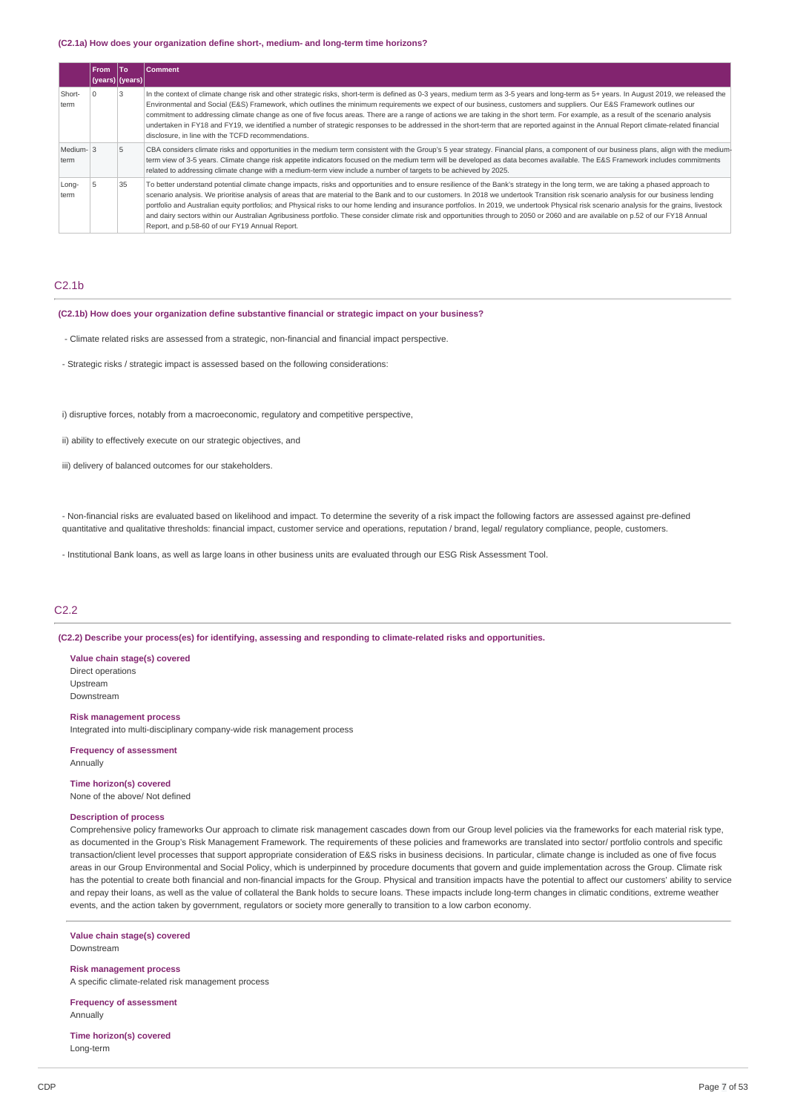#### **(C2.1a) How does your organization define short-, medium- and long-term time horizons?**

|                  | <b>From</b> | lTo               | Comment                                                                                                                                                                                                                                                                                                                                                                                                                                                                                                                                                                                                                                                                                                                                                                                                               |
|------------------|-------------|-------------------|-----------------------------------------------------------------------------------------------------------------------------------------------------------------------------------------------------------------------------------------------------------------------------------------------------------------------------------------------------------------------------------------------------------------------------------------------------------------------------------------------------------------------------------------------------------------------------------------------------------------------------------------------------------------------------------------------------------------------------------------------------------------------------------------------------------------------|
|                  |             | (years)   (years) |                                                                                                                                                                                                                                                                                                                                                                                                                                                                                                                                                                                                                                                                                                                                                                                                                       |
| Short-<br>term   |             |                   | In the context of climate change risk and other strategic risks, short-term is defined as 0-3 years, medium term as 3-5 years and long-term as 5+ years. In August 2019, we released the<br>Environmental and Social (E&S) Framework, which outlines the minimum requirements we expect of our business, customers and suppliers. Our E&S Framework outlines our<br>commitment to addressing climate change as one of five focus areas. There are a range of actions we are taking in the short term. For example, as a result of the scenario analysis<br>undertaken in FY18 and FY19, we identified a number of strategic responses to be addressed in the short-term that are reported against in the Annual Report climate-related financial<br>disclosure, in line with the TCFD recommendations.                |
| Medium-3<br>term |             | 5                 | CBA considers climate risks and opportunities in the medium term consistent with the Group's 5 year strategy. Financial plans, a component of our business plans, align with the medium-<br>term view of 3-5 years. Climate change risk appetite indicators focused on the medium term will be developed as data becomes available. The E&S Framework includes commitments<br>related to addressing climate change with a medium-term view include a number of targets to be achieved by 2025.                                                                                                                                                                                                                                                                                                                        |
| Long-<br>term    |             | 35                | To better understand potential climate change impacts, risks and opportunities and to ensure resilience of the Bank's strategy in the long term, we are taking a phased approach to<br>scenario analysis. We prioritise analysis of areas that are material to the Bank and to our customers. In 2018 we undertook Transition risk scenario analysis for our business lending<br>portfolio and Australian equity portfolios; and Physical risks to our home lending and insurance portfolios. In 2019, we undertook Physical risk scenario analysis for the grains, livestock<br>and dairy sectors within our Australian Agribusiness portfolio. These consider climate risk and opportunities through to 2050 or 2060 and are available on p.52 of our FY18 Annual<br>Report, and p.58-60 of our FY19 Annual Report. |

# $C2.1<sub>b</sub>$

## **(C2.1b) How does your organization define substantive financial or strategic impact on your business?**

- Climate related risks are assessed from a strategic, non-financial and financial impact perspective.
- Strategic risks / strategic impact is assessed based on the following considerations:
- i) disruptive forces, notably from a macroeconomic, regulatory and competitive perspective,
- ii) ability to effectively execute on our strategic objectives, and
- iii) delivery of balanced outcomes for our stakeholders.

- Non-financial risks are evaluated based on likelihood and impact. To determine the severity of a risk impact the following factors are assessed against pre-defined quantitative and qualitative thresholds: financial impact, customer service and operations, reputation / brand, legal/ regulatory compliance, people, customers.

- Institutional Bank loans, as well as large loans in other business units are evaluated through our ESG Risk Assessment Tool.

## C2.2

**(C2.2) Describe your process(es) for identifying, assessing and responding to climate-related risks and opportunities.**

**Value chain stage(s) covered** Direct operations Upstream Downstream

## **Risk management process**

Integrated into multi-disciplinary company-wide risk management process

**Frequency of assessment** Annually

**Time horizon(s) covered** None of the above/ Not defined

#### **Description of process**

Comprehensive policy frameworks Our approach to climate risk management cascades down from our Group level policies via the frameworks for each material risk type, as documented in the Group's Risk Management Framework. The requirements of these policies and frameworks are translated into sector/ portfolio controls and specific transaction/client level processes that support appropriate consideration of E&S risks in business decisions. In particular, climate change is included as one of five focus areas in our Group Environmental and Social Policy, which is underpinned by procedure documents that govern and guide implementation across the Group. Climate risk has the potential to create both financial and non-financial impacts for the Group. Physical and transition impacts have the potential to affect our customers' ability to service and repay their loans, as well as the value of collateral the Bank holds to secure loans. These impacts include long-term changes in climatic conditions, extreme weather events, and the action taken by government, regulators or society more generally to transition to a low carbon economy.

**Value chain stage(s) covered** Downstream

**Risk management process** A specific climate-related risk management process

**Frequency of assessment** Annually

#### **Time horizon(s) covered** Long-term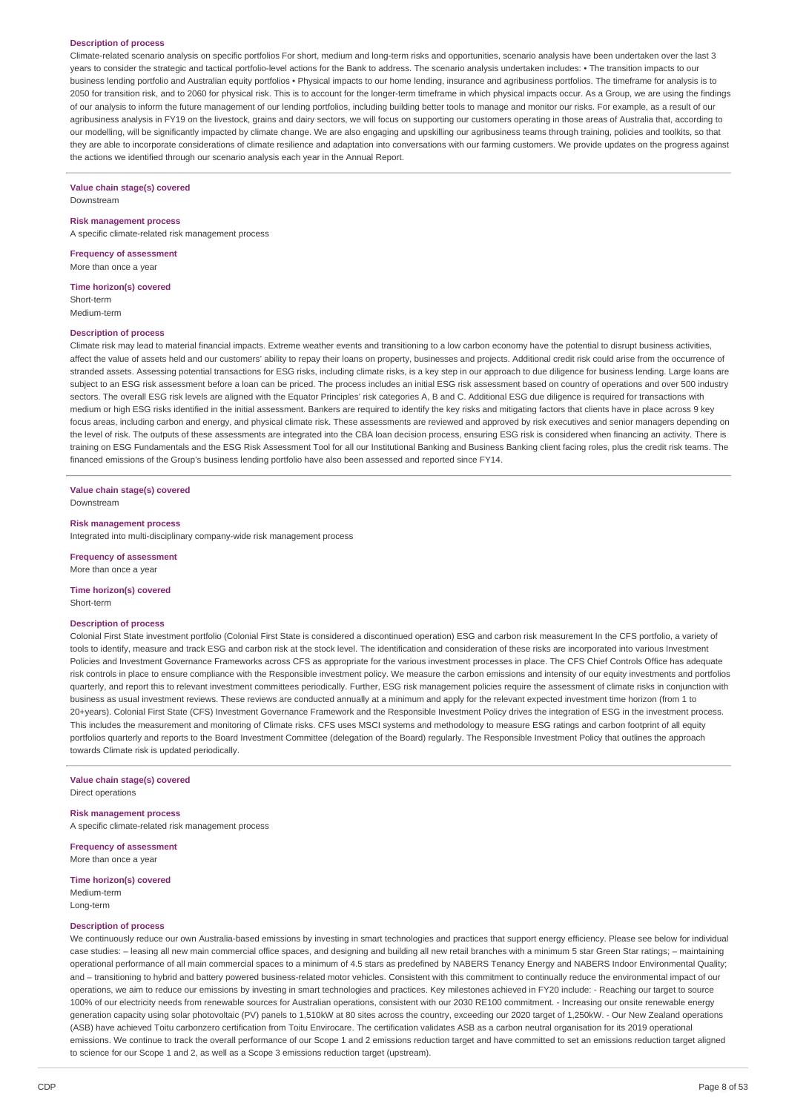#### **Description of process**

Climate-related scenario analysis on specific portfolios For short, medium and long-term risks and opportunities, scenario analysis have been undertaken over the last 3 years to consider the strategic and tactical portfolio-level actions for the Bank to address. The scenario analysis undertaken includes: • The transition impacts to our business lending portfolio and Australian equity portfolios • Physical impacts to our home lending, insurance and agribusiness portfolios. The timeframe for analysis is to 2050 for transition risk, and to 2060 for physical risk. This is to account for the longer-term timeframe in which physical impacts occur. As a Group, we are using the findings of our analysis to inform the future management of our lending portfolios, including building better tools to manage and monitor our risks. For example, as a result of our agribusiness analysis in FY19 on the livestock, grains and dairy sectors, we will focus on supporting our customers operating in those areas of Australia that, according to our modelling, will be significantly impacted by climate change. We are also engaging and upskilling our agribusiness teams through training, policies and toolkits, so that they are able to incorporate considerations of climate resilience and adaptation into conversations with our farming customers. We provide updates on the progress against the actions we identified through our scenario analysis each year in the Annual Report.

# **Value chain stage(s) covered**

Downstream

#### **Risk management process**

A specific climate-related risk management process

**Frequency of assessment** More than once a year

**Time horizon(s) covered** Short-term Medium-term

#### **Description of process**

Climate risk may lead to material financial impacts. Extreme weather events and transitioning to a low carbon economy have the potential to disrupt business activities, affect the value of assets held and our customers' ability to repay their loans on property, businesses and projects. Additional credit risk could arise from the occurrence of stranded assets. Assessing potential transactions for ESG risks, including climate risks, is a key step in our approach to due diligence for business lending. Large loans are subject to an ESG risk assessment before a loan can be priced. The process includes an initial ESG risk assessment based on country of operations and over 500 industry sectors. The overall ESG risk levels are aligned with the Equator Principles' risk categories A, B and C. Additional ESG due diligence is required for transactions with medium or high ESG risks identified in the initial assessment. Bankers are required to identify the key risks and mitigating factors that clients have in place across 9 key focus areas, including carbon and energy, and physical climate risk. These assessments are reviewed and approved by risk executives and senior managers depending on the level of risk. The outputs of these assessments are integrated into the CBA loan decision process, ensuring ESG risk is considered when financing an activity. There is training on ESG Fundamentals and the ESG Risk Assessment Tool for all our Institutional Banking and Business Banking client facing roles, plus the credit risk teams. The financed emissions of the Group's business lending portfolio have also been assessed and reported since FY14.

**Value chain stage(s) covered** Downstream

#### **Risk management process**

Integrated into multi-disciplinary company-wide risk management process

**Frequency of assessment**

More than once a year

#### **Time horizon(s) covered** Short-term

#### **Description of process**

Colonial First State investment portfolio (Colonial First State is considered a discontinued operation) ESG and carbon risk measurement In the CFS portfolio, a variety of tools to identify, measure and track ESG and carbon risk at the stock level. The identification and consideration of these risks are incorporated into various Investment Policies and Investment Governance Frameworks across CFS as appropriate for the various investment processes in place. The CFS Chief Controls Office has adequate risk controls in place to ensure compliance with the Responsible investment policy. We measure the carbon emissions and intensity of our equity investments and portfolios quarterly, and report this to relevant investment committees periodically. Further, ESG risk management policies require the assessment of climate risks in conjunction with business as usual investment reviews. These reviews are conducted annually at a minimum and apply for the relevant expected investment time horizon (from 1 to 20+years). Colonial First State (CFS) Investment Governance Framework and the Responsible Investment Policy drives the integration of ESG in the investment process. This includes the measurement and monitoring of Climate risks. CFS uses MSCI systems and methodology to measure ESG ratings and carbon footprint of all equity portfolios quarterly and reports to the Board Investment Committee (delegation of the Board) regularly. The Responsible Investment Policy that outlines the approach towards Climate risk is updated periodically.

**Value chain stage(s) covered** Direct operations

#### **Risk management process**

A specific climate-related risk management process

**Frequency of assessment** More than once a year

**Time horizon(s) covered**

Medium-term Long-term

#### **Description of process**

We continuously reduce our own Australia-based emissions by investing in smart technologies and practices that support energy efficiency. Please see below for individual case studies: - leasing all new main commercial office spaces, and designing and building all new retail branches with a minimum 5 star Green Star ratings; - maintaining operational performance of all main commercial spaces to a minimum of 4.5 stars as predefined by NABERS Tenancy Energy and NABERS Indoor Environmental Quality; and – transitioning to hybrid and battery powered business-related motor vehicles. Consistent with this commitment to continually reduce the environmental impact of our operations, we aim to reduce our emissions by investing in smart technologies and practices. Key milestones achieved in FY20 include: - Reaching our target to source 100% of our electricity needs from renewable sources for Australian operations, consistent with our 2030 RE100 commitment. - Increasing our onsite renewable energy generation capacity using solar photovoltaic (PV) panels to 1,510kW at 80 sites across the country, exceeding our 2020 target of 1,250kW. - Our New Zealand operations (ASB) have achieved Toitu carbonzero certification from Toitu Envirocare. The certification validates ASB as a carbon neutral organisation for its 2019 operational emissions. We continue to track the overall performance of our Scope 1 and 2 emissions reduction target and have committed to set an emissions reduction target aligned to science for our Scope 1 and 2, as well as a Scope 3 emissions reduction target (upstream).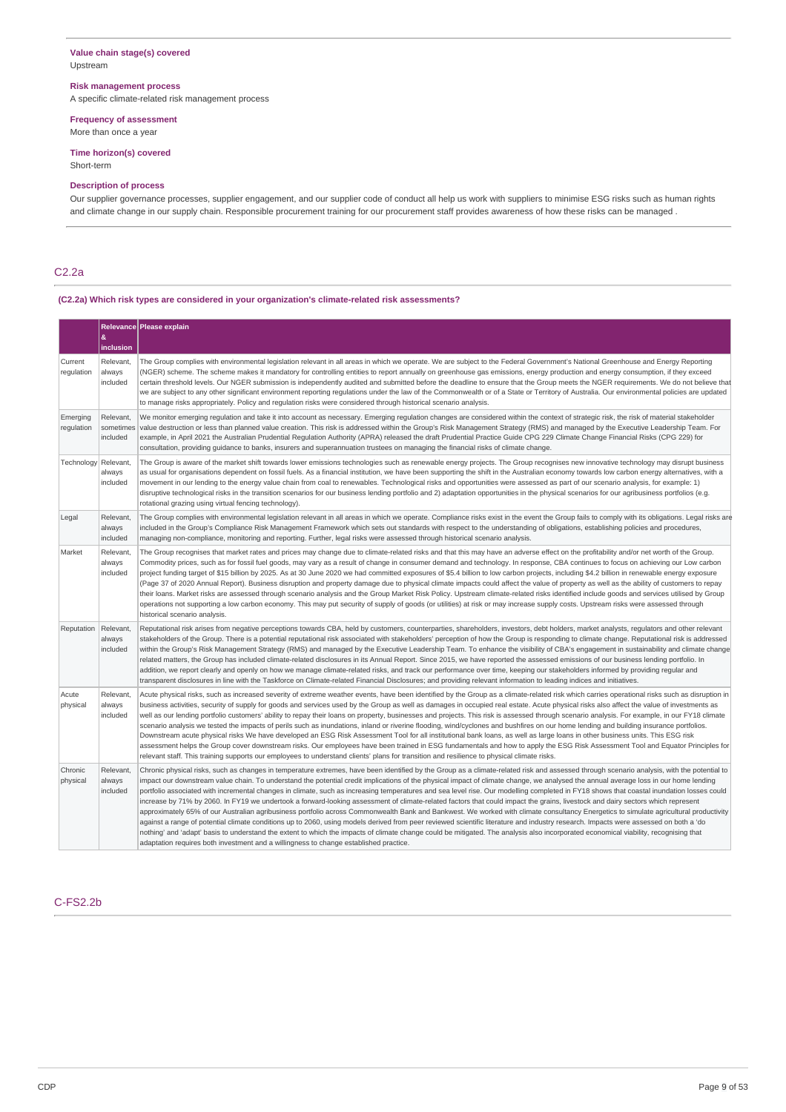## **Value chain stage(s) covered** Upstream

## **Risk management process**

A specific climate-related risk management process

#### **Frequency of assessment**

More than once a year

## **Time horizon(s) covered**

Short-term

## **Description of process**

Our supplier governance processes, supplier engagement, and our supplier code of conduct all help us work with suppliers to minimise ESG risks such as human rights and climate change in our supply chain. Responsible procurement training for our procurement staff provides awareness of how these risks can be managed .

# C2.2a

## **(C2.2a) Which risk types are considered in your organization's climate-related risk assessments?**

|                        | &<br>inclusion                     | Relevance Please explain                                                                                                                                                                                                                                                                                                                                                                                                                                                                                                                                                                                                                                                                                                                                                                                                                                                                                                                                                                                                                                                                                                                                                                                                                                                                                                                                                                                                            |
|------------------------|------------------------------------|-------------------------------------------------------------------------------------------------------------------------------------------------------------------------------------------------------------------------------------------------------------------------------------------------------------------------------------------------------------------------------------------------------------------------------------------------------------------------------------------------------------------------------------------------------------------------------------------------------------------------------------------------------------------------------------------------------------------------------------------------------------------------------------------------------------------------------------------------------------------------------------------------------------------------------------------------------------------------------------------------------------------------------------------------------------------------------------------------------------------------------------------------------------------------------------------------------------------------------------------------------------------------------------------------------------------------------------------------------------------------------------------------------------------------------------|
| Current<br>regulation  | Relevant,<br>always<br>included    | The Group complies with environmental legislation relevant in all areas in which we operate. We are subject to the Federal Government's National Greenhouse and Energy Reporting<br>(NGER) scheme. The scheme makes it mandatory for controlling entities to report annually on greenhouse gas emissions, energy production and energy consumption, if they exceed<br>certain threshold levels. Our NGER submission is independently audited and submitted before the deadline to ensure that the Group meets the NGER requirements. We do not believe that<br>we are subject to any other significant environment reporting regulations under the law of the Commonwealth or of a State or Territory of Australia. Our environmental policies are updated<br>to manage risks appropriately. Policy and regulation risks were considered through historical scenario analysis.                                                                                                                                                                                                                                                                                                                                                                                                                                                                                                                                                      |
| Emerging<br>regulation | Relevant,<br>sometimes<br>included | We monitor emerging regulation and take it into account as necessary. Emerging regulation changes are considered within the context of strategic risk, the risk of material stakeholder<br>value destruction or less than planned value creation. This risk is addressed within the Group's Risk Management Strategy (RMS) and managed by the Executive Leadership Team. For<br>example, in April 2021 the Australian Prudential Regulation Authority (APRA) released the draft Prudential Practice Guide CPG 229 Climate Change Financial Risks (CPG 229) for<br>consultation, providing quidance to banks, insurers and superannuation trustees on managing the financial risks of climate change.                                                                                                                                                                                                                                                                                                                                                                                                                                                                                                                                                                                                                                                                                                                                |
| Technology             | Relevant<br>always<br>included     | The Group is aware of the market shift towards lower emissions technologies such as renewable energy projects. The Group recognises new innovative technology may disrupt business<br>as usual for organisations dependent on fossil fuels. As a financial institution, we have been supporting the shift in the Australian economy towards low carbon energy alternatives, with a<br>movement in our lending to the energy value chain from coal to renewables. Technological risks and opportunities were assessed as part of our scenario analysis, for example: 1)<br>disruptive technological risks in the transition scenarios for our business lending portfolio and 2) adaptation opportunities in the physical scenarios for our agribusiness portfolios (e.g.<br>rotational grazing using virtual fencing technology).                                                                                                                                                                                                                                                                                                                                                                                                                                                                                                                                                                                                    |
| Legal                  | Relevant,<br>always<br>included    | The Group complies with environmental legislation relevant in all areas in which we operate. Compliance risks exist in the event the Group fails to comply with its obligations. Legal risks are<br>included in the Group's Compliance Risk Management Framework which sets out standards with respect to the understanding of obligations, establishing policies and procedures,<br>managing non-compliance, monitoring and reporting. Further, legal risks were assessed through historical scenario analysis.                                                                                                                                                                                                                                                                                                                                                                                                                                                                                                                                                                                                                                                                                                                                                                                                                                                                                                                    |
| Market                 | Relevant.<br>always<br>included    | The Group recognises that market rates and prices may change due to climate-related risks and that this may have an adverse effect on the profitability and/or net worth of the Group.<br>Commodity prices, such as for fossil fuel goods, may vary as a result of change in consumer demand and technology. In response, CBA continues to focus on achieving our Low carbon<br>project funding target of \$15 billion by 2025. As at 30 June 2020 we had committed exposures of \$5.4 billion to low carbon projects, including \$4.2 billion in renewable energy exposure<br>(Page 37 of 2020 Annual Report). Business disruption and property damage due to physical climate impacts could affect the value of property as well as the ability of customers to repay<br>their loans. Market risks are assessed through scenario analysis and the Group Market Risk Policy. Upstream climate-related risks identified include goods and services utilised by Group<br>operations not supporting a low carbon economy. This may put security of supply of goods (or utilities) at risk or may increase supply costs. Upstream risks were assessed through<br>historical scenario analysis.                                                                                                                                                                                                                                         |
| Reputation             | Relevant,<br>always<br>included    | Reputational risk arises from negative perceptions towards CBA, held by customers, counterparties, shareholders, investors, debt holders, market analysts, regulators and other relevant<br>stakeholders of the Group. There is a potential reputational risk associated with stakeholders' perception of how the Group is responding to climate change. Reputational risk is addressed<br>within the Group's Risk Management Strategy (RMS) and managed by the Executive Leadership Team. To enhance the visibility of CBA's engagement in sustainability and climate change<br>related matters, the Group has included climate-related disclosures in its Annual Report. Since 2015, we have reported the assessed emissions of our business lending portfolio. In<br>addition, we report clearly and openly on how we manage climate-related risks, and track our performance over time, keeping our stakeholders informed by providing regular and<br>transparent disclosures in line with the Taskforce on Climate-related Financial Disclosures; and providing relevant information to leading indices and initiatives.                                                                                                                                                                                                                                                                                                       |
| Acute<br>physical      | Relevant,<br>always<br>included    | Acute physical risks, such as increased severity of extreme weather events, have been identified by the Group as a climate-related risk which carries operational risks such as disruption in<br>business activities, security of supply for goods and services used by the Group as well as damages in occupied real estate. Acute physical risks also affect the value of investments as<br>well as our lending portfolio customers' ability to repay their loans on property, businesses and projects. This risk is assessed through scenario analysis. For example, in our FY18 climate<br>scenario analysis we tested the impacts of perils such as inundations, inland or riverine flooding, wind/cyclones and bushfires on our home lending and building insurance portfolios.<br>Downstream acute physical risks We have developed an ESG Risk Assessment Tool for all institutional bank loans, as well as large loans in other business units. This ESG risk<br>assessment helps the Group cover downstream risks. Our employees have been trained in ESG fundamentals and how to apply the ESG Risk Assessment Tool and Equator Principles for<br>relevant staff. This training supports our employees to understand clients' plans for transition and resilience to physical climate risks.                                                                                                                             |
| Chronic<br>physical    | Relevant,<br>always<br>included    | Chronic physical risks, such as changes in temperature extremes, have been identified by the Group as a climate-related risk and assessed through scenario analysis, with the potential to<br>impact our downstream value chain. To understand the potential credit implications of the physical impact of climate change, we analysed the annual average loss in our home lending<br>portfolio associated with incremental changes in climate, such as increasing temperatures and sea level rise. Our modelling completed in FY18 shows that coastal inundation losses could<br>increase by 71% by 2060. In FY19 we undertook a forward-looking assessment of climate-related factors that could impact the grains, livestock and dairy sectors which represent<br>approximately 65% of our Australian agribusiness portfolio across Commonwealth Bank and Bankwest. We worked with climate consultancy Energetics to simulate agricultural productivity<br>against a range of potential climate conditions up to 2060, using models derived from peer reviewed scientific literature and industry research. Impacts were assessed on both a 'do<br>nothing' and 'adapt' basis to understand the extent to which the impacts of climate change could be mitigated. The analysis also incorporated economical viability, recognising that<br>adaptation requires both investment and a willingness to change established practice. |

# C-FS2.2b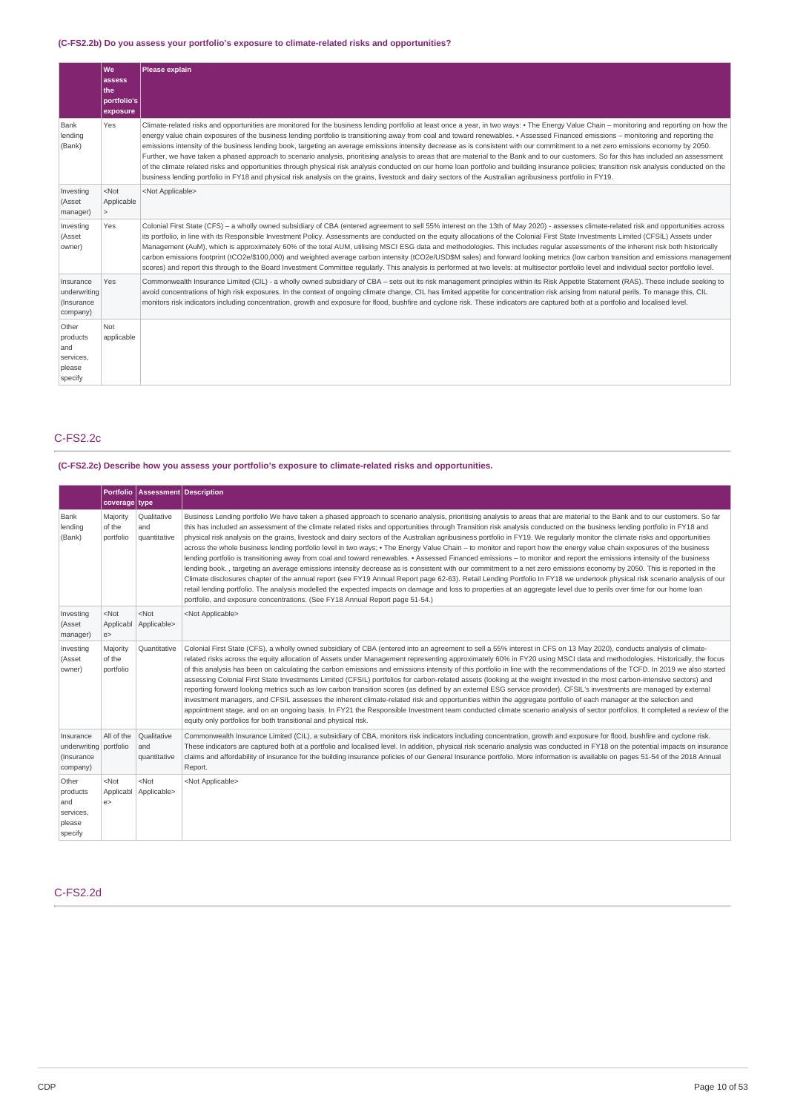# **(C-FS2.2b) Do you assess your portfolio's exposure to climate-related risks and opportunities?**

|                                                            | <b>We</b><br>assess<br>the<br>portfolio's<br>exposure | Please explain                                                                                                                                                                                                                                                                                                                                                                                                                                                                                                                                                                                                                                                                                                                                                                                                                                                                                                                                                                                                                                                                                                                   |
|------------------------------------------------------------|-------------------------------------------------------|----------------------------------------------------------------------------------------------------------------------------------------------------------------------------------------------------------------------------------------------------------------------------------------------------------------------------------------------------------------------------------------------------------------------------------------------------------------------------------------------------------------------------------------------------------------------------------------------------------------------------------------------------------------------------------------------------------------------------------------------------------------------------------------------------------------------------------------------------------------------------------------------------------------------------------------------------------------------------------------------------------------------------------------------------------------------------------------------------------------------------------|
| Bank<br>lending<br>(Bank)                                  | Yes                                                   | Climate-related risks and opportunities are monitored for the business lending portfolio at least once a year, in two ways: • The Energy Value Chain – monitoring and reporting on how the<br>energy value chain exposures of the business lending portfolio is transitioning away from coal and toward renewables. • Assessed Financed emissions – monitoring and reporting the<br>emissions intensity of the business lending book, targeting an average emissions intensity decrease as is consistent with our commitment to a net zero emissions economy by 2050.<br>Further, we have taken a phased approach to scenario analysis, prioritising analysis to areas that are material to the Bank and to our customers. So far this has included an assessment<br>of the climate related risks and opportunities through physical risk analysis conducted on our home loan portfolio and building insurance policies; transition risk analysis conducted on the<br>business lending portfolio in FY18 and physical risk analysis on the grains, livestock and dairy sectors of the Australian agribusiness portfolio in FY19. |
| Investing<br>(Asset<br>manager)                            | $<$ Not<br>Applicable<br>$\geq$                       | <not applicable=""></not>                                                                                                                                                                                                                                                                                                                                                                                                                                                                                                                                                                                                                                                                                                                                                                                                                                                                                                                                                                                                                                                                                                        |
| Investing<br>(Asset<br>owner)                              | Yes                                                   | Colonial First State (CFS) - a wholly owned subsidiary of CBA (entered agreement to sell 55% interest on the 13th of May 2020) - assesses climate-related risk and opportunities across<br>its portfolio, in line with its Responsible Investment Policy. Assessments are conducted on the equity allocations of the Colonial First State Investments Limited (CFSIL) Assets under<br>Management (AuM), which is approximately 60% of the total AUM, utilising MSCI ESG data and methodologies. This includes regular assessments of the inherent risk both historically<br>carbon emissions footprint (tCO2e/\$100,000) and weighted average carbon intensity (tCO2e/USD\$M sales) and forward looking metrics (low carbon transition and emissions management<br>scores) and report this through to the Board Investment Committee regularly. This analysis is performed at two levels: at multisector portfolio level and individual sector portfolio level.                                                                                                                                                                  |
| Insurance<br>underwriting<br>(Insurance<br>company)        | Yes                                                   | Commonwealth Insurance Limited (CIL) - a wholly owned subsidiary of CBA - sets out its risk management principles within its Risk Appetite Statement (RAS). These include seeking to<br>avoid concentrations of high risk exposures. In the context of ongoing climate change, CIL has limited appetite for concentration risk arising from natural perils. To manage this, CIL<br>monitors risk indicators including concentration, growth and exposure for flood, bushfire and cyclone risk. These indicators are captured both at a portfolio and localised level.                                                                                                                                                                                                                                                                                                                                                                                                                                                                                                                                                            |
| Other<br>products<br>and<br>services,<br>please<br>specify | Not<br>applicable                                     |                                                                                                                                                                                                                                                                                                                                                                                                                                                                                                                                                                                                                                                                                                                                                                                                                                                                                                                                                                                                                                                                                                                                  |

## C-FS2.2c

# **(C-FS2.2c) Describe how you assess your portfolio's exposure to climate-related risks and opportunities.**

|                                                               | coverage type                   | Portfolio   Assessment   Description |                                                                                                                                                                                                                                                                                                                                                                                                                                                                                                                                                                                                                                                                                                                                                                                                                                                                                                                                                                                                                                                                                                                                                                                                                                                                                                                                                                                                                                                                                                          |
|---------------------------------------------------------------|---------------------------------|--------------------------------------|----------------------------------------------------------------------------------------------------------------------------------------------------------------------------------------------------------------------------------------------------------------------------------------------------------------------------------------------------------------------------------------------------------------------------------------------------------------------------------------------------------------------------------------------------------------------------------------------------------------------------------------------------------------------------------------------------------------------------------------------------------------------------------------------------------------------------------------------------------------------------------------------------------------------------------------------------------------------------------------------------------------------------------------------------------------------------------------------------------------------------------------------------------------------------------------------------------------------------------------------------------------------------------------------------------------------------------------------------------------------------------------------------------------------------------------------------------------------------------------------------------|
| Bank<br>lending<br>(Bank)                                     | Majority<br>of the<br>portfolio | Qualitative<br>and<br>quantitative   | Business Lending portfolio We have taken a phased approach to scenario analysis, prioritising analysis to areas that are material to the Bank and to our customers. So far<br>this has included an assessment of the climate related risks and opportunities through Transition risk analysis conducted on the business lending portfolio in FY18 and<br>physical risk analysis on the grains, livestock and dairy sectors of the Australian agribusiness portfolio in FY19. We regularly monitor the climate risks and opportunities<br>across the whole business lending portfolio level in two ways; • The Energy Value Chain – to monitor and report how the energy value chain exposures of the business<br>lending portfolio is transitioning away from coal and toward renewables. • Assessed Financed emissions – to monitor and report the emissions intensity of the business<br>lending book., targeting an average emissions intensity decrease as is consistent with our commitment to a net zero emissions economy by 2050. This is reported in the<br>Climate disclosures chapter of the annual report (see FY19 Annual Report page 62-63). Retail Lending Portfolio In FY18 we undertook physical risk scenario analysis of our<br>retail lending portfolio. The analysis modelled the expected impacts on damage and loss to properties at an aggregate level due to perils over time for our home loan<br>portfolio, and exposure concentrations. (See FY18 Annual Report page 51-54.) |
| Investing<br>(Asset<br>manager)                               | $<$ Not<br>Applicabl<br>e       | $<$ Not<br>Applicable>               | <not applicable=""></not>                                                                                                                                                                                                                                                                                                                                                                                                                                                                                                                                                                                                                                                                                                                                                                                                                                                                                                                                                                                                                                                                                                                                                                                                                                                                                                                                                                                                                                                                                |
| Investing<br>(Asset<br>owner)                                 | Majority<br>of the<br>portfolio | Ouantitative                         | Colonial First State (CFS), a wholly owned subsidiary of CBA (entered into an agreement to sell a 55% interest in CFS on 13 May 2020), conducts analysis of climate-<br>related risks across the equity allocation of Assets under Management representing approximately 60% in FY20 using MSCI data and methodologies. Historically, the focus<br>of this analysis has been on calculating the carbon emissions and emissions intensity of this portfolio in line with the recommendations of the TCFD. In 2019 we also started<br>assessing Colonial First State Investments Limited (CFSIL) portfolios for carbon-related assets (looking at the weight invested in the most carbon-intensive sectors) and<br>reporting forward looking metrics such as low carbon transition scores (as defined by an external ESG service provider). CFSIL's investments are managed by external<br>investment managers, and CFSIL assesses the inherent climate-related risk and opportunities within the aggregate portfolio of each manager at the selection and<br>appointment stage, and on an ongoing basis. In FY21 the Responsible Investment team conducted climate scenario analysis of sector portfolios. It completed a review of the<br>equity only portfolios for both transitional and physical risk.                                                                                                                                                                                                |
| Insurance<br>underwriting portfolio<br>(Insurance<br>company) | All of the                      | Qualitative<br>and<br>quantitative   | Commonwealth Insurance Limited (CIL), a subsidiary of CBA, monitors risk indicators including concentration, growth and exposure for flood, bushfire and cyclone risk.<br>These indicators are captured both at a portfolio and localised level. In addition, physical risk scenario analysis was conducted in FY18 on the potential impacts on insurance<br>claims and affordability of insurance for the building insurance policies of our General Insurance portfolio. More information is available on pages 51-54 of the 2018 Annual<br>Report.                                                                                                                                                                                                                                                                                                                                                                                                                                                                                                                                                                                                                                                                                                                                                                                                                                                                                                                                                    |
| Other<br>products<br>and<br>services,<br>please<br>specify    | $<$ Not<br>Applicabl<br>e >     | $<$ Not<br>Applicable>               | <not applicable=""></not>                                                                                                                                                                                                                                                                                                                                                                                                                                                                                                                                                                                                                                                                                                                                                                                                                                                                                                                                                                                                                                                                                                                                                                                                                                                                                                                                                                                                                                                                                |

# C-FS2.2d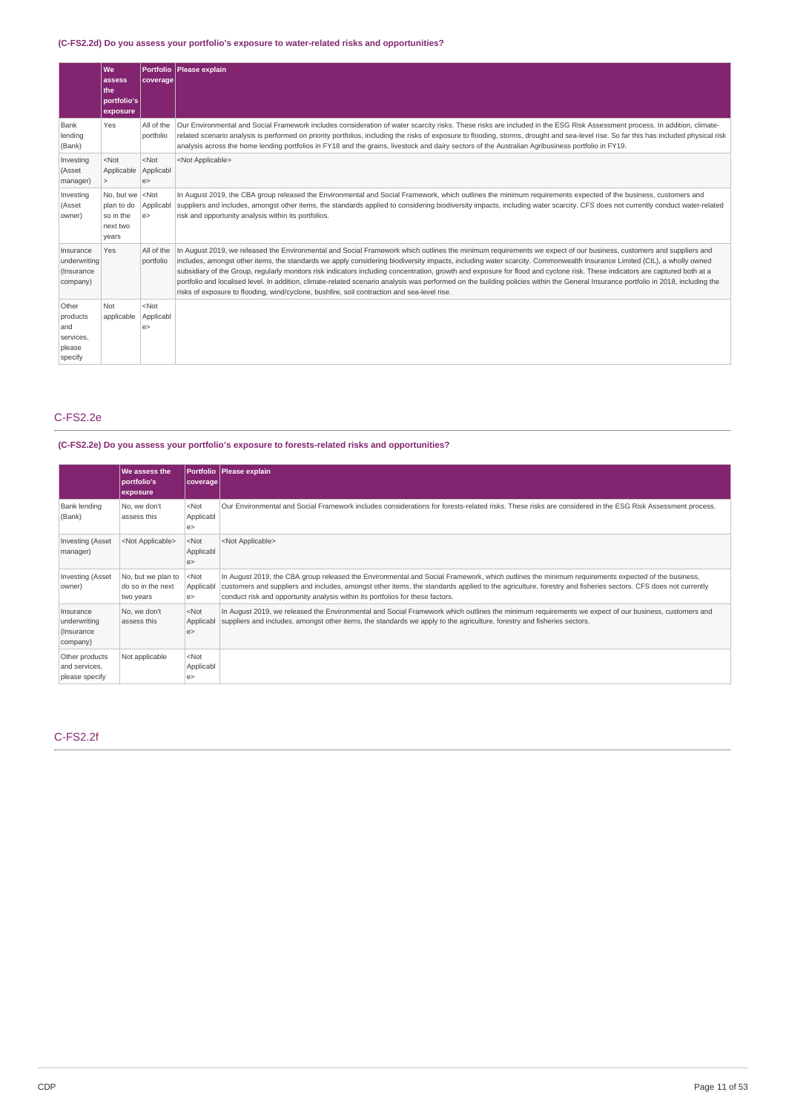## **(C-FS2.2d) Do you assess your portfolio's exposure to water-related risks and opportunities?**

|                                                            | <b>We</b><br>assess<br>the<br>portfolio's<br>exposure      | Portfolio<br><b>coverage</b> | Please explain                                                                                                                                                                                                                                                                                                                                                                                                                                                                                                                                                                                                                                                                                                                                                                                                   |
|------------------------------------------------------------|------------------------------------------------------------|------------------------------|------------------------------------------------------------------------------------------------------------------------------------------------------------------------------------------------------------------------------------------------------------------------------------------------------------------------------------------------------------------------------------------------------------------------------------------------------------------------------------------------------------------------------------------------------------------------------------------------------------------------------------------------------------------------------------------------------------------------------------------------------------------------------------------------------------------|
| Bank<br>lending<br>(Bank)                                  | Yes                                                        | All of the<br>portfolio      | Our Environmental and Social Framework includes consideration of water scarcity risks. These risks are included in the ESG Risk Assessment process. In addition, climate-<br>related scenario analysis is performed on priority portfolios, including the risks of exposure to flooding, storms, drought and sea-level rise. So far this has included physical risk<br>analysis across the home lending portfolios in FY18 and the grains, livestock and dairy sectors of the Australian Agribusiness portfolio in FY19.                                                                                                                                                                                                                                                                                         |
| Investing<br>(Asset<br>manager)                            | $<$ Not<br>Applicable                                      | $<$ Not<br>Applicabl<br>e    | <not applicable=""></not>                                                                                                                                                                                                                                                                                                                                                                                                                                                                                                                                                                                                                                                                                                                                                                                        |
| Investing<br>(Asset<br>owner)                              | No, but we<br>plan to do<br>so in the<br>next two<br>years | $ $ <not<br>e</not<br>       | In August 2019, the CBA group released the Environmental and Social Framework, which outlines the minimum requirements expected of the business, customers and<br>Applicabl suppliers and includes, amongst other items, the standards applied to considering biodiversity impacts, including water scarcity. CFS does not currently conduct water-related<br>risk and opportunity analysis within its portfolios.                                                                                                                                                                                                                                                                                                                                                                                               |
| Insurance<br>underwriting<br>(Insurance<br>company)        | Yes                                                        | All of the<br>portfolio      | In August 2019, we released the Environmental and Social Framework which outlines the minimum requirements we expect of our business, customers and suppliers and<br>includes, amongst other items, the standards we apply considering biodiversity impacts, including water scarcity. Commonwealth Insurance Limited (CIL), a wholly owned<br>subsidiary of the Group, regularly monitors risk indicators including concentration, growth and exposure for flood and cyclone risk. These indicators are captured both at a<br>portfolio and localised level. In addition, climate-related scenario analysis was performed on the building policies within the General Insurance portfolio in 2018, including the<br>risks of exposure to flooding, wind/cyclone, bushfire, soil contraction and sea-level rise. |
| Other<br>products<br>and<br>services,<br>please<br>specify | Not<br>applicable                                          | $<$ Not<br>Applicabl<br>e    |                                                                                                                                                                                                                                                                                                                                                                                                                                                                                                                                                                                                                                                                                                                                                                                                                  |

# C-FS2.2e

## **(C-FS2.2e) Do you assess your portfolio's exposure to forests-related risks and opportunities?**

|                                                      | We assess the<br>portfolio's<br>exposure             | coverage                         | Portfolio   Please explain                                                                                                                                                                                                                                                                                                                                                                        |
|------------------------------------------------------|------------------------------------------------------|----------------------------------|---------------------------------------------------------------------------------------------------------------------------------------------------------------------------------------------------------------------------------------------------------------------------------------------------------------------------------------------------------------------------------------------------|
| <b>Bank lending</b><br>(Bank)                        | No. we don't<br>assess this                          | $<$ Not<br>Applicabl<br>e        | Our Environmental and Social Framework includes considerations for forests-related risks. These risks are considered in the ESG Risk Assessment process.                                                                                                                                                                                                                                          |
| <b>Investing (Asset</b><br>manager)                  | <not applicable=""></not>                            | $<$ Not<br>Applicabl<br>e        | <not applicable=""></not>                                                                                                                                                                                                                                                                                                                                                                         |
| Investing (Asset<br>owner)                           | No, but we plan to<br>do so in the next<br>two years | <not<br>Applicabl<br/>e</not<br> | In August 2019, the CBA group released the Environmental and Social Framework, which outlines the minimum requirements expected of the business,<br>customers and suppliers and includes, amongst other items, the standards applied to the agriculture, forestry and fisheries sectors. CFS does not currently<br>conduct risk and opportunity analysis within its portfolios for these factors. |
| Insurance<br>underwriting<br>(Insurance)<br>company) | No, we don't<br>assess this                          | $<$ Not<br>Applicabl<br>e        | In August 2019, we released the Environmental and Social Framework which outlines the minimum requirements we expect of our business, customers and<br>suppliers and includes, amongst other items, the standards we apply to the agriculture, forestry and fisheries sectors.                                                                                                                    |
| Other products<br>and services,<br>please specify    | Not applicable                                       | $<$ Not<br>Applicabl<br>e >      |                                                                                                                                                                                                                                                                                                                                                                                                   |

# C-FS2.2f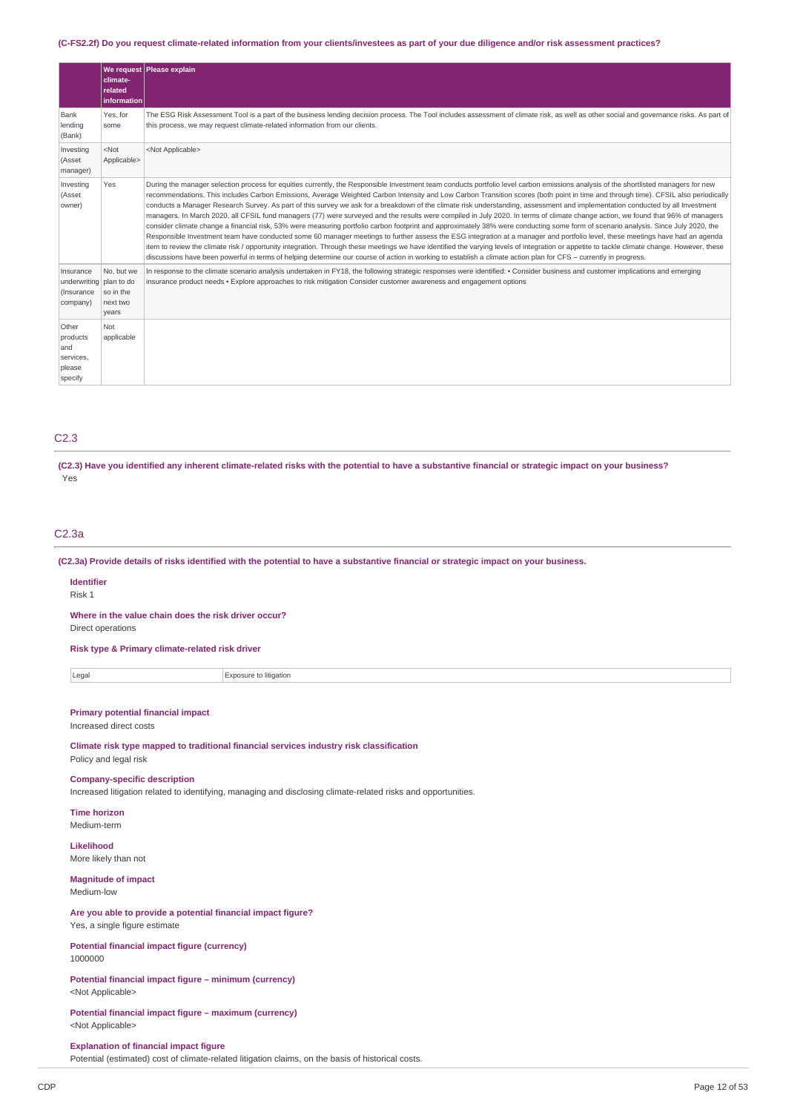## (C-FS2.2f) Do you request climate-related information from your clients/investees as part of your due diligence and/or risk assessment practices?

|                                                                | climate-<br>related<br>information           | We request Please explain                                                                                                                                                                                                                                                                                                                                                                                                                                                                                                                                                                                                                                                                                                                                                                                                                                                                                                                                                                                                                                                                                                                                                                                                                                                                                                                                                                                                                                                                 |
|----------------------------------------------------------------|----------------------------------------------|-------------------------------------------------------------------------------------------------------------------------------------------------------------------------------------------------------------------------------------------------------------------------------------------------------------------------------------------------------------------------------------------------------------------------------------------------------------------------------------------------------------------------------------------------------------------------------------------------------------------------------------------------------------------------------------------------------------------------------------------------------------------------------------------------------------------------------------------------------------------------------------------------------------------------------------------------------------------------------------------------------------------------------------------------------------------------------------------------------------------------------------------------------------------------------------------------------------------------------------------------------------------------------------------------------------------------------------------------------------------------------------------------------------------------------------------------------------------------------------------|
| Bank<br>lending<br>(Bank)                                      | Yes, for<br>some                             | The ESG Risk Assessment Tool is a part of the business lending decision process. The Tool includes assessment of climate risk, as well as other social and governance risks. As part of<br>this process, we may request climate-related information from our clients.                                                                                                                                                                                                                                                                                                                                                                                                                                                                                                                                                                                                                                                                                                                                                                                                                                                                                                                                                                                                                                                                                                                                                                                                                     |
| Investing<br>(Asset<br>manager)                                | $<$ Not<br>Applicable>                       | <not applicable=""></not>                                                                                                                                                                                                                                                                                                                                                                                                                                                                                                                                                                                                                                                                                                                                                                                                                                                                                                                                                                                                                                                                                                                                                                                                                                                                                                                                                                                                                                                                 |
| Investing<br>(Asset<br>owner)                                  | Yes                                          | During the manager selection process for equities currently, the Responsible Investment team conducts portfolio level carbon emissions analysis of the shortlisted managers for new<br>recommendations. This includes Carbon Emissions, Average Weighted Carbon Intensity and Low Carbon Transition scores (both point in time and through time). CFSIL also periodically<br>conducts a Manager Research Survey. As part of this survey we ask for a breakdown of the climate risk understanding, assessment and implementation conducted by all Investment<br>managers. In March 2020, all CFSIL fund managers (77) were surveyed and the results were compiled in July 2020. In terms of climate change action, we found that 96% of managers<br>consider climate change a financial risk, 53% were measuring portfolio carbon footprint and approximately 38% were conducting some form of scenario analysis. Since July 2020, the<br>Responsible Investment team have conducted some 60 manager meetings to further assess the ESG integration at a manager and portfolio level, these meetings have had an agenda<br>item to review the climate risk / opportunity integration. Through these meetings we have identified the varying levels of integration or appetite to tackle climate change. However, these<br>discussions have been powerful in terms of helping determine our course of action in working to establish a climate action plan for CFS - currently in progress. |
| Insurance<br>underwriting plan to do<br>(Insurance<br>company) | No, but we<br>so in the<br>next two<br>years | In response to the climate scenario analysis undertaken in FY18, the following strategic responses were identified: . Consider business and customer implications and emerging<br>insurance product needs • Explore approaches to risk mitigation Consider customer awareness and engagement options                                                                                                                                                                                                                                                                                                                                                                                                                                                                                                                                                                                                                                                                                                                                                                                                                                                                                                                                                                                                                                                                                                                                                                                      |
| Other<br>products<br>and<br>services,<br>please<br>specify     | Not<br>applicable                            |                                                                                                                                                                                                                                                                                                                                                                                                                                                                                                                                                                                                                                                                                                                                                                                                                                                                                                                                                                                                                                                                                                                                                                                                                                                                                                                                                                                                                                                                                           |

## C2.3

(C2.3) Have you identified any inherent climate-related risks with the potential to have a substantive financial or strategic impact on your business? Yes

#### C2.3a

(C2.3a) Provide details of risks identified with the potential to have a substantive financial or strategic impact on your business.

#### **Identifier** Risk 1

**Where in the value chain does the risk driver occur?**

Direct operations

**Risk type & Primary climate-related risk driver**

Legal Exposure to litigation

## **Primary potential financial impact**

Increased direct costs

**Climate risk type mapped to traditional financial services industry risk classification** Policy and legal risk

#### **Company-specific description**

Increased litigation related to identifying, managing and disclosing climate-related risks and opportunities.

**Time horizon** Medium-term

**Likelihood** More likely than not

**Magnitude of impact** Medium-low

**Are you able to provide a potential financial impact figure?** Yes, a single figure estimate

**Potential financial impact figure (currency)** 1000000

**Potential financial impact figure – minimum (currency)** <Not Applicable>

**Potential financial impact figure – maximum (currency)** <Not Applicable>

**Explanation of financial impact figure**

Potential (estimated) cost of climate-related litigation claims, on the basis of historical costs.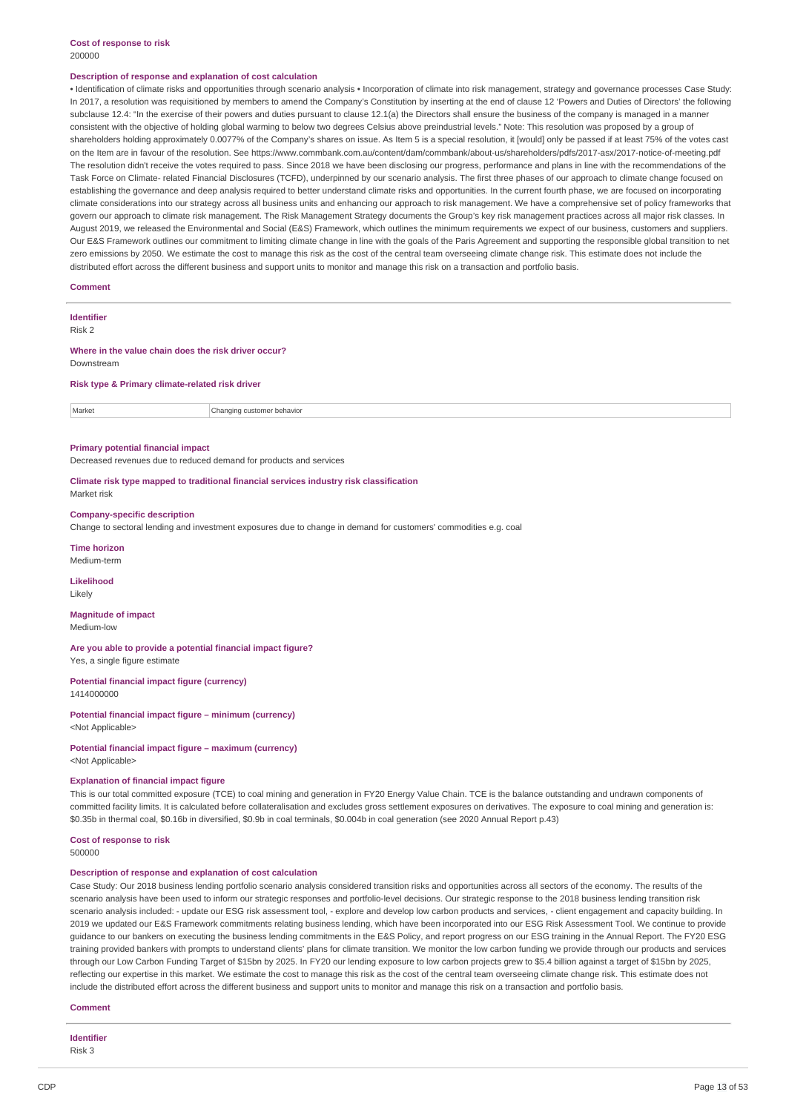#### **Cost of response to risk** 200000

#### **Description of response and explanation of cost calculation**

• Identification of climate risks and opportunities through scenario analysis • Incorporation of climate into risk management, strategy and governance processes Case Study: In 2017, a resolution was requisitioned by members to amend the Company's Constitution by inserting at the end of clause 12 'Powers and Duties of Directors' the following subclause 12.4: "In the exercise of their powers and duties pursuant to clause 12.1(a) the Directors shall ensure the business of the company is managed in a manner consistent with the objective of holding global warming to below two degrees Celsius above preindustrial levels." Note: This resolution was proposed by a group of shareholders holding approximately 0.0077% of the Company's shares on issue. As Item 5 is a special resolution, it [would] only be passed if at least 75% of the votes cast on the Item are in favour of the resolution. See https://www.commbank.com.au/content/dam/commbank/about-us/shareholders/pdfs/2017-asx/2017-notice-of-meeting.pdf The resolution didn't receive the votes required to pass. Since 2018 we have been disclosing our progress, performance and plans in line with the recommendations of the Task Force on Climate- related Financial Disclosures (TCFD), underpinned by our scenario analysis. The first three phases of our approach to climate change focused on establishing the governance and deep analysis required to better understand climate risks and opportunities. In the current fourth phase, we are focused on incorporating climate considerations into our strategy across all business units and enhancing our approach to risk management. We have a comprehensive set of policy frameworks that govern our approach to climate risk management. The Risk Management Strategy documents the Group's key risk management practices across all major risk classes. In August 2019, we released the Environmental and Social (E&S) Framework, which outlines the minimum requirements we expect of our business, customers and suppliers. Our E&S Framework outlines our commitment to limiting climate change in line with the goals of the Paris Agreement and supporting the responsible global transition to net zero emissions by 2050. We estimate the cost to manage this risk as the cost of the central team overseeing climate change risk. This estimate does not include the distributed effort across the different business and support units to monitor and manage this risk on a transaction and portfolio basis.

#### **Comment**

**Identifier** Risk 2

# **Where in the value chain does the risk driver occur?**

Downstream

#### **Risk type & Primary climate-related risk driver**

Market **Changing customer behavior** 

#### **Primary potential financial impact**

Decreased revenues due to reduced demand for products and services

**Climate risk type mapped to traditional financial services industry risk classification** Market risk

#### **Company-specific description**

Change to sectoral lending and investment exposures due to change in demand for customers' commodities e.g. coal

**Time horizon**

Medium-term

**Likelihood** Likely

# **Magnitude of impact**

Medium-low

**Are you able to provide a potential financial impact figure?** Yes, a single figure estimate

**Potential financial impact figure (currency)** 1414000000

#### **Potential financial impact figure – minimum (currency)** <Not Applicable>

**Potential financial impact figure – maximum (currency)**

# <Not Applicable>

#### **Explanation of financial impact figure**

This is our total committed exposure (TCE) to coal mining and generation in FY20 Energy Value Chain. TCE is the balance outstanding and undrawn components of committed facility limits. It is calculated before collateralisation and excludes gross settlement exposures on derivatives. The exposure to coal mining and generation is: \$0.35b in thermal coal, \$0.16b in diversified, \$0.9b in coal terminals, \$0.004b in coal generation (see 2020 Annual Report p.43)

#### **Cost of response to risk** 500000

## **Description of response and explanation of cost calculation**

Case Study: Our 2018 business lending portfolio scenario analysis considered transition risks and opportunities across all sectors of the economy. The results of the scenario analysis have been used to inform our strategic responses and portfolio-level decisions. Our strategic response to the 2018 business lending transition risk scenario analysis included: - update our ESG risk assessment tool, - explore and develop low carbon products and services, - client engagement and capacity building. In 2019 we updated our E&S Framework commitments relating business lending, which have been incorporated into our ESG Risk Assessment Tool. We continue to provide guidance to our bankers on executing the business lending commitments in the E&S Policy, and report progress on our ESG training in the Annual Report. The FY20 ESG training provided bankers with prompts to understand clients' plans for climate transition. We monitor the low carbon funding we provide through our products and services through our Low Carbon Funding Target of \$15bn by 2025. In FY20 our lending exposure to low carbon projects grew to \$5.4 billion against a target of \$15bn by 2025, reflecting our expertise in this market. We estimate the cost to manage this risk as the cost of the central team overseeing climate change risk. This estimate does not include the distributed effort across the different business and support units to monitor and manage this risk on a transaction and portfolio basis.

#### **Comment**

**Identifier** Risk 3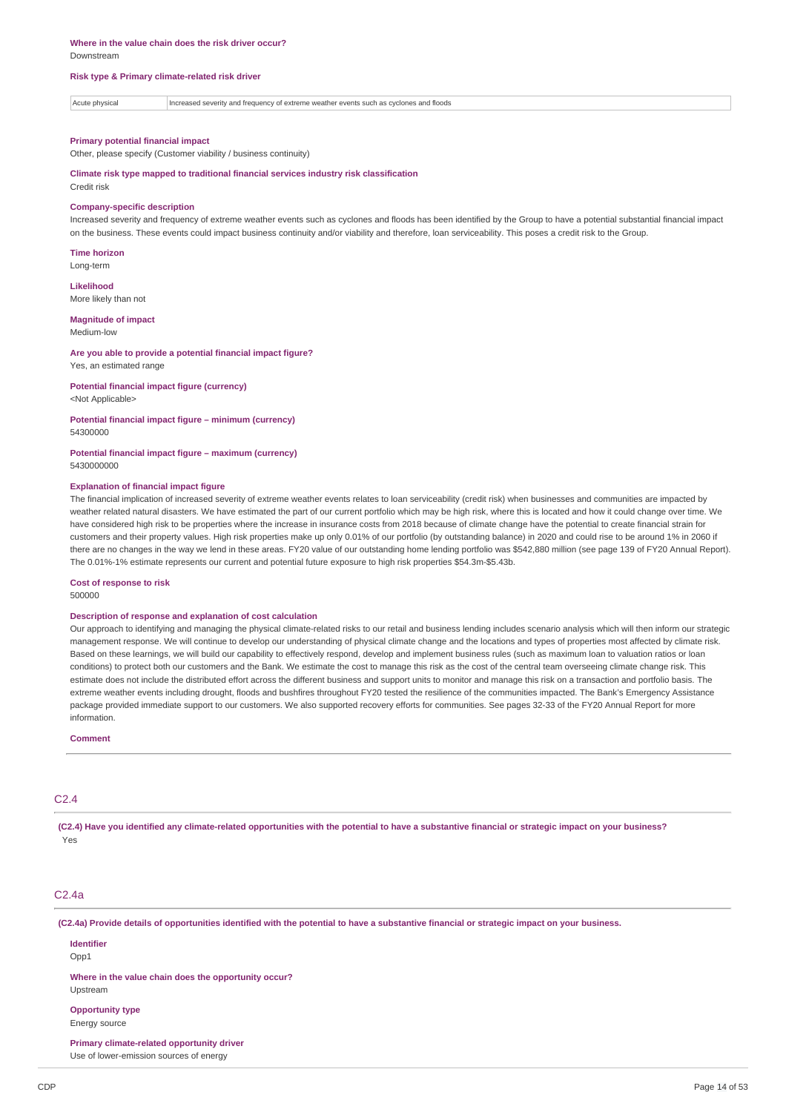#### **Risk type & Primary climate-related risk driver**

Acute physical Increased severity and frequency of extreme weather events such as cyclones and floods

#### **Primary potential financial impact**

Other, please specify (Customer viability / business continuity)

**Climate risk type mapped to traditional financial services industry risk classification**

#### Credit risk

#### **Company-specific description**

Increased severity and frequency of extreme weather events such as cyclones and floods has been identified by the Group to have a potential substantial financial impact on the business. These events could impact business continuity and/or viability and therefore, loan serviceability. This poses a credit risk to the Group.

**Time horizon** Long-term

**Likelihood** More likely than not

# **Magnitude of impact**

Medium-low

#### **Are you able to provide a potential financial impact figure?** Yes, an estimated range

**Potential financial impact figure (currency)** <Not Applicable>

**Potential financial impact figure – minimum (currency)** 54300000

#### **Potential financial impact figure – maximum (currency)** 5430000000

#### **Explanation of financial impact figure**

The financial implication of increased severity of extreme weather events relates to loan serviceability (credit risk) when businesses and communities are impacted by weather related natural disasters. We have estimated the part of our current portfolio which may be high risk, where this is located and how it could change over time. We have considered high risk to be properties where the increase in insurance costs from 2018 because of climate change have the potential to create financial strain for customers and their property values. High risk properties make up only 0.01% of our portfolio (by outstanding balance) in 2020 and could rise to be around 1% in 2060 if there are no changes in the way we lend in these areas. FY20 value of our outstanding home lending portfolio was \$542,880 million (see page 139 of FY20 Annual Report). The 0.01%-1% estimate represents our current and potential future exposure to high risk properties \$54.3m-\$5.43b.

#### **Cost of response to risk**

500000

#### **Description of response and explanation of cost calculation**

Our approach to identifying and managing the physical climate-related risks to our retail and business lending includes scenario analysis which will then inform our strategic management response. We will continue to develop our understanding of physical climate change and the locations and types of properties most affected by climate risk. Based on these learnings, we will build our capability to effectively respond, develop and implement business rules (such as maximum loan to valuation ratios or loan conditions) to protect both our customers and the Bank. We estimate the cost to manage this risk as the cost of the central team overseeing climate change risk. This estimate does not include the distributed effort across the different business and support units to monitor and manage this risk on a transaction and portfolio basis. The extreme weather events including drought, floods and bushfires throughout FY20 tested the resilience of the communities impacted. The Bank's Emergency Assistance package provided immediate support to our customers. We also supported recovery efforts for communities. See pages 32-33 of the FY20 Annual Report for more information.

## **Comment**

## $C2.4$

(C2.4) Have you identified any climate-related opportunities with the potential to have a substantive financial or strategic impact on your business? Yes

## C<sub>2</sub>.4a

(C2.4a) Provide details of opportunities identified with the potential to have a substantive financial or strategic impact on your business.

**Identifier**

# Opp<sub>1</sub>

**Where in the value chain does the opportunity occur?**

# Upstream

**Opportunity type**

Energy source

**Primary climate-related opportunity driver**

Use of lower-emission sources of energy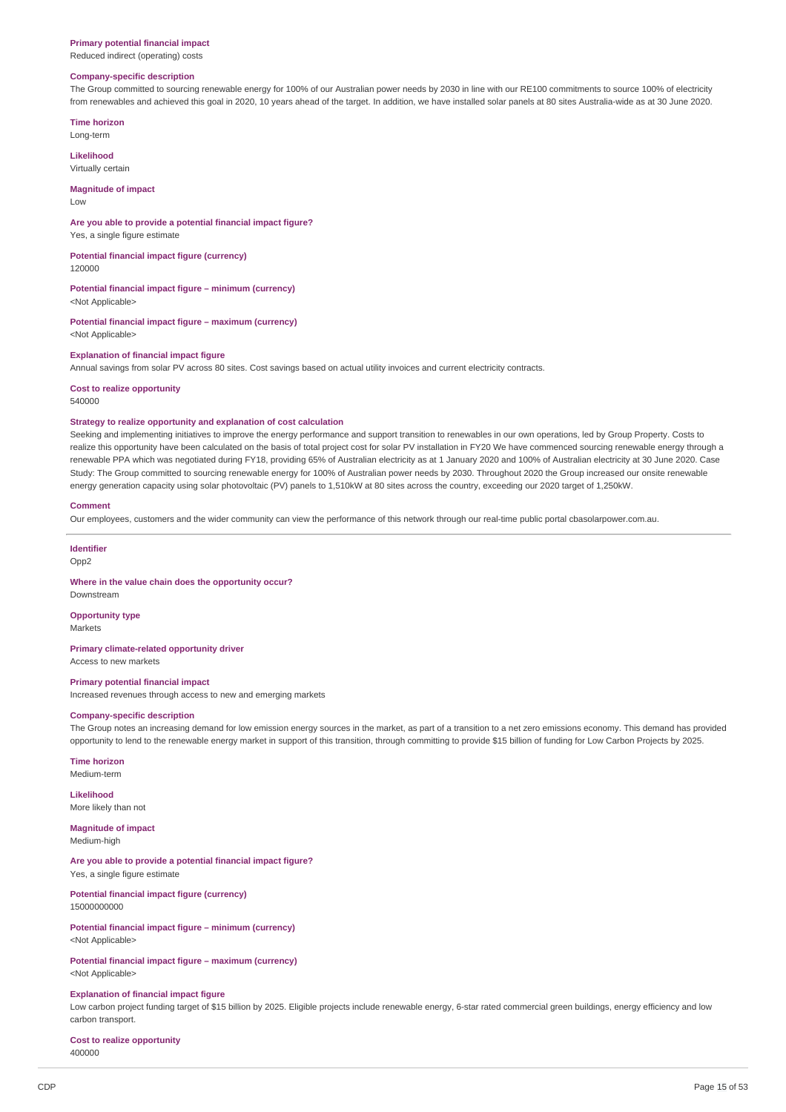#### **Primary potential financial impact**

Reduced indirect (operating) costs

## **Company-specific description**

The Group committed to sourcing renewable energy for 100% of our Australian power needs by 2030 in line with our RE100 commitments to source 100% of electricity from renewables and achieved this goal in 2020, 10 years ahead of the target. In addition, we have installed solar panels at 80 sites Australia-wide as at 30 June 2020.

**Time horizon** Long-term

**Likelihood**

Virtually certain

#### **Magnitude of impact**

Low

#### **Are you able to provide a potential financial impact figure?**

Yes, a single figure estimate

**Potential financial impact figure (currency)**

120000

**Potential financial impact figure – minimum (currency)** <Not Applicable>

**Potential financial impact figure – maximum (currency)** <Not Applicable>

#### **Explanation of financial impact figure**

Annual savings from solar PV across 80 sites. Cost savings based on actual utility invoices and current electricity contracts.

**Cost to realize opportunity** 540000

#### **Strategy to realize opportunity and explanation of cost calculation**

Seeking and implementing initiatives to improve the energy performance and support transition to renewables in our own operations, led by Group Property. Costs to realize this opportunity have been calculated on the basis of total project cost for solar PV installation in FY20 We have commenced sourcing renewable energy through a renewable PPA which was negotiated during FY18, providing 65% of Australian electricity as at 1 January 2020 and 100% of Australian electricity at 30 June 2020. Case Study: The Group committed to sourcing renewable energy for 100% of Australian power needs by 2030. Throughout 2020 the Group increased our onsite renewable energy generation capacity using solar photovoltaic (PV) panels to 1,510kW at 80 sites across the country, exceeding our 2020 target of 1,250kW.

#### **Comment**

Our employees, customers and the wider community can view the performance of this network through our real-time public portal cbasolarpower.com.au.

#### **Identifier**

Downstream

Opp<sub>2</sub>

#### **Where in the value chain does the opportunity occur?**

**Opportunity type**

Markets

#### **Primary climate-related opportunity driver** Access to new markets

**Primary potential financial impact**

Increased revenues through access to new and emerging markets

## **Company-specific description**

The Group notes an increasing demand for low emission energy sources in the market, as part of a transition to a net zero emissions economy. This demand has provided opportunity to lend to the renewable energy market in support of this transition, through committing to provide \$15 billion of funding for Low Carbon Projects by 2025.

**Time horizon** Medium-term

**Likelihood** More likely than not

**Magnitude of impact**

Medium-high

#### **Are you able to provide a potential financial impact figure?** Yes, a single figure estimate

**Potential financial impact figure (currency)** 15000000000

**Potential financial impact figure – minimum (currency)** <Not Applicable>

**Potential financial impact figure – maximum (currency)** <Not Applicable>

#### **Explanation of financial impact figure**

Low carbon project funding target of \$15 billion by 2025. Eligible projects include renewable energy, 6-star rated commercial green buildings, energy efficiency and low carbon transport.

**Cost to realize opportunity** 400000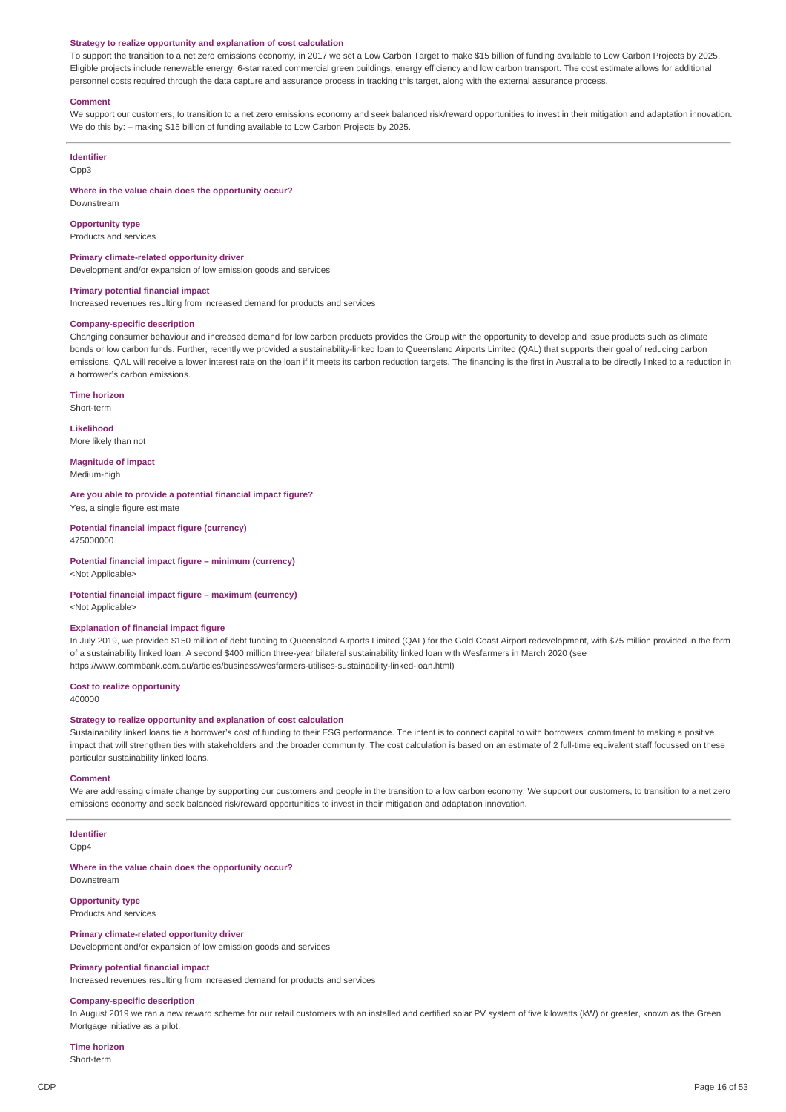#### **Strategy to realize opportunity and explanation of cost calculation**

To support the transition to a net zero emissions economy, in 2017 we set a Low Carbon Target to make \$15 billion of funding available to Low Carbon Projects by 2025. Eligible projects include renewable energy, 6-star rated commercial green buildings, energy efficiency and low carbon transport. The cost estimate allows for additional personnel costs required through the data capture and assurance process in tracking this target, along with the external assurance process.

#### **Comment**

We support our customers, to transition to a net zero emissions economy and seek balanced risk/reward opportunities to invest in their mitigation and adaptation innovation. We do this by: – making \$15 billion of funding available to Low Carbon Projects by 2025.

# **Identifier**

Opp3

**Where in the value chain does the opportunity occur?**

# **Opportunity type**

Downstream

Products and services

#### **Primary climate-related opportunity driver**

Development and/or expansion of low emission goods and services

#### **Primary potential financial impact**

Increased revenues resulting from increased demand for products and services

### **Company-specific description**

Changing consumer behaviour and increased demand for low carbon products provides the Group with the opportunity to develop and issue products such as climate bonds or low carbon funds. Further, recently we provided a sustainability-linked loan to Queensland Airports Limited (QAL) that supports their goal of reducing carbon emissions. QAL will receive a lower interest rate on the loan if it meets its carbon reduction targets. The financing is the first in Australia to be directly linked to a reduction in a borrower's carbon emissions.

**Time horizon** Short-term

**Likelihood**

More likely than not

**Magnitude of impact** Medium-high

**Are you able to provide a potential financial impact figure?** Yes, a single figure estimate

**Potential financial impact figure (currency)** 475000000

**Potential financial impact figure – minimum (currency)** <Not Applicable>

## **Potential financial impact figure – maximum (currency)**

<Not Applicable>

#### **Explanation of financial impact figure**

In July 2019, we provided \$150 million of debt funding to Queensland Airports Limited (QAL) for the Gold Coast Airport redevelopment, with \$75 million provided in the form of a sustainability linked loan. A second \$400 million three-year bilateral sustainability linked loan with Wesfarmers in March 2020 (see https://www.commbank.com.au/articles/business/wesfarmers-utilises-sustainability-linked-loan.html)

**Cost to realize opportunity**

## 400000

#### **Strategy to realize opportunity and explanation of cost calculation**

Sustainability linked loans tie a borrower's cost of funding to their ESG performance. The intent is to connect capital to with borrowers' commitment to making a positive impact that will strengthen ties with stakeholders and the broader community. The cost calculation is based on an estimate of 2 full-time equivalent staff focussed on these particular sustainability linked loans.

#### **Comment**

We are addressing climate change by supporting our customers and people in the transition to a low carbon economy. We support our customers, to transition to a net zero emissions economy and seek balanced risk/reward opportunities to invest in their mitigation and adaptation innovation.

# **Identifier**

Opp4

**Where in the value chain does the opportunity occur?** Downstream

# **Opportunity type**

Products and services

# **Primary climate-related opportunity driver**

Development and/or expansion of low emission goods and services

#### **Primary potential financial impact**

Increased revenues resulting from increased demand for products and services

#### **Company-specific description**

In August 2019 we ran a new reward scheme for our retail customers with an installed and certified solar PV system of five kilowatts (kW) or greater, known as the Green Mortgage initiative as a pilot.

#### **Time horizon** Short-term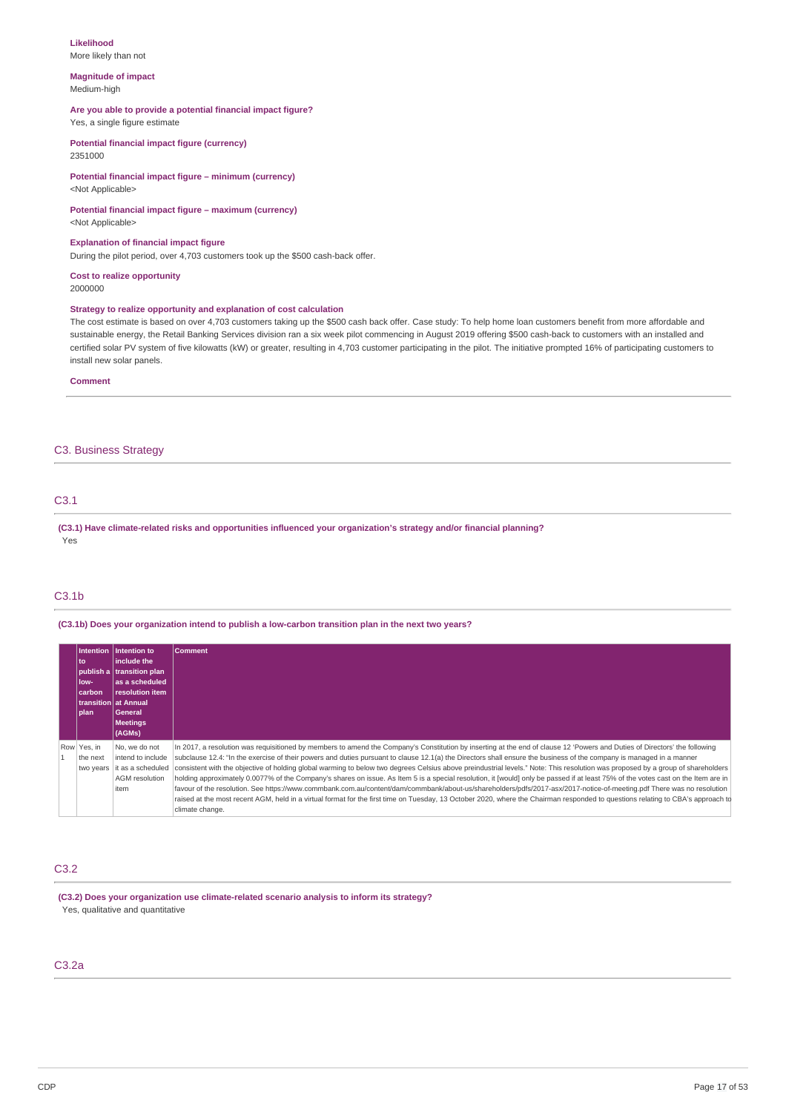#### **Likelihood** More likely than not

#### **Magnitude of impact** Medium-high

## **Are you able to provide a potential financial impact figure?**

Yes, a single figure estimate

**Potential financial impact figure (currency)** 2351000

## **Potential financial impact figure – minimum (currency)** <Not Applicable>

#### **Potential financial impact figure – maximum (currency)** <Not Applicable>

**Explanation of financial impact figure**

During the pilot period, over 4,703 customers took up the \$500 cash-back offer.

**Cost to realize opportunity** 2000000

## **Strategy to realize opportunity and explanation of cost calculation**

The cost estimate is based on over 4,703 customers taking up the \$500 cash back offer. Case study: To help home loan customers benefit from more affordable and sustainable energy, the Retail Banking Services division ran a six week pilot commencing in August 2019 offering \$500 cash-back to customers with an installed and certified solar PV system of five kilowatts (kW) or greater, resulting in 4,703 customer participating in the pilot. The initiative prompted 16% of participating customers to install new solar panels.

**Comment**

## C3. Business Strategy

# C3.1

**(C3.1) Have climate-related risks and opportunities influenced your organization's strategy and/or financial planning?** Yes

## C3.1b

**(C3.1b) Does your organization intend to publish a low-carbon transition plan in the next two years?**

| to<br>low-<br>carbon<br>l plan-      | Intention lintention to<br>linclude the<br>publish a transition plan<br>las a scheduled<br>resolution item<br>transition lat Annual<br><b>General</b><br><b>Meetings</b><br>(AGMs) | <b>Comment</b>                                                                                                                                                                                                                                                                                                                                                                                                                                                                                                                                                                                                                                                                                                                                                                                                                                                                                                                                                                                                                                                                                            |
|--------------------------------------|------------------------------------------------------------------------------------------------------------------------------------------------------------------------------------|-----------------------------------------------------------------------------------------------------------------------------------------------------------------------------------------------------------------------------------------------------------------------------------------------------------------------------------------------------------------------------------------------------------------------------------------------------------------------------------------------------------------------------------------------------------------------------------------------------------------------------------------------------------------------------------------------------------------------------------------------------------------------------------------------------------------------------------------------------------------------------------------------------------------------------------------------------------------------------------------------------------------------------------------------------------------------------------------------------------|
| Row Yes, in<br>the next<br>two years | No, we do not<br>intend to include<br>it as a scheduled<br><b>AGM</b> resolution<br>item                                                                                           | In 2017, a resolution was requisitioned by members to amend the Company's Constitution by inserting at the end of clause 12 'Powers and Duties of Directors' the following<br>subclause 12.4: "In the exercise of their powers and duties pursuant to clause 12.1(a) the Directors shall ensure the business of the company is managed in a manner<br>consistent with the objective of holding global warming to below two degrees Celsius above preindustrial levels." Note: This resolution was proposed by a group of shareholders<br>holding approximately 0.0077% of the Company's shares on issue. As Item 5 is a special resolution, it [would] only be passed if at least 75% of the votes cast on the Item are in<br>favour of the resolution. See https://www.commbank.com.au/content/dam/commbank/about-us/shareholders/pdfs/2017-asx/2017-notice-of-meeting.pdf There was no resolution<br>raised at the most recent AGM, held in a virtual format for the first time on Tuesday, 13 October 2020, where the Chairman responded to questions relating to CBA's approach to<br>climate change. |

## C3.2

**(C3.2) Does your organization use climate-related scenario analysis to inform its strategy?** Yes, qualitative and quantitative

## C3.2a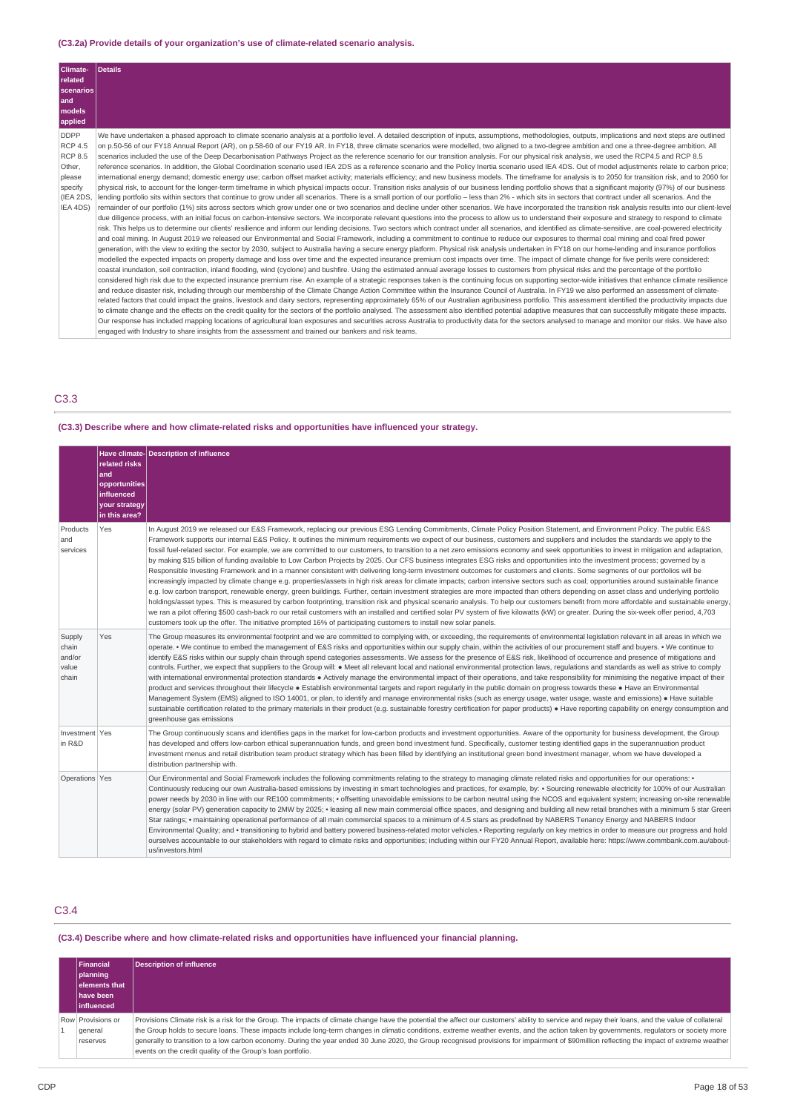## **(C3.2a) Provide details of your organization's use of climate-related scenario analysis.**

| Details                                                                                                                                                                                                                                                                                                                                                                                                    |
|------------------------------------------------------------------------------------------------------------------------------------------------------------------------------------------------------------------------------------------------------------------------------------------------------------------------------------------------------------------------------------------------------------|
|                                                                                                                                                                                                                                                                                                                                                                                                            |
|                                                                                                                                                                                                                                                                                                                                                                                                            |
|                                                                                                                                                                                                                                                                                                                                                                                                            |
|                                                                                                                                                                                                                                                                                                                                                                                                            |
|                                                                                                                                                                                                                                                                                                                                                                                                            |
| We have undertaken a phased approach to climate scenario analysis at a portfolio level. A detailed description of inputs, assumptions, methodologies, outputs, implications and next steps are outlined                                                                                                                                                                                                    |
| on p.50-56 of our FY18 Annual Report (AR), on p.58-60 of our FY19 AR. In FY18, three climate scenarios were modelled, two aligned to a two-degree ambition and one a three-degree ambition. All                                                                                                                                                                                                            |
| scenarios included the use of the Deep Decarbonisation Pathways Project as the reference scenario for our transition analysis. For our physical risk analysis, we used the RCP4.5 and RCP 8.5                                                                                                                                                                                                              |
| reference scenarios. In addition, the Global Coordination scenario used IEA 2DS as a reference scenario and the Policy Inertia scenario used IEA 4DS. Out of model adjustments relate to carbon price;                                                                                                                                                                                                     |
| international energy demand; domestic energy use; carbon offset market activity; materials efficiency; and new business models. The timeframe for analysis is to 2050 for transition risk, and to 2060 for                                                                                                                                                                                                 |
| physical risk, to account for the longer-term timeframe in which physical impacts occur. Transition risks analysis of our business lending portfolio shows that a significant majority (97%) of our business                                                                                                                                                                                               |
| lending portfolio sits within sectors that continue to grow under all scenarios. There is a small portion of our portfolio – less than 2% - which sits in sectors that contract under all scenarios. And the                                                                                                                                                                                               |
| remainder of our portfolio (1%) sits across sectors which grow under one or two scenarios and decline under other scenarios. We have incorporated the transition risk analysis results into our client-level                                                                                                                                                                                               |
| due diligence process, with an initial focus on carbon-intensive sectors. We incorporate relevant questions into the process to allow us to understand their exposure and strategy to respond to climate                                                                                                                                                                                                   |
| risk. This helps us to determine our clients' resilience and inform our lending decisions. Two sectors which contract under all scenarios, and identified as climate-sensitive, are coal-powered electricity<br>and coal mining. In August 2019 we released our Environmental and Social Framework, including a commitment to continue to reduce our exposures to thermal coal mining and coal fired power |
| generation, with the view to exiting the sector by 2030, subject to Australia having a secure energy platform. Physical risk analysis undertaken in FY18 on our home-lending and insurance portfolios                                                                                                                                                                                                      |
| modelled the expected impacts on property damage and loss over time and the expected insurance premium cost impacts over time. The impact of climate change for five perils were considered:                                                                                                                                                                                                               |
| coastal inundation, soil contraction, inland flooding, wind (cyclone) and bushfire. Using the estimated annual average losses to customers from physical risks and the percentage of the portfolio                                                                                                                                                                                                         |
| considered high risk due to the expected insurance premium rise. An example of a strategic responses taken is the continuing focus on supporting sector-wide initiatives that enhance climate resilience                                                                                                                                                                                                   |
| and reduce disaster risk, including through our membership of the Climate Change Action Committee within the Insurance Council of Australia. In FY19 we also performed an assessment of climate-                                                                                                                                                                                                           |
| related factors that could impact the grains, livestock and dairy sectors, representing approximately 65% of our Australian agribusiness portfolio. This assessment identified the productivity impacts due                                                                                                                                                                                                |
| to climate change and the effects on the credit quality for the sectors of the portfolio analysed. The assessment also identified potential adaptive measures that can successfully mitigate these impacts.                                                                                                                                                                                                |
| Our response has included mapping locations of agricultural loan exposures and securities across Australia to productivity data for the sectors analysed to manage and monitor our risks. We have also                                                                                                                                                                                                     |
| engaged with Industry to share insights from the assessment and trained our bankers and risk teams.                                                                                                                                                                                                                                                                                                        |
| scenarios                                                                                                                                                                                                                                                                                                                                                                                                  |

# C3.3

# **(C3.3) Describe where and how climate-related risks and opportunities have influenced your strategy.**

|                                             | related risks<br>land<br>opportunities<br>influenced<br>your strategy<br>in this area? | Have climate-Description of influence                                                                                                                                                                                                                                                                                                                                                                                                                                                                                                                                                                                                                                                                                                                                                                                                                                                                                                                                                                                                                                                                                                                                                                                                                                                                                                                                                                                                                                                                                                                                                                                                                                                                                                                                                                                   |
|---------------------------------------------|----------------------------------------------------------------------------------------|-------------------------------------------------------------------------------------------------------------------------------------------------------------------------------------------------------------------------------------------------------------------------------------------------------------------------------------------------------------------------------------------------------------------------------------------------------------------------------------------------------------------------------------------------------------------------------------------------------------------------------------------------------------------------------------------------------------------------------------------------------------------------------------------------------------------------------------------------------------------------------------------------------------------------------------------------------------------------------------------------------------------------------------------------------------------------------------------------------------------------------------------------------------------------------------------------------------------------------------------------------------------------------------------------------------------------------------------------------------------------------------------------------------------------------------------------------------------------------------------------------------------------------------------------------------------------------------------------------------------------------------------------------------------------------------------------------------------------------------------------------------------------------------------------------------------------|
| Products<br>and<br>services                 | Yes                                                                                    | In August 2019 we released our E&S Framework, replacing our previous ESG Lending Commitments, Climate Policy Position Statement, and Environment Policy. The public E&S<br>Framework supports our internal E&S Policy. It outlines the minimum requirements we expect of our business, customers and suppliers and includes the standards we apply to the<br>fossil fuel-related sector. For example, we are committed to our customers, to transition to a net zero emissions economy and seek opportunities to invest in mitigation and adaptation,<br>by making \$15 billion of funding available to Low Carbon Projects by 2025. Our CFS business integrates ESG risks and opportunities into the investment process; governed by a<br>Responsible Investing Framework and in a manner consistent with delivering long-term investment outcomes for customers and clients. Some segments of our portfolios will be<br>increasingly impacted by climate change e.g. properties/assets in high risk areas for climate impacts; carbon intensive sectors such as coal; opportunities around sustainable finance<br>e.g. low carbon transport, renewable energy, green buildings. Further, certain investment strategies are more impacted than others depending on asset class and underlying portfolio<br>holdings/asset types. This is measured by carbon footprinting, transition risk and physical scenario analysis. To help our customers benefit from more affordable and sustainable energy,<br>we ran a pilot offering \$500 cash-back ro our retail customers with an installed and certified solar PV system of five kilowatts (kW) or greater. During the six-week offer period, 4,703<br>customers took up the offer. The initiative prompted 16% of participating customers to install new solar panels. |
| Supply<br>chain<br>and/or<br>value<br>chain | Yes                                                                                    | The Group measures its environmental footprint and we are committed to complying with, or exceeding, the requirements of environmental legislation relevant in all areas in which we<br>operate. • We continue to embed the management of E&S risks and opportunities within our supply chain, within the activities of our procurement staff and buyers. • We continue to<br>identify E&S risks within our supply chain through spend categories assessments. We assess for the presence of E&S risk, likelihood of occurrence and presence of mitigations and<br>controls. Further, we expect that suppliers to the Group will: • Meet all relevant local and national environmental protection laws, requlations and standards as well as strive to comply<br>with international environmental protection standards . Actively manage the environmental impact of their operations, and take responsibility for minimising the negative impact of their<br>product and services throughout their lifecycle . Establish environmental targets and report regularly in the public domain on progress towards these . Have an Environmental<br>Management System (EMS) aligned to ISO 14001, or plan, to identify and manage environmental risks (such as energy usage, water usage, waste and emissions) • Have suitable<br>sustainable certification related to the primary materials in their product (e.g. sustainable forestry certification for paper products) • Have reporting capability on energy consumption and<br>greenhouse gas emissions                                                                                                                                                                                                                                                                 |
| Investment Yes<br>in R&D                    |                                                                                        | The Group continuously scans and identifies gaps in the market for low-carbon products and investment opportunities. Aware of the opportunity for business development, the Group<br>has developed and offers low-carbon ethical superannuation funds, and green bond investment fund. Specifically, customer testing identified gaps in the superannuation product<br>investment menus and retail distribution team product strategy which has been filled by identifying an institutional green bond investment manager, whom we have developed a<br>distribution partnership with.                                                                                                                                                                                                                                                                                                                                                                                                                                                                                                                                                                                                                                                                                                                                                                                                                                                                                                                                                                                                                                                                                                                                                                                                                                   |
| Operations Yes                              |                                                                                        | Our Environmental and Social Framework includes the following commitments relating to the strategy to managing climate related risks and opportunities for our operations: •<br>Continuously reducing our own Australia-based emissions by investing in smart technologies and practices, for example, by: . Sourcing renewable electricity for 100% of our Australian<br>power needs by 2030 in line with our RE100 commitments; · offsetting unavoidable emissions to be carbon neutral using the NCOS and equivalent system; increasing on-site renewable<br>energy (solar PV) generation capacity to 2MW by 2025; • leasing all new main commercial office spaces, and designing and building all new retail branches with a minimum 5 star Green<br>Star ratings; • maintaining operational performance of all main commercial spaces to a minimum of 4.5 stars as predefined by NABERS Tenancy Energy and NABERS Indoor<br>Environmental Quality; and • transitioning to hybrid and battery powered business-related motor vehicles.• Reporting regularly on key metrics in order to measure our progress and hold<br>ourselves accountable to our stakeholders with regard to climate risks and opportunities; including within our FY20 Annual Report, available here: https://www.commbank.com.au/about-<br>us/investors.html                                                                                                                                                                                                                                                                                                                                                                                                                                                                                  |

# C3.4

## **(C3.4) Describe where and how climate-related risks and opportunities have influenced your financial planning.**

| <b>Financial</b><br>  planning<br>elements that<br>have been<br><b>linfluenced</b> | Description of influence                                                                                                                                                                                                                                                                                                                                                                                                                                                                                                                                                                                                                                    |
|------------------------------------------------------------------------------------|-------------------------------------------------------------------------------------------------------------------------------------------------------------------------------------------------------------------------------------------------------------------------------------------------------------------------------------------------------------------------------------------------------------------------------------------------------------------------------------------------------------------------------------------------------------------------------------------------------------------------------------------------------------|
| Row Provisions or<br>general<br>reserves                                           | Provisions Climate risk is a risk for the Group. The impacts of climate change have the potential the affect our customers' ability to service and repay their loans, and the value of collateral<br>the Group holds to secure loans. These impacts include long-term changes in climatic conditions, extreme weather events, and the action taken by governments, regulators or society more<br>generally to transition to a low carbon economy. During the year ended 30 June 2020, the Group recognised provisions for impairment of \$90million reflecting the impact of extreme weather<br>events on the credit quality of the Group's loan portfolio. |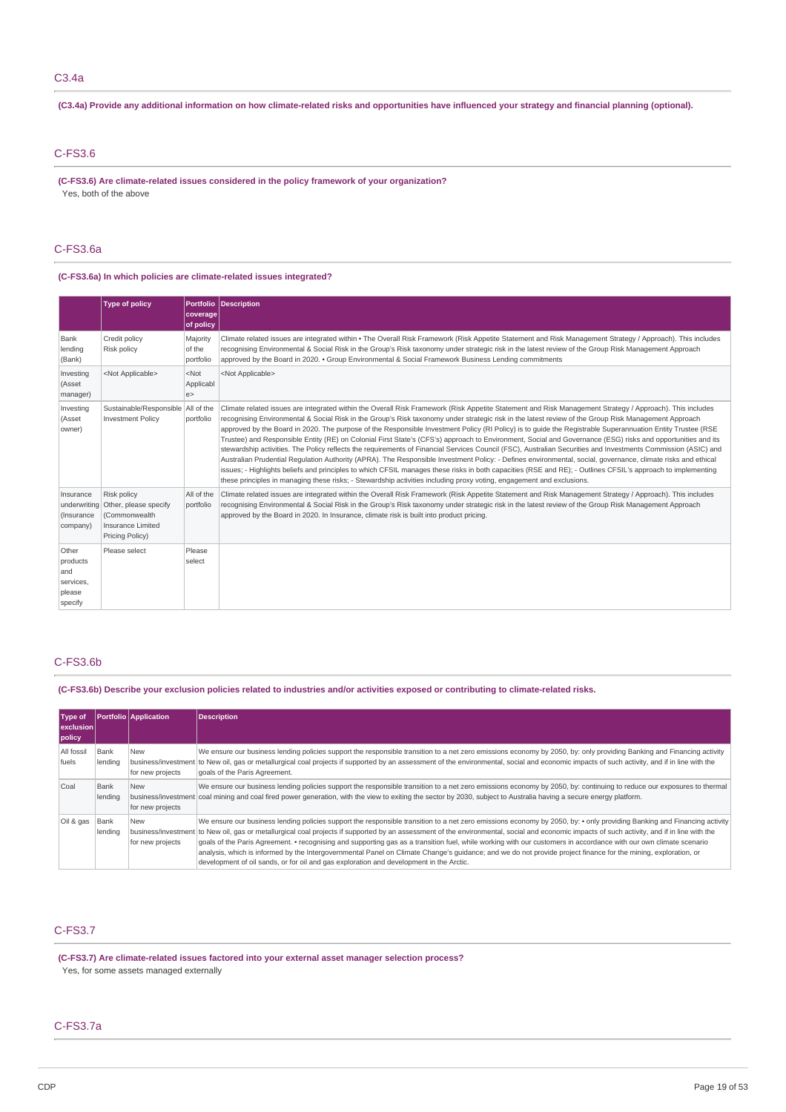## (C3.4a) Provide any additional information on how climate-related risks and opportunities have influenced your strategy and financial planning (optional).

# C-FS3.6

**(C-FS3.6) Are climate-related issues considered in the policy framework of your organization?** Yes, both of the above

## C-FS3.6a

## **(C-FS3.6a) In which policies are climate-related issues integrated?**

|                                                            | <b>Type of policy</b>                                                                                      | coverage<br>of policy           | Portfolio Description                                                                                                                                                                                                                                                                                                                                                                                                                                                                                                                                                                                                                                                                                                                                                                                                                                                                                                                                                                                                                                                                                                                                                                                                                                                  |
|------------------------------------------------------------|------------------------------------------------------------------------------------------------------------|---------------------------------|------------------------------------------------------------------------------------------------------------------------------------------------------------------------------------------------------------------------------------------------------------------------------------------------------------------------------------------------------------------------------------------------------------------------------------------------------------------------------------------------------------------------------------------------------------------------------------------------------------------------------------------------------------------------------------------------------------------------------------------------------------------------------------------------------------------------------------------------------------------------------------------------------------------------------------------------------------------------------------------------------------------------------------------------------------------------------------------------------------------------------------------------------------------------------------------------------------------------------------------------------------------------|
| Bank<br>lending<br>(Bank)                                  | Credit policy<br>Risk policy                                                                               | Majority<br>of the<br>portfolio | Climate related issues are integrated within • The Overall Risk Framework (Risk Appetite Statement and Risk Management Strategy / Approach). This includes<br>recognising Environmental & Social Risk in the Group's Risk taxonomy under strategic risk in the latest review of the Group Risk Management Approach<br>approved by the Board in 2020. • Group Environmental & Social Framework Business Lending commitments                                                                                                                                                                                                                                                                                                                                                                                                                                                                                                                                                                                                                                                                                                                                                                                                                                             |
| Investing<br>(Asset<br>manager)                            | <not applicable=""></not>                                                                                  | $<$ Not<br>Applicabl<br>e >     | <not applicable=""></not>                                                                                                                                                                                                                                                                                                                                                                                                                                                                                                                                                                                                                                                                                                                                                                                                                                                                                                                                                                                                                                                                                                                                                                                                                                              |
| Investing<br>(Asset<br>owner)                              | Sustainable/Responsible All of the<br><b>Investment Policy</b>                                             | portfolio                       | Climate related issues are integrated within the Overall Risk Framework (Risk Appetite Statement and Risk Management Strategy / Approach). This includes<br>recognising Environmental & Social Risk in the Group's Risk taxonomy under strategic risk in the latest review of the Group Risk Management Approach<br>approved by the Board in 2020. The purpose of the Responsible Investment Policy (RI Policy) is to quide the Registrable Superannuation Entity Trustee (RSE<br>Trustee) and Responsible Entity (RE) on Colonial First State's (CFS's) approach to Environment, Social and Governance (ESG) risks and opportunities and its<br>stewardship activities. The Policy reflects the requirements of Financial Services Council (FSC), Australian Securities and Investments Commission (ASIC) and<br>Australian Prudential Regulation Authority (APRA). The Responsible Investment Policy: - Defines environmental, social, governance, climate risks and ethical<br>issues; - Highlights beliefs and principles to which CFSIL manages these risks in both capacities (RSE and RE); - Outlines CFSIL's approach to implementing<br>these principles in managing these risks; - Stewardship activities including proxy voting, engagement and exclusions. |
| Insurance<br>(Insurance<br>company)                        | Risk policy<br>underwriting Other, please specify<br>(Commonwealth<br>Insurance Limited<br>Pricing Policy) | All of the<br>portfolio         | Climate related issues are integrated within the Overall Risk Framework (Risk Appetite Statement and Risk Management Strategy / Approach). This includes<br>recognising Environmental & Social Risk in the Group's Risk taxonomy under strategic risk in the latest review of the Group Risk Management Approach<br>approved by the Board in 2020. In Insurance, climate risk is built into product pricing.                                                                                                                                                                                                                                                                                                                                                                                                                                                                                                                                                                                                                                                                                                                                                                                                                                                           |
| Other<br>products<br>and<br>services,<br>please<br>specify | Please select                                                                                              | Please<br>select                |                                                                                                                                                                                                                                                                                                                                                                                                                                                                                                                                                                                                                                                                                                                                                                                                                                                                                                                                                                                                                                                                                                                                                                                                                                                                        |

# C-FS3.6b

(C-FS3.6b) Describe your exclusion policies related to industries and/or activities exposed or contributing to climate-related risks.

| Type of<br>exclusion<br>policy |                 | <b>Portfolio</b> Application   | <b>Description</b>                                                                                                                                                                                                                                                                                                                                                                                                                                                                                                                                                                                                                                                                                                                                                                                        |
|--------------------------------|-----------------|--------------------------------|-----------------------------------------------------------------------------------------------------------------------------------------------------------------------------------------------------------------------------------------------------------------------------------------------------------------------------------------------------------------------------------------------------------------------------------------------------------------------------------------------------------------------------------------------------------------------------------------------------------------------------------------------------------------------------------------------------------------------------------------------------------------------------------------------------------|
| All fossil<br>fuels            | Bank<br>lending | New<br>for new projects        | We ensure our business lending policies support the responsible transition to a net zero emissions economy by 2050, by: only providing Banking and Financing activity<br>business/investment to New oil, gas or metallurgical coal projects if supported by an assessment of the environmental, social and economic impacts of such activity, and if in line with the<br>goals of the Paris Agreement.                                                                                                                                                                                                                                                                                                                                                                                                    |
| Coal                           | Bank<br>lending | <b>New</b><br>for new projects | We ensure our business lending policies support the responsible transition to a net zero emissions economy by 2050, by: continuing to reduce our exposures to thermal<br>business/investment coal mining and coal fired power generation, with the view to exiting the sector by 2030, subject to Australia having a secure energy platform.                                                                                                                                                                                                                                                                                                                                                                                                                                                              |
| Oil & gas                      | Bank<br>lending | <b>New</b><br>for new projects | We ensure our business lending policies support the responsible transition to a net zero emissions economy by 2050, by: • only providing Banking and Financing activity<br>business/investment to New oil, gas or metallurgical coal projects if supported by an assessment of the environmental, social and economic impacts of such activity, and if in line with the<br>goals of the Paris Agreement. • recognising and supporting gas as a transition fuel, while working with our customers in accordance with our own climate scenario<br>analysis, which is informed by the Intergovernmental Panel on Climate Change's guidance; and we do not provide project finance for the mining, exploration, or<br>development of oil sands, or for oil and gas exploration and development in the Arctic. |

## C-FS3.7

**(C-FS3.7) Are climate-related issues factored into your external asset manager selection process?** Yes, for some assets managed externally

## C-FS3.7a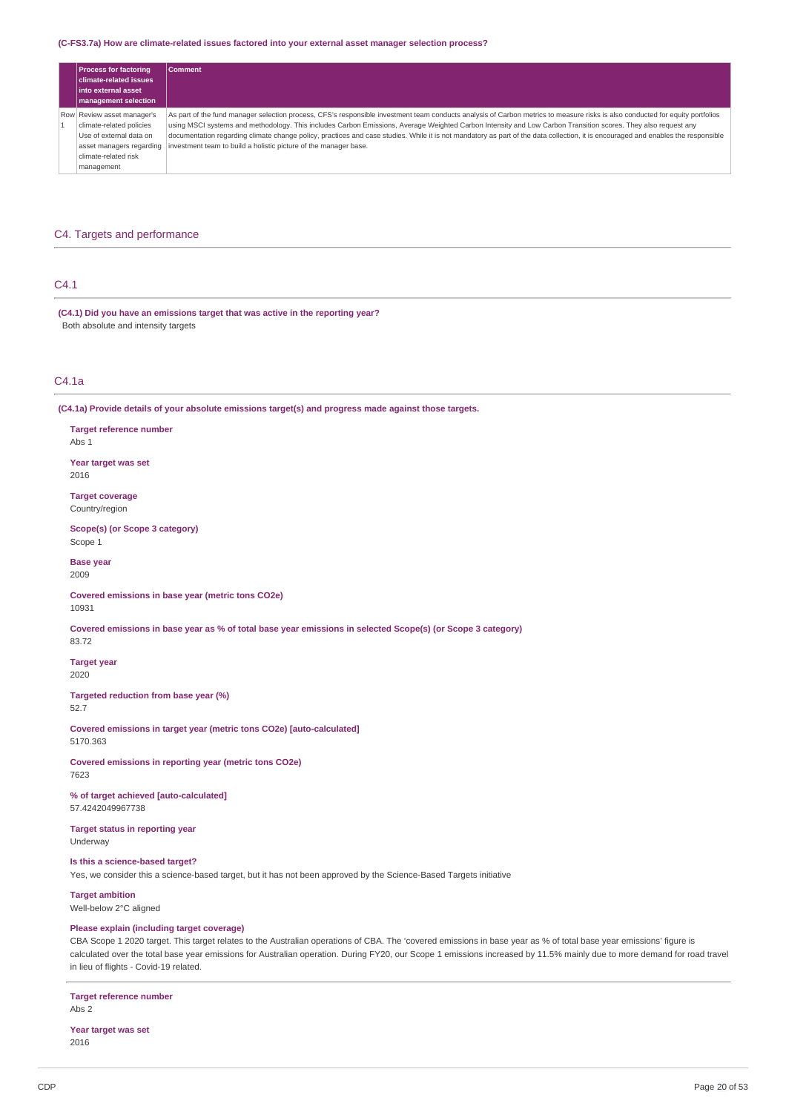#### **(C-FS3.7a) How are climate-related issues factored into your external asset manager selection process?**

| <b>Process for factoring</b><br>  climate-related issues<br><b>linto external asset</b><br><b>management selection</b>                              | <b>Comment</b>                                                                                                                                                                                                                                                                                                                                                                                                                                                                                                                                                                                          |
|-----------------------------------------------------------------------------------------------------------------------------------------------------|---------------------------------------------------------------------------------------------------------------------------------------------------------------------------------------------------------------------------------------------------------------------------------------------------------------------------------------------------------------------------------------------------------------------------------------------------------------------------------------------------------------------------------------------------------------------------------------------------------|
| Row Review asset manager's<br>climate-related policies<br>Use of external data on<br>asset managers regarding<br>climate-related risk<br>management | As part of the fund manager selection process, CFS's responsible investment team conducts analysis of Carbon metrics to measure risks is also conducted for equity portfolios<br>using MSCI systems and methodology. This includes Carbon Emissions, Average Weighted Carbon Intensity and Low Carbon Transition scores. They also request any<br>documentation regarding climate change policy, practices and case studies. While it is not mandatory as part of the data collection, it is encouraged and enables the responsible<br>investment team to build a holistic picture of the manager base. |

# C4. Targets and performance

## C4.1

**(C4.1) Did you have an emissions target that was active in the reporting year?** Both absolute and intensity targets

# C4.1a

**(C4.1a) Provide details of your absolute emissions target(s) and progress made against those targets.**

## **Target reference number** Abs 1

**Year target was set** 2016

**Target coverage** Country/region

**Scope(s) (or Scope 3 category)** Scope 1

**Base year** 2009

**Covered emissions in base year (metric tons CO2e)**

10931

Covered emissions in base year as % of total base year emissions in selected Scope(s) (or Scope 3 category) 83.72

**Target year**

2020

**Targeted reduction from base year (%)** 52.7

**Covered emissions in target year (metric tons CO2e) [auto-calculated]** 5170.363

**Covered emissions in reporting year (metric tons CO2e)** 7623

**% of target achieved [auto-calculated]** 57.4242049967738

**Target status in reporting year** Underway

**Is this a science-based target?**

Yes, we consider this a science-based target, but it has not been approved by the Science-Based Targets initiative

**Target ambition**

Well-below 2°C aligned

# **Please explain (including target coverage)**

CBA Scope 1 2020 target. This target relates to the Australian operations of CBA. The 'covered emissions in base year as % of total base year emissions' figure is calculated over the total base year emissions for Australian operation. During FY20, our Scope 1 emissions increased by 11.5% mainly due to more demand for road travel in lieu of flights - Covid-19 related.

# **Target reference number**

Abs 2

**Year target was set** 2016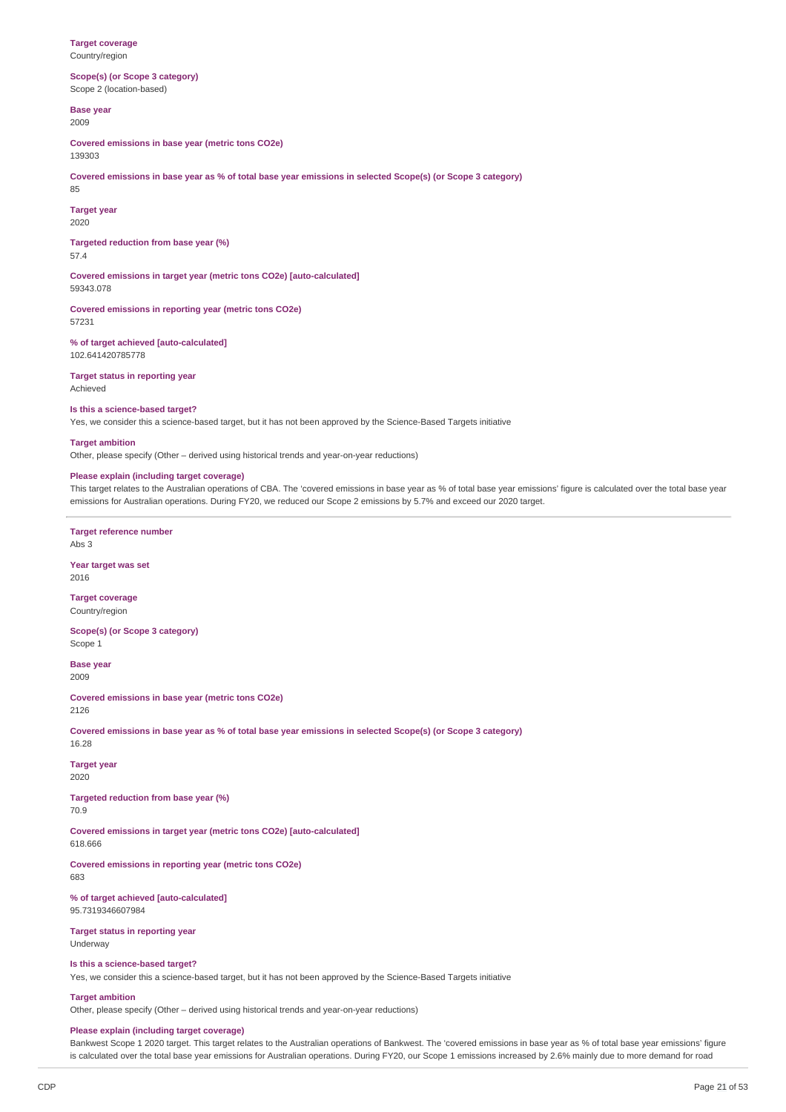**Target coverage** Country/region

**Scope(s) (or Scope 3 category)** Scope 2 (location-based)

**Base year** 2009

**Covered emissions in base year (metric tons CO2e)** 139303

Covered emissions in base year as % of total base year emissions in selected Scope(s) (or Scope 3 category) 85

**Target year** 2020

**Targeted reduction from base year (%)** 57.4

**Covered emissions in target year (metric tons CO2e) [auto-calculated]** 59343.078

**Covered emissions in reporting year (metric tons CO2e)** 57231

**% of target achieved [auto-calculated]** 102.641420785778

**Target status in reporting year** Achieved

#### **Is this a science-based target?**

Yes, we consider this a science-based target, but it has not been approved by the Science-Based Targets initiative

**Target ambition**

Other, please specify (Other – derived using historical trends and year-on-year reductions)

## **Please explain (including target coverage)**

This target relates to the Australian operations of CBA. The 'covered emissions in base year as % of total base year emissions' figure is calculated over the total base year emissions for Australian operations. During FY20, we reduced our Scope 2 emissions by 5.7% and exceed our 2020 target.

**Target reference number**

Abs 3

**Year target was set** 2016

**Target coverage** Country/region

**Scope(s) (or Scope 3 category)** Scope 1

**Base year** 2009

**Covered emissions in base year (metric tons CO2e)** 2126

Covered emissions in base year as % of total base year emissions in selected Scope(s) (or Scope 3 category) 16.28

**Target year** 2020

**Targeted reduction from base year (%)** 70.9

**Covered emissions in target year (metric tons CO2e) [auto-calculated]**

618.666

**Covered emissions in reporting year (metric tons CO2e)** 683

**% of target achieved [auto-calculated]** 95.7319346607984

**Target status in reporting year** Underway

#### **Is this a science-based target?**

Yes, we consider this a science-based target, but it has not been approved by the Science-Based Targets initiative

**Target ambition**

Other, please specify (Other – derived using historical trends and year-on-year reductions)

## **Please explain (including target coverage)**

Bankwest Scope 1 2020 target. This target relates to the Australian operations of Bankwest. The 'covered emissions in base year as % of total base year emissions' figure is calculated over the total base year emissions for Australian operations. During FY20, our Scope 1 emissions increased by 2.6% mainly due to more demand for road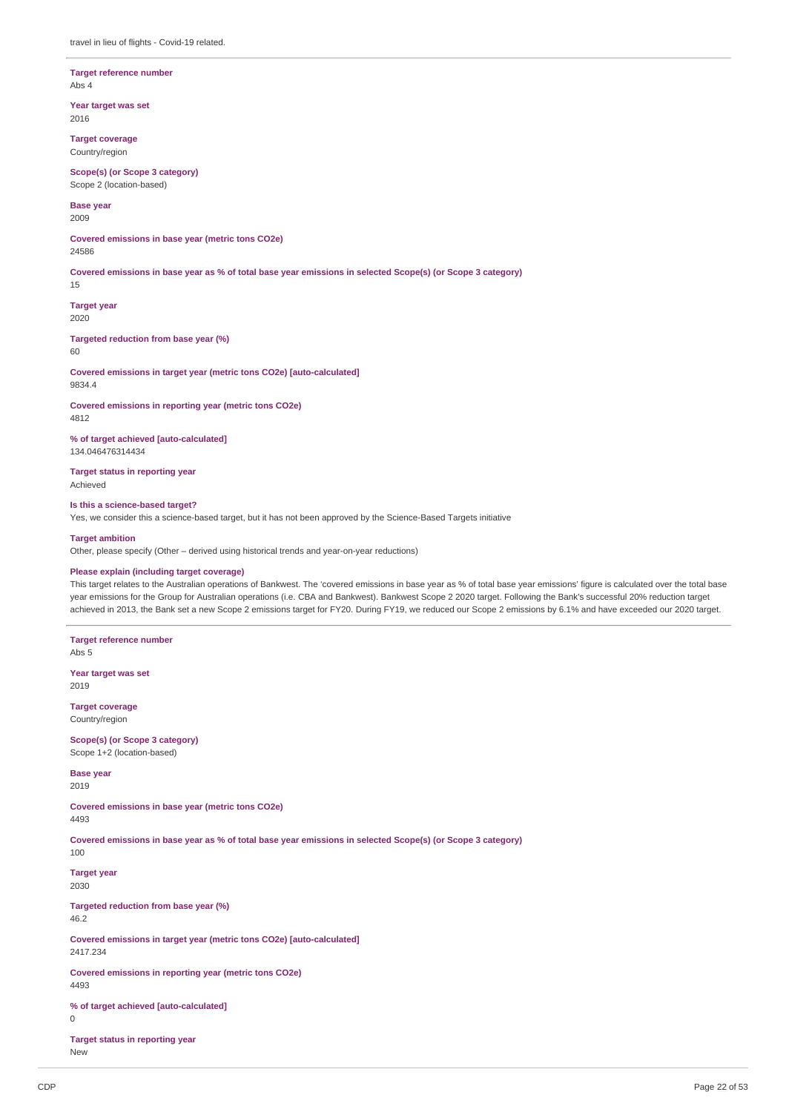#### **Target reference number** Abs 4

**Year target was set**

2016

**Target coverage** Country/region

**Scope(s) (or Scope 3 category)** Scope 2 (location-based)

**Base year** 2009

**Covered emissions in base year (metric tons CO2e)** 24586

Covered emissions in base year as % of total base year emissions in selected Scope(s) (or Scope 3 category)

15

**Target year** 2020

**Targeted reduction from base year (%)** 60

**Covered emissions in target year (metric tons CO2e) [auto-calculated]** 9834.4

**Covered emissions in reporting year (metric tons CO2e)** 4812

**% of target achieved [auto-calculated]** 134.046476314434

**Target status in reporting year** Achieved

## **Is this a science-based target?**

Yes, we consider this a science-based target, but it has not been approved by the Science-Based Targets initiative

## **Target ambition**

Other, please specify (Other – derived using historical trends and year-on-year reductions)

# **Please explain (including target coverage)**

This target relates to the Australian operations of Bankwest. The 'covered emissions in base year as % of total base year emissions' figure is calculated over the total base year emissions for the Group for Australian operations (i.e. CBA and Bankwest). Bankwest Scope 2 2020 target. Following the Bank's successful 20% reduction target achieved in 2013, the Bank set a new Scope 2 emissions target for FY20. During FY19, we reduced our Scope 2 emissions by 6.1% and have exceeded our 2020 target.

**Target reference number** Abs 5 **Year target was set** 2019 **Target coverage** Country/region **Scope(s) (or Scope 3 category)** Scope 1+2 (location-based) **Base year** 2019 **Covered emissions in base year (metric tons CO2e)** 4493 Covered emissions in base year as % of total base year emissions in selected Scope(s) (or Scope 3 category) 100 **Target year** 2030 **Targeted reduction from base year (%)** 46.2 **Covered emissions in target year (metric tons CO2e) [auto-calculated]** 2417.234 **Covered emissions in reporting year (metric tons CO2e)** 4493 **% of target achieved [auto-calculated] Target status in reporting year**

New

0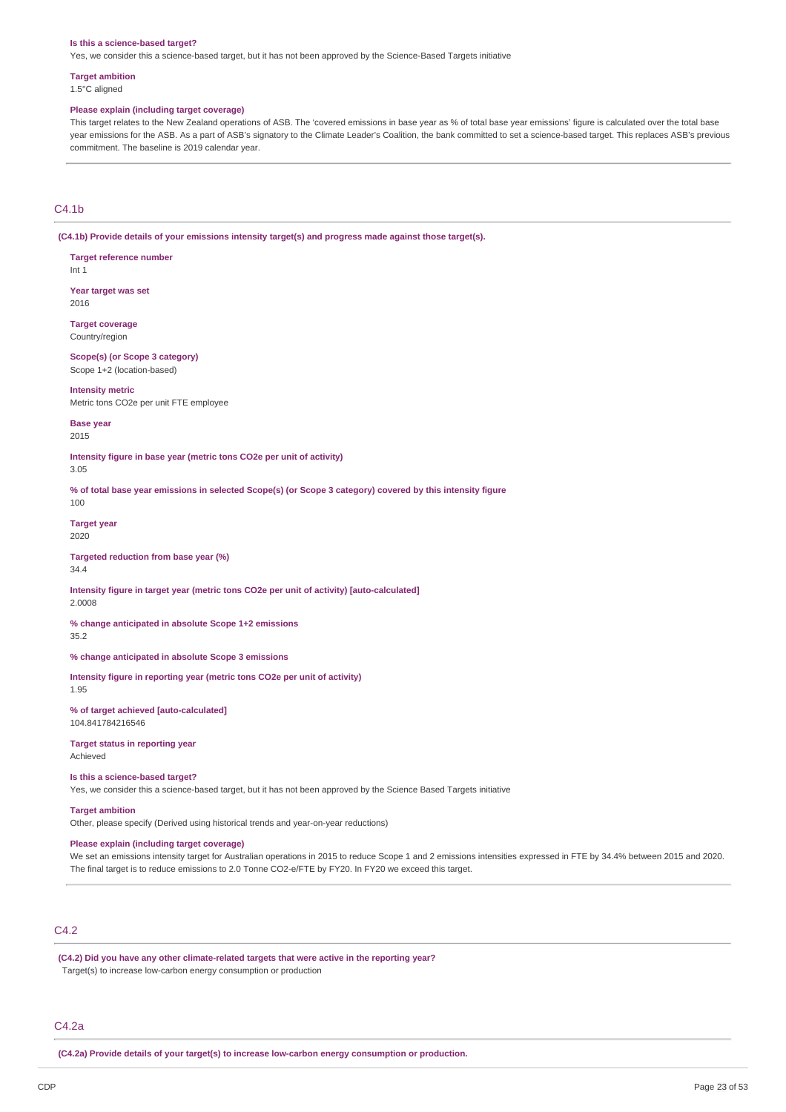#### **Is this a science-based target?**

Yes, we consider this a science-based target, but it has not been approved by the Science-Based Targets initiative

## **Target ambition**

**Target reference number**

1.5°C aligned

#### **Please explain (including target coverage)**

This target relates to the New Zealand operations of ASB. The 'covered emissions in base year as % of total base year emissions' figure is calculated over the total base year emissions for the ASB. As a part of ASB's signatory to the Climate Leader's Coalition, the bank committed to set a science-based target. This replaces ASB's previous commitment. The baseline is 2019 calendar year.

## $C4.1<sub>b</sub>$

100

**(C4.1b) Provide details of your emissions intensity target(s) and progress made against those target(s).**

Int 1 **Year target was set** 2016 **Target coverage** Country/region **Scope(s) (or Scope 3 category)** Scope 1+2 (location-based) **Intensity metric** Metric tons CO2e per unit FTE employee **Base year** 2015 **Intensity figure in base year (metric tons CO2e per unit of activity)** 3.05 % of total base year emissions in selected Scope(s) (or Scope 3 category) covered by this intensity figure **Target year** 2020 **Targeted reduction from base year (%)** 34.4 **Intensity figure in target year (metric tons CO2e per unit of activity) [auto-calculated]** 2.0008 **% change anticipated in absolute Scope 1+2 emissions** 35.2 **% change anticipated in absolute Scope 3 emissions Intensity figure in reporting year (metric tons CO2e per unit of activity)** 1.95 **% of target achieved [auto-calculated]** 104.841784216546 **Target status in reporting year** Achieved **Is this a science-based target?** Yes, we consider this a science-based target, but it has not been approved by the Science Based Targets initiative **Target ambition** Other, please specify (Derived using historical trends and year-on-year reductions) **Please explain (including target coverage)**

We set an emissions intensity target for Australian operations in 2015 to reduce Scope 1 and 2 emissions intensities expressed in FTE by 34.4% between 2015 and 2020. The final target is to reduce emissions to 2.0 Tonne CO2-e/FTE by FY20. In FY20 we exceed this target.

## C4.2

**(C4.2) Did you have any other climate-related targets that were active in the reporting year?** Target(s) to increase low-carbon energy consumption or production

#### C4.2a

**(C4.2a) Provide details of your target(s) to increase low-carbon energy consumption or production.**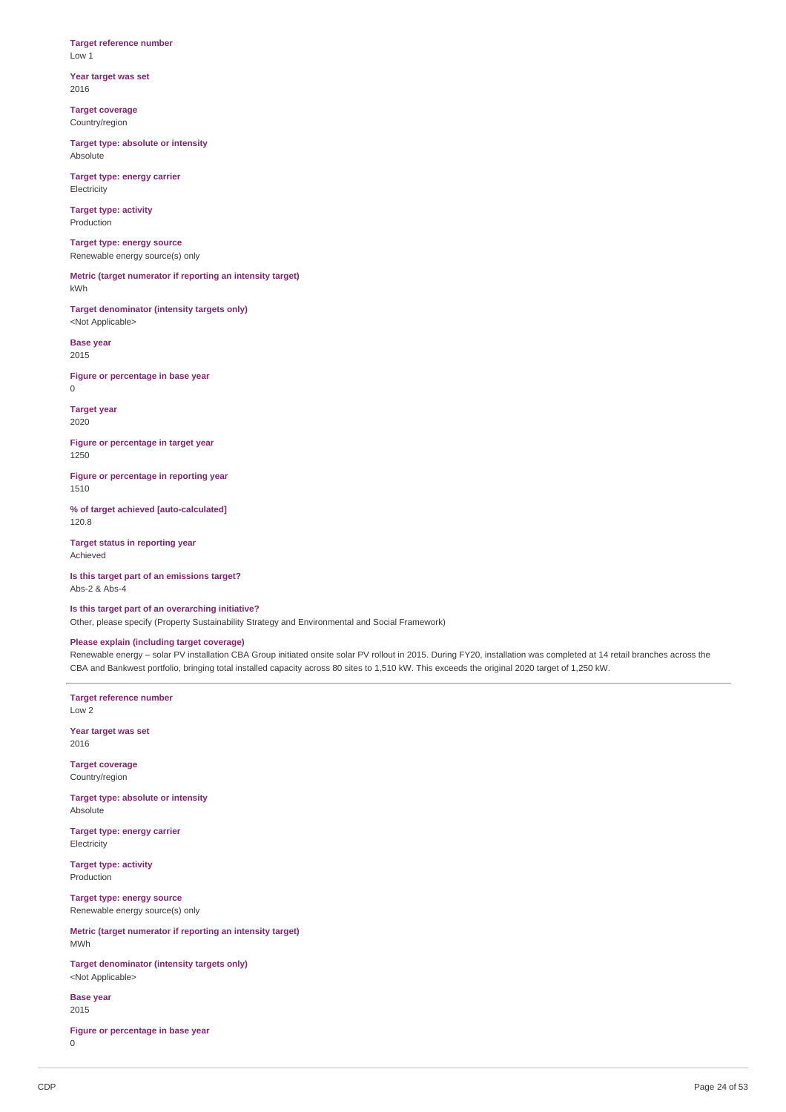#### **Target reference number** Low 1

**Year target was set** 2016

**Target coverage** Country/region

**Target type: absolute or intensity** Absolute

**Target type: energy carrier** Electricity

**Target type: activity** Production

**Target type: energy source** Renewable energy source(s) only

**Metric (target numerator if reporting an intensity target)** kWh

**Target denominator (intensity targets only)** <Not Applicable>

**Base year** 2015

**Figure or percentage in base year** 0

**Target year** 2020

**Figure or percentage in target year** 1250

**Figure or percentage in reporting year** 1510

**% of target achieved [auto-calculated]** 120.8

**Target status in reporting year** Achieved

**Is this target part of an emissions target?** Abs-2 & Abs-4

**Is this target part of an overarching initiative?**

Other, please specify (Property Sustainability Strategy and Environmental and Social Framework)

# **Please explain (including target coverage)**

Renewable energy – solar PV installation CBA Group initiated onsite solar PV rollout in 2015. During FY20, installation was completed at 14 retail branches across the CBA and Bankwest portfolio, bringing total installed capacity across 80 sites to 1,510 kW. This exceeds the original 2020 target of 1,250 kW.

**Target reference number** Low 2

**Year target was set** 2016

**Target coverage** Country/region

**Target type: absolute or intensity** Absolute

**Target type: energy carrier** Electricity

**Target type: activity** Production

**Target type: energy source** Renewable energy source(s) only

**Metric (target numerator if reporting an intensity target)** MWh

**Target denominator (intensity targets only)** <Not Applicable>

**Base year** 2015

**Figure or percentage in base year**  $\Omega$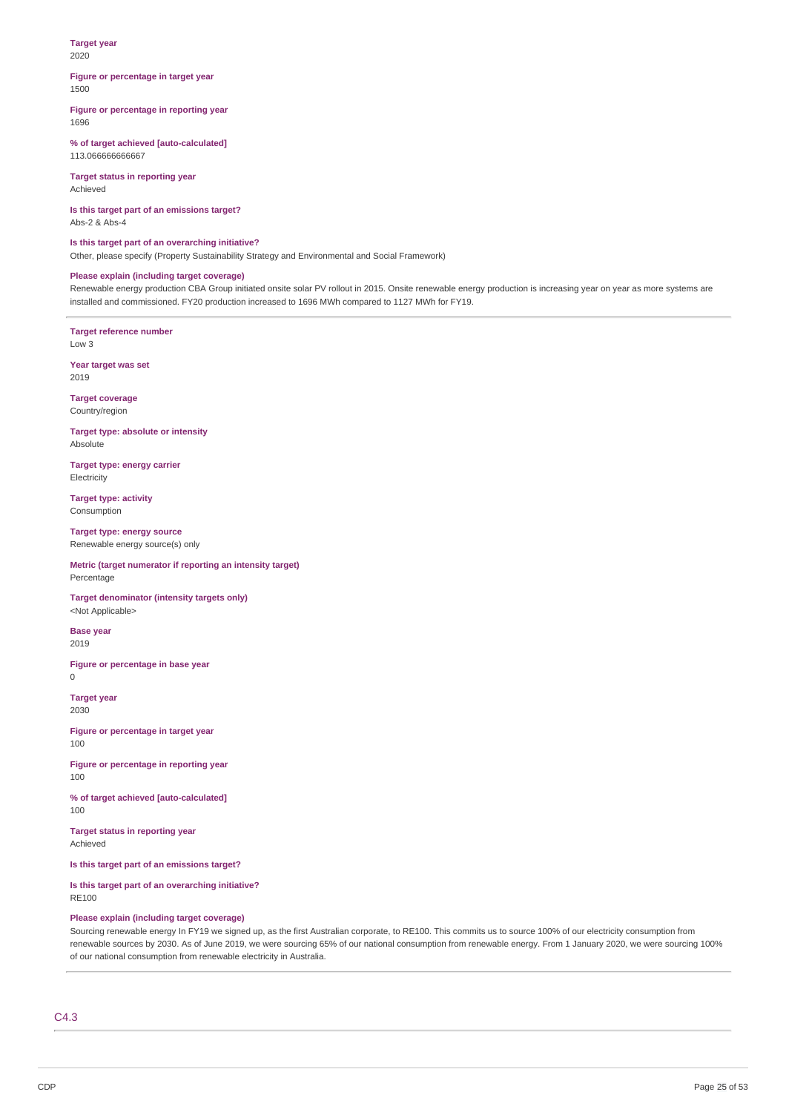#### **Target year** 2020

#### **Figure or percentage in target year** 1500

#### **Figure or percentage in reporting year** 1696

**% of target achieved [auto-calculated]** 113.066666666667

**Target status in reporting year** Achieved

**Is this target part of an emissions target?** Abs-2 & Abs-4

**Is this target part of an overarching initiative?** Other, please specify (Property Sustainability Strategy and Environmental and Social Framework)

## **Please explain (including target coverage)**

Renewable energy production CBA Group initiated onsite solar PV rollout in 2015. Onsite renewable energy production is increasing year on year as more systems are installed and commissioned. FY20 production increased to 1696 MWh compared to 1127 MWh for FY19.

**Target reference number** Low 3

**Year target was set** 2019

**Target coverage** Country/region

**Target type: absolute or intensity** Absolute

**Target type: energy carrier Electricity** 

**Target type: activity** Consumption

**Target type: energy source** Renewable energy source(s) only

**Metric (target numerator if reporting an intensity target)** Percentage

**Target denominator (intensity targets only)** <Not Applicable>

**Base year** 2019

**Figure or percentage in base year**  $\Omega$ 

**Target year** 2030

**Figure or percentage in target year** 100

**Figure or percentage in reporting year** 100

**% of target achieved [auto-calculated]** 100

**Target status in reporting year** Achieved

**Is this target part of an emissions target?**

**Is this target part of an overarching initiative?** RE100

## **Please explain (including target coverage)**

Sourcing renewable energy In FY19 we signed up, as the first Australian corporate, to RE100. This commits us to source 100% of our electricity consumption from renewable sources by 2030. As of June 2019, we were sourcing 65% of our national consumption from renewable energy. From 1 January 2020, we were sourcing 100% of our national consumption from renewable electricity in Australia.

C4.3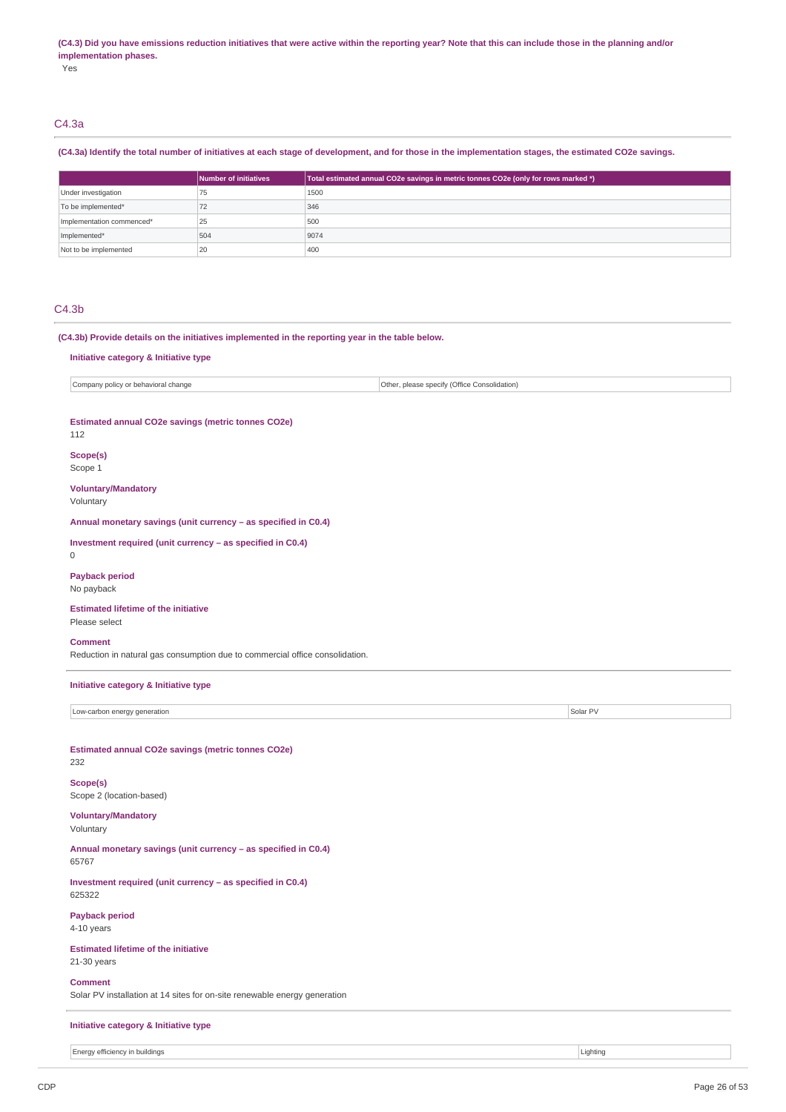#### (C4.3) Did you have emissions reduction initiatives that were active within the reporting year? Note that this can include those in the planning and/or **implementation phases.**

Yes

# C4.3a

## (C4.3a) Identify the total number of initiatives at each stage of development, and for those in the implementation stages, the estimated CO2e savings.

|                           | Number of initiatives | Total estimated annual CO2e savings in metric tonnes CO2e (only for rows marked *) |
|---------------------------|-----------------------|------------------------------------------------------------------------------------|
| Under investigation       | 75                    | 1500                                                                               |
| To be implemented*        | 72                    | 346                                                                                |
| Implementation commenced* | 25                    | 500                                                                                |
| Implemented*              | 504                   | 9074                                                                               |
| Not to be implemented     | 20                    | 400                                                                                |

## C4.3b

**(C4.3b) Provide details on the initiatives implemented in the reporting year in the table below.**

#### **Initiative category & Initiative type**

Company policy or behavioral change  $\vert$  Company policy of the Consolidation)

## **Estimated annual CO2e savings (metric tonnes CO2e)**

112

0

# **Scope(s)**

Scope 1

**Voluntary/Mandatory** Voluntary

**Annual monetary savings (unit currency – as specified in C0.4)**

**Investment required (unit currency – as specified in C0.4)**

# **Payback period**

No payback

#### **Estimated lifetime of the initiative** Please select

#### **Comment**

Reduction in natural gas consumption due to commercial office consolidation.

**Initiative category & Initiative type**

Low-carbon energy generation Solar PV and the Contract of the Contract of the Contract of Solar PV and The Contract of Solar PV and The Contract of the Contract of Solar PV and The Contract of the Contract of the Contract

**Estimated annual CO2e savings (metric tonnes CO2e)** 232

**Scope(s)** Scope 2 (location-based)

#### **Voluntary/Mandatory** Voluntary

**Annual monetary savings (unit currency – as specified in C0.4)** 65767

**Investment required (unit currency – as specified in C0.4)** 625322

**Payback period** 4-10 years

# **Estimated lifetime of the initiative**

21-30 years

**Comment**

Solar PV installation at 14 sites for on-site renewable energy generation

# **Initiative category & Initiative type**

Energy efficiency in buildings **Lighting** Lighting **Lighting**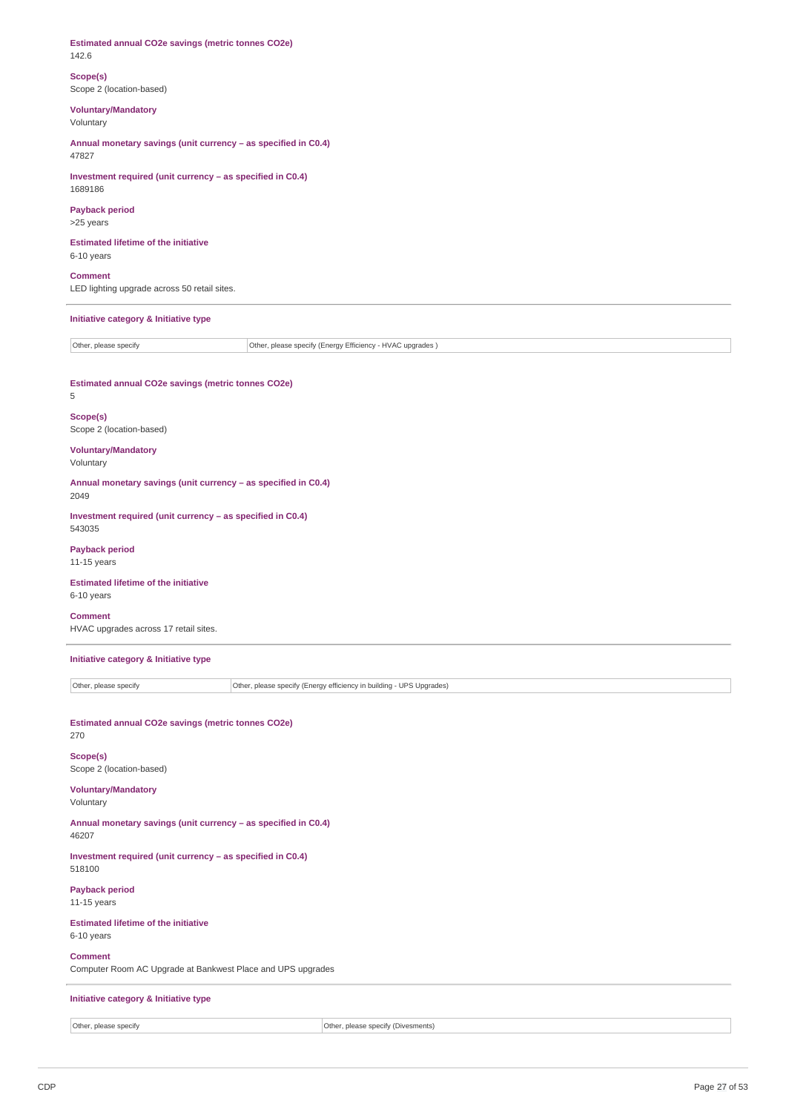**Estimated annual CO2e savings (metric tonnes CO2e)** 142.6

**Scope(s)** Scope 2 (location-based)

**Voluntary/Mandatory**

Voluntary

**Annual monetary savings (unit currency – as specified in C0.4)** 47827

**Investment required (unit currency – as specified in C0.4)** 1689186

**Payback period** >25 years

**Estimated lifetime of the initiative** 6-10 years

**Comment** LED lighting upgrade across 50 retail sites.

**Initiative category & Initiative type**

Other, please specify **Other, please specify (Energy Efficiency - HVAC upgrades)** 

**Estimated annual CO2e savings (metric tonnes CO2e)** 5

**Scope(s)** Scope 2 (location-based)

**Voluntary/Mandatory**

Voluntary

**Annual monetary savings (unit currency – as specified in C0.4)** 2049

**Investment required (unit currency – as specified in C0.4)** 543035

**Payback period** 11-15 years

**Estimated lifetime of the initiative** 6-10 years

**Comment** HVAC upgrades across 17 retail sites.

**Initiative category & Initiative type**

Other, please specify **Other, please specify (Energy efficiency in building - UPS Upgrades) Estimated annual CO2e savings (metric tonnes CO2e)** 270 **Scope(s)** Scope 2 (location-based) **Voluntary/Mandatory** Voluntary **Annual monetary savings (unit currency – as specified in C0.4)** 46207 **Investment required (unit currency – as specified in C0.4)** 518100 **Payback period** 11-15 years **Estimated lifetime of the initiative** 6-10 years **Comment** Computer Room AC Upgrade at Bankwest Place and UPS upgrades **Initiative category & Initiative type**

Other, please specify **Other, please specify** Other, please specify (Divesments)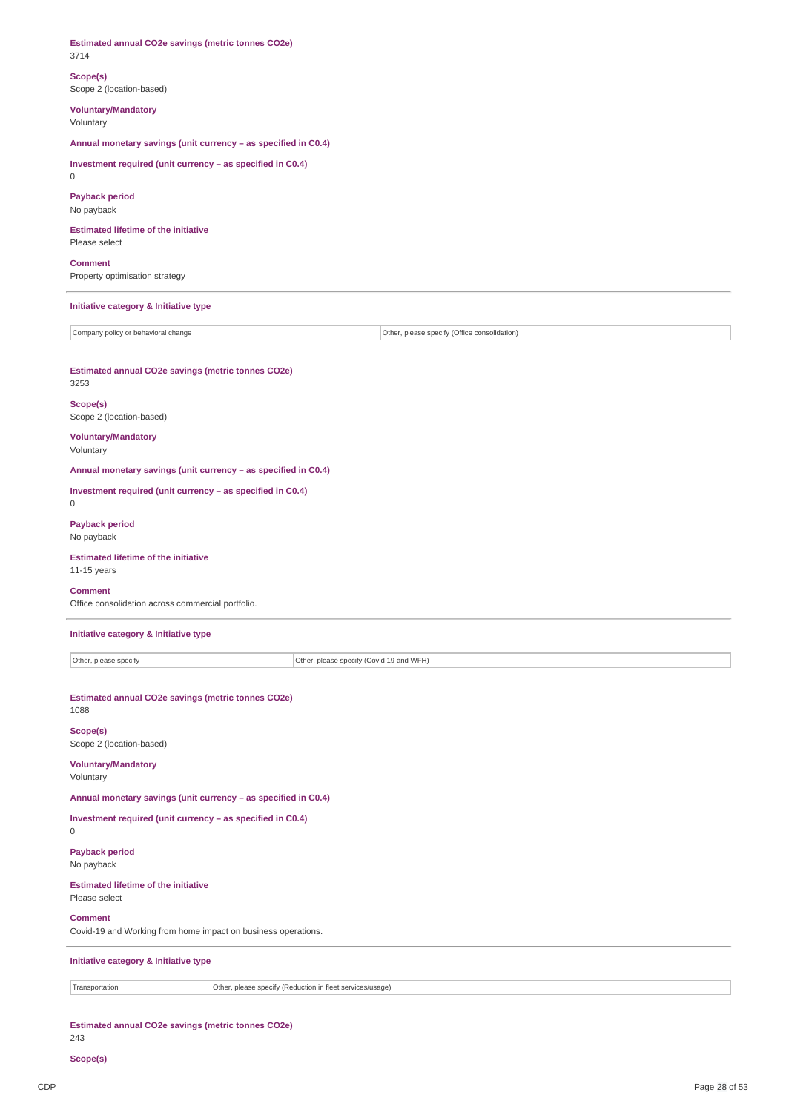# **Estimated annual CO2e savings (metric tonnes CO2e)** 3714 **Scope(s)** Scope 2 (location-based) **Voluntary/Mandatory** Voluntary **Annual monetary savings (unit currency – as specified in C0.4) Investment required (unit currency – as specified in C0.4)**  $\Omega$ **Payback period** No payback **Estimated lifetime of the initiative** Please select **Comment** Property optimisation strategy **Initiative category & Initiative type** Company policy or behavioral change Other, please specify (Office consolidation) **Estimated annual CO2e savings (metric tonnes CO2e)** 3253 **Scope(s)** Scope 2 (location-based) **Voluntary/Mandatory** Voluntary **Annual monetary savings (unit currency – as specified in C0.4) Investment required (unit currency – as specified in C0.4)**  $\Omega$ **Payback period** No payback **Estimated lifetime of the initiative** 11-15 years **Comment** Office consolidation across commercial portfolio. **Initiative category & Initiative type** Other, please specify **Other, please specify (Covid 19 and WFH) Estimated annual CO2e savings (metric tonnes CO2e)** 1088 **Scope(s)** Scope 2 (location-based) **Voluntary/Mandatory** Voluntary **Annual monetary savings (unit currency – as specified in C0.4) Investment required (unit currency – as specified in C0.4)** 0 **Payback period** No payback **Estimated lifetime of the initiative** Please select

## **Comment**

Covid-19 and Working from home impact on business operations.

**Initiative category & Initiative type**

Transportation **Other, please specify (Reduction in fleet services/usage)** 

**Estimated annual CO2e savings (metric tonnes CO2e)** 243

**Scope(s)**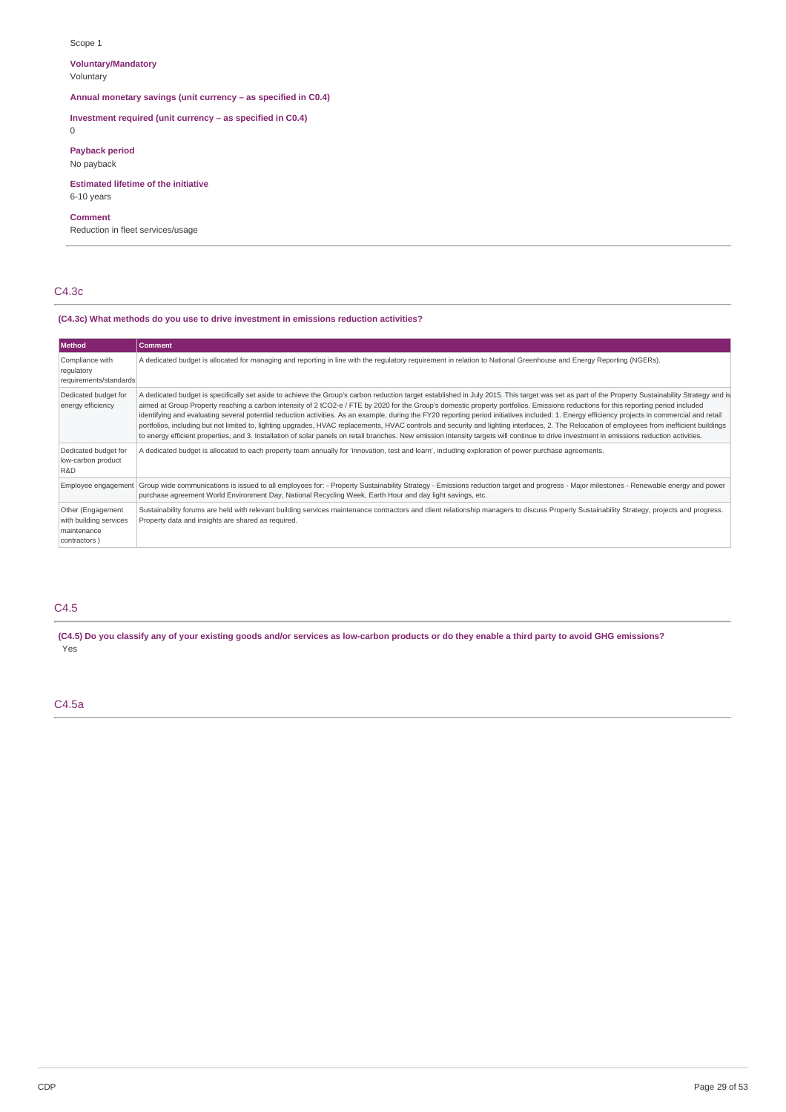## Scope 1

# **Voluntary/Mandatory**

Voluntary

**Annual monetary savings (unit currency – as specified in C0.4)**

## **Investment required (unit currency – as specified in C0.4)**

0

## **Payback period**

No payback

## **Estimated lifetime of the initiative** 6-10 years

# **Comment**

Reduction in fleet services/usage

# C4.3c

#### **(C4.3c) What methods do you use to drive investment in emissions reduction activities?**

| Method                                                                     | <b>Comment</b>                                                                                                                                                                                                                                                                                                                                                                                                                                                                                                                                                                                                                                                                                                                                                                                                                                                                                                                                                                             |
|----------------------------------------------------------------------------|--------------------------------------------------------------------------------------------------------------------------------------------------------------------------------------------------------------------------------------------------------------------------------------------------------------------------------------------------------------------------------------------------------------------------------------------------------------------------------------------------------------------------------------------------------------------------------------------------------------------------------------------------------------------------------------------------------------------------------------------------------------------------------------------------------------------------------------------------------------------------------------------------------------------------------------------------------------------------------------------|
| Compliance with<br>regulatory<br>requirements/standards                    | A dedicated budget is allocated for managing and reporting in line with the regulatory requirement in relation to National Greenhouse and Energy Reporting (NGERs).                                                                                                                                                                                                                                                                                                                                                                                                                                                                                                                                                                                                                                                                                                                                                                                                                        |
| Dedicated budget for<br>energy efficiency                                  | A dedicated budget is specifically set aside to achieve the Group's carbon reduction target established in July 2015. This target was set as part of the Property Sustainability Strategy and is<br>aimed at Group Property reaching a carbon intensity of 2 tCO2-e / FTE by 2020 for the Group's domestic property portfolios. Emissions reductions for this reporting period included<br>identifying and evaluating several potential reduction activities. As an example, during the FY20 reporting period initiatives included: 1. Energy efficiency projects in commercial and retail<br>portfolios, including but not limited to, lighting upgrades, HVAC replacements, HVAC controls and security and lighting interfaces, 2. The Relocation of employees from inefficient buildings<br>to energy efficient properties, and 3. Installation of solar panels on retail branches. New emission intensity targets will continue to drive investment in emissions reduction activities. |
| Dedicated budget for<br>low-carbon product<br>R&D                          | A dedicated budget is allocated to each property team annually for 'innovation, test and learn', including exploration of power purchase agreements.                                                                                                                                                                                                                                                                                                                                                                                                                                                                                                                                                                                                                                                                                                                                                                                                                                       |
|                                                                            | Employee engagement   Group wide communications is issued to all employees for: - Property Sustainability Strategy - Emissions reduction target and progress - Major milestones - Renewable energy and power<br>purchase agreement World Environment Day, National Recycling Week, Earth Hour and day light savings, etc.                                                                                                                                                                                                                                                                                                                                                                                                                                                                                                                                                                                                                                                                  |
| Other (Engagement<br>with building services<br>maintenance<br>contractors) | Sustainability forums are held with relevant building services maintenance contractors and client relationship managers to discuss Property Sustainability Strategy, projects and progress.<br>Property data and insights are shared as required.                                                                                                                                                                                                                                                                                                                                                                                                                                                                                                                                                                                                                                                                                                                                          |

# C4.5

(C4.5) Do you classify any of your existing goods and/or services as low-carbon products or do they enable a third party to avoid GHG emissions? Yes

# C4.5a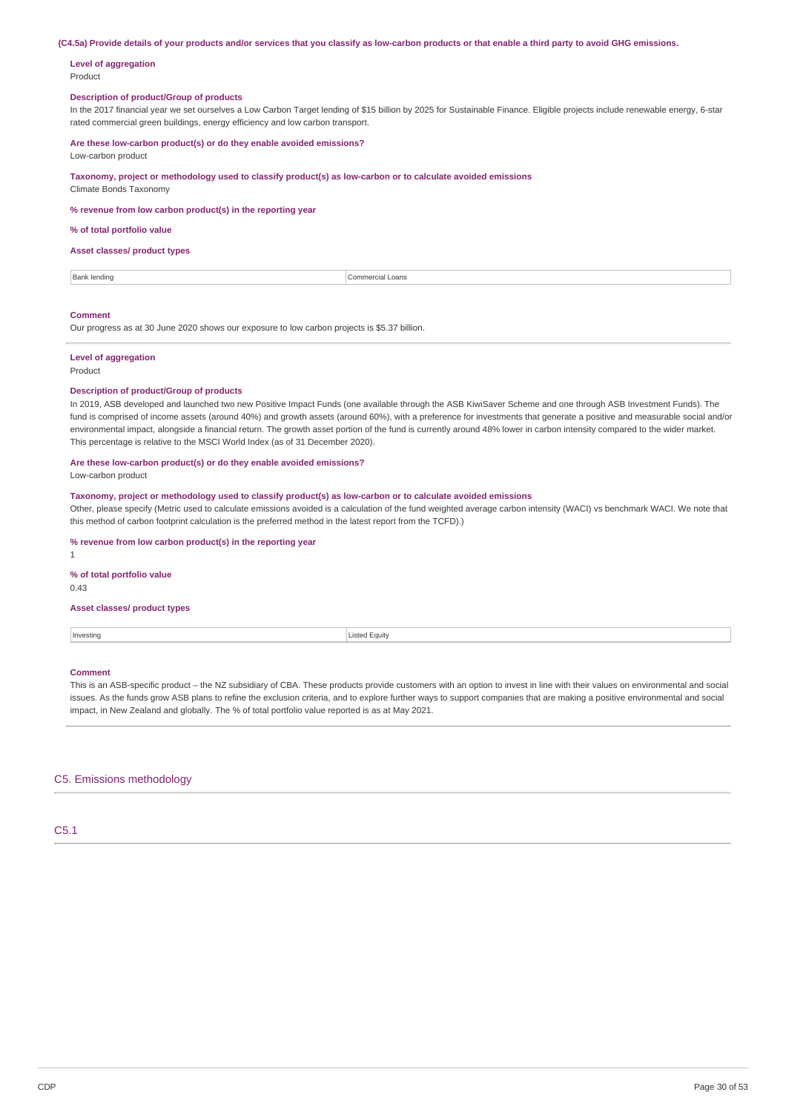(C4.5a) Provide details of your products and/or services that you classify as low-carbon products or that enable a third party to avoid GHG emissions.

#### **Level of aggregation** Product

### **Description of product/Group of products**

In the 2017 financial year we set ourselves a Low Carbon Target lending of \$15 billion by 2025 for Sustainable Finance. Eligible projects include renewable energy, 6-star rated commercial green buildings, energy efficiency and low carbon transport.

**Are these low-carbon product(s) or do they enable avoided emissions?**

Low-carbon product

**Taxonomy, project or methodology used to classify product(s) as low-carbon or to calculate avoided emissions**

Climate Bonds Taxonomy

**% revenue from low carbon product(s) in the reporting year**

#### **% of total portfolio value**

#### **Asset classes/ product types**

| ۰ | .oans<br>≅merciai .<br>nm<br>$\sim$<br>. |
|---|------------------------------------------|
|   |                                          |

## **Comment**

Our progress as at 30 June 2020 shows our exposure to low carbon projects is \$5.37 billion.

## **Level of aggregation**

Product

#### **Description of product/Group of products**

In 2019, ASB developed and launched two new Positive Impact Funds (one available through the ASB KiwiSaver Scheme and one through ASB Investment Funds). The fund is comprised of income assets (around 40%) and growth assets (around 60%), with a preference for investments that generate a positive and measurable social and/or environmental impact, alongside a financial return. The growth asset portion of the fund is currently around 48% lower in carbon intensity compared to the wider market. This percentage is relative to the MSCI World Index (as of 31 December 2020).

#### **Are these low-carbon product(s) or do they enable avoided emissions?**

Low-carbon product

## **Taxonomy, project or methodology used to classify product(s) as low-carbon or to calculate avoided emissions**

Other, please specify (Metric used to calculate emissions avoided is a calculation of the fund weighted average carbon intensity (WACI) vs benchmark WACI. We note that this method of carbon footprint calculation is the preferred method in the latest report from the TCFD).)

#### **% revenue from low carbon product(s) in the reporting year**

**% of total portfolio value**

0.43

1

#### **Asset classes/ product types**

**Investing** Listed Equity

## **Comment**

This is an ASB-specific product – the NZ subsidiary of CBA. These products provide customers with an option to invest in line with their values on environmental and social issues. As the funds grow ASB plans to refine the exclusion criteria, and to explore further ways to support companies that are making a positive environmental and social impact, in New Zealand and globally. The % of total portfolio value reported is as at May 2021.

#### C5. Emissions methodology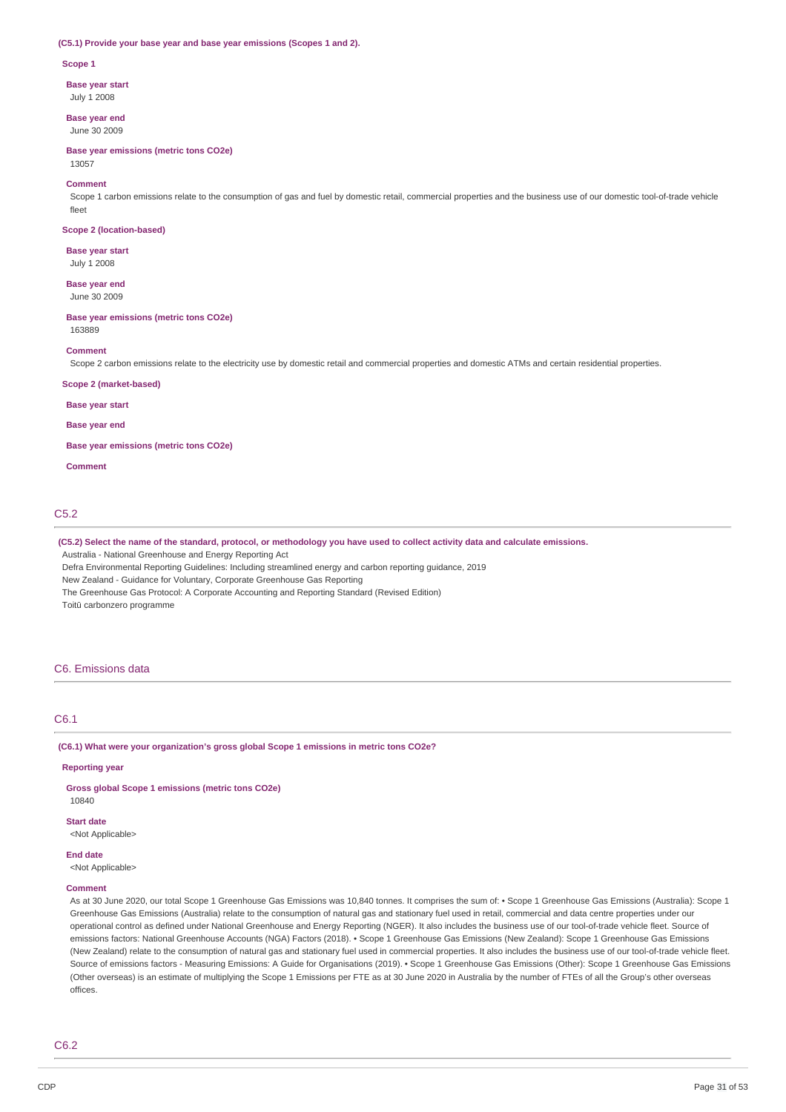#### **(C5.1) Provide your base year and base year emissions (Scopes 1 and 2).**

#### **Scope 1**

**Base year start**

July 1 2008

**Base year end** June 30 2009

**Base year emissions (metric tons CO2e)** 13057

## **Comment**

Scope 1 carbon emissions relate to the consumption of gas and fuel by domestic retail, commercial properties and the business use of our domestic tool-of-trade vehicle fleet

#### **Scope 2 (location-based)**

**Base year start** July 1 2008

**Base year end** June 30 2009

#### **Base year emissions (metric tons CO2e)**

163889

#### **Comment**

Scope 2 carbon emissions relate to the electricity use by domestic retail and commercial properties and domestic ATMs and certain residential properties.

#### **Scope 2 (market-based)**

**Base year start**

#### **Base year end**

**Base year emissions (metric tons CO2e)**

**Comment**

# C5.2

(C5.2) Select the name of the standard, protocol, or methodology you have used to collect activity data and calculate emissions.

Australia - National Greenhouse and Energy Reporting Act

Defra Environmental Reporting Guidelines: Including streamlined energy and carbon reporting guidance, 2019

New Zealand - Guidance for Voluntary, Corporate Greenhouse Gas Reporting

The Greenhouse Gas Protocol: A Corporate Accounting and Reporting Standard (Revised Edition)

Toitū carbonzero programme

## C6. Emissions data

#### C6.1

**(C6.1) What were your organization's gross global Scope 1 emissions in metric tons CO2e?**

#### **Reporting year**

**Gross global Scope 1 emissions (metric tons CO2e)**

# 10840

**Start date**

# <Not Applicable>

**End date**

<Not Applicable>

## **Comment**

As at 30 June 2020, our total Scope 1 Greenhouse Gas Emissions was 10,840 tonnes. It comprises the sum of: • Scope 1 Greenhouse Gas Emissions (Australia): Scope 1 Greenhouse Gas Emissions (Australia) relate to the consumption of natural gas and stationary fuel used in retail, commercial and data centre properties under our operational control as defined under National Greenhouse and Energy Reporting (NGER). It also includes the business use of our tool-of-trade vehicle fleet. Source of emissions factors: National Greenhouse Accounts (NGA) Factors (2018). • Scope 1 Greenhouse Gas Emissions (New Zealand): Scope 1 Greenhouse Gas Emissions (New Zealand) relate to the consumption of natural gas and stationary fuel used in commercial properties. It also includes the business use of our tool-of-trade vehicle fleet. Source of emissions factors - Measuring Emissions: A Guide for Organisations (2019). • Scope 1 Greenhouse Gas Emissions (Other): Scope 1 Greenhouse Gas Emissions (Other overseas) is an estimate of multiplying the Scope 1 Emissions per FTE as at 30 June 2020 in Australia by the number of FTEs of all the Group's other overseas offices.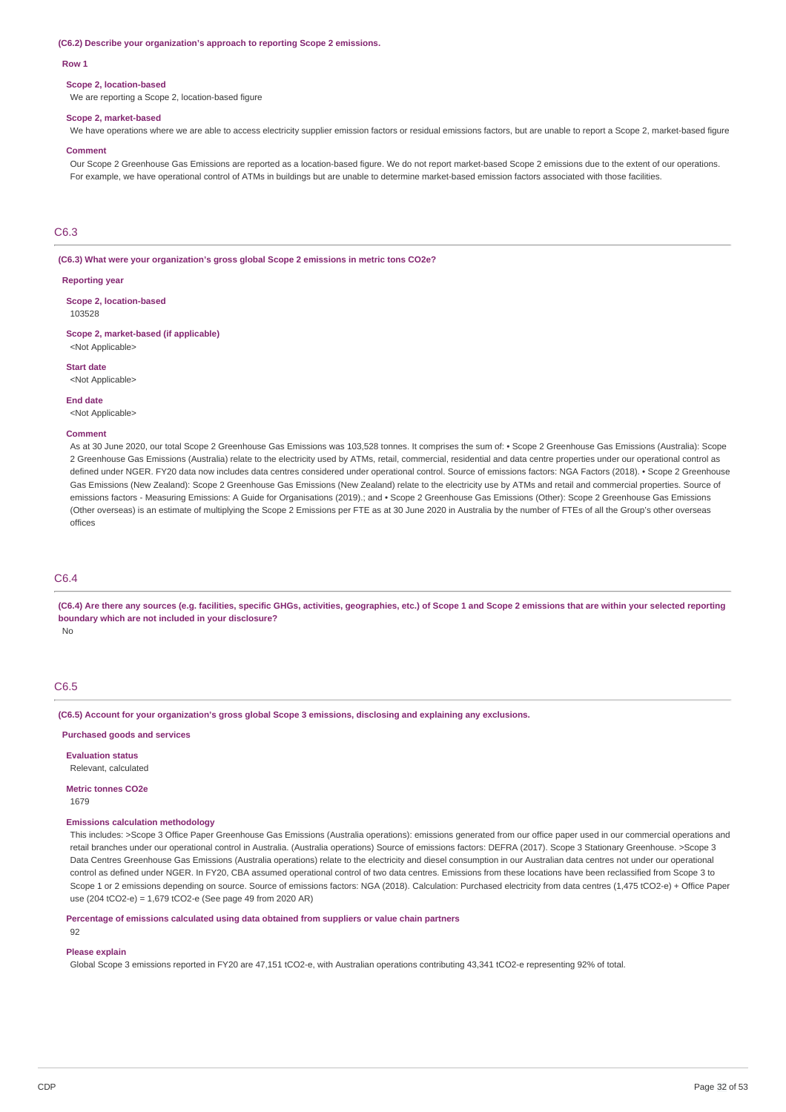#### **(C6.2) Describe your organization's approach to reporting Scope 2 emissions.**

#### **Row 1**

#### **Scope 2, location-based**

We are reporting a Scope 2, location-based figure

#### **Scope 2, market-based**

We have operations where we are able to access electricity supplier emission factors or residual emissions factors, but are unable to report a Scope 2, market-based figure

#### **Comment**

Our Scope 2 Greenhouse Gas Emissions are reported as a location-based figure. We do not report market-based Scope 2 emissions due to the extent of our operations. For example, we have operational control of ATMs in buildings but are unable to determine market-based emission factors associated with those facilities.

## C6.3

**(C6.3) What were your organization's gross global Scope 2 emissions in metric tons CO2e?**

#### **Reporting year**

**Scope 2, location-based** 103528

**Scope 2, market-based (if applicable)** <Not Applicable>

**Start date**

<Not Applicable>

**End date**

<Not Applicable>

#### **Comment**

As at 30 June 2020, our total Scope 2 Greenhouse Gas Emissions was 103,528 tonnes. It comprises the sum of: • Scope 2 Greenhouse Gas Emissions (Australia): Scope 2 Greenhouse Gas Emissions (Australia) relate to the electricity used by ATMs, retail, commercial, residential and data centre properties under our operational control as defined under NGER. FY20 data now includes data centres considered under operational control. Source of emissions factors: NGA Factors (2018). • Scope 2 Greenhouse Gas Emissions (New Zealand): Scope 2 Greenhouse Gas Emissions (New Zealand) relate to the electricity use by ATMs and retail and commercial properties. Source of emissions factors - Measuring Emissions: A Guide for Organisations (2019).; and • Scope 2 Greenhouse Gas Emissions (Other): Scope 2 Greenhouse Gas Emissions (Other overseas) is an estimate of multiplying the Scope 2 Emissions per FTE as at 30 June 2020 in Australia by the number of FTEs of all the Group's other overseas offices

## C6.4

(C6.4) Are there any sources (e.g. facilities, specific GHGs, activities, geographies, etc.) of Scope 1 and Scope 2 emissions that are within your selected reporting **boundary which are not included in your disclosure?**

No

# C6.5

**(C6.5) Account for your organization's gross global Scope 3 emissions, disclosing and explaining any exclusions.**

**Purchased goods and services**

**Evaluation status** Relevant, calculated

**Metric tonnes CO2e**

1679

## **Emissions calculation methodology**

This includes: >Scope 3 Office Paper Greenhouse Gas Emissions (Australia operations): emissions generated from our office paper used in our commercial operations and retail branches under our operational control in Australia. (Australia operations) Source of emissions factors: DEFRA (2017). Scope 3 Stationary Greenhouse. >Scope 3 Data Centres Greenhouse Gas Emissions (Australia operations) relate to the electricity and diesel consumption in our Australian data centres not under our operational control as defined under NGER. In FY20, CBA assumed operational control of two data centres. Emissions from these locations have been reclassified from Scope 3 to Scope 1 or 2 emissions depending on source. Source of emissions factors: NGA (2018). Calculation: Purchased electricity from data centres (1,475 tCO2-e) + Office Paper use (204 tCO2-e) = 1,679 tCO2-e (See page 49 from 2020 AR)

**Percentage of emissions calculated using data obtained from suppliers or value chain partners**

92

#### **Please explain**

Global Scope 3 emissions reported in FY20 are 47,151 tCO2-e, with Australian operations contributing 43,341 tCO2-e representing 92% of total.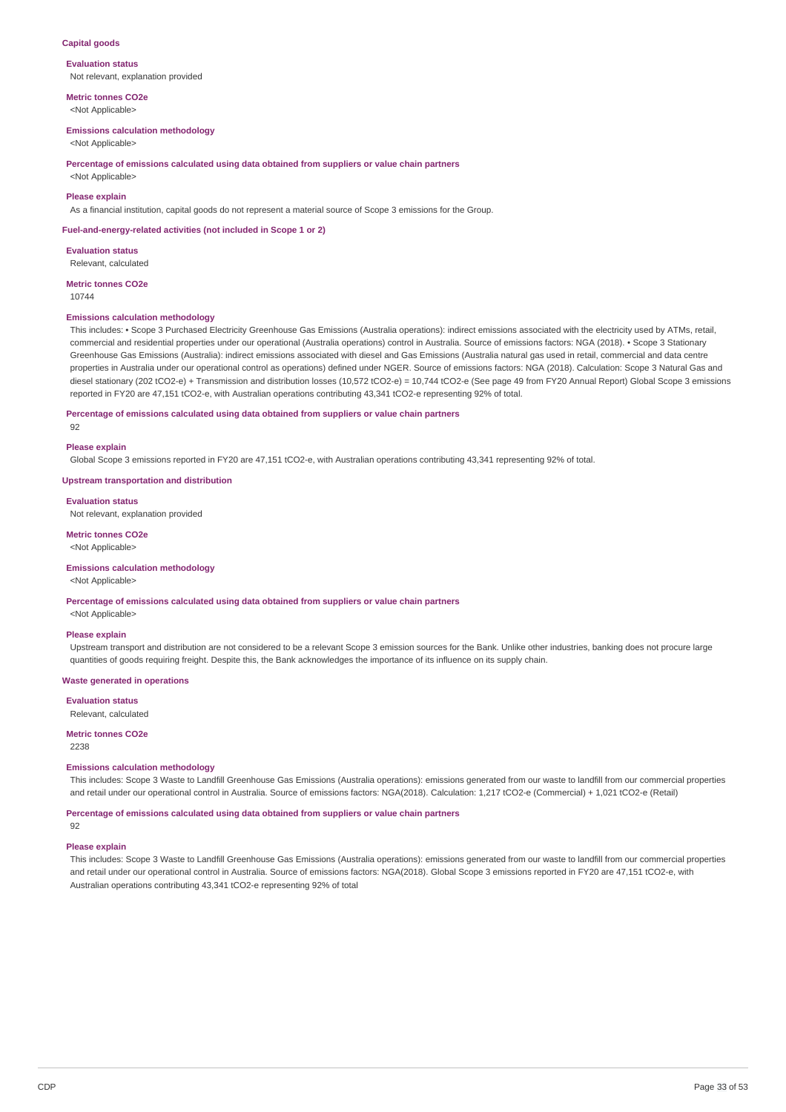### **Capital goods**

**Evaluation status** Not relevant, explanation provided

**Metric tonnes CO2e** <Not Applicable>

#### **Emissions calculation methodology**

<Not Applicable>

#### **Percentage of emissions calculated using data obtained from suppliers or value chain partners**

<Not Applicable>

## **Please explain**

As a financial institution, capital goods do not represent a material source of Scope 3 emissions for the Group.

#### **Fuel-and-energy-related activities (not included in Scope 1 or 2)**

**Evaluation status** Relevant, calculated

**Metric tonnes CO2e**

10744

#### **Emissions calculation methodology**

This includes: • Scope 3 Purchased Electricity Greenhouse Gas Emissions (Australia operations): indirect emissions associated with the electricity used by ATMs, retail, commercial and residential properties under our operational (Australia operations) control in Australia. Source of emissions factors: NGA (2018). • Scope 3 Stationary Greenhouse Gas Emissions (Australia): indirect emissions associated with diesel and Gas Emissions (Australia natural gas used in retail, commercial and data centre properties in Australia under our operational control as operations) defined under NGER. Source of emissions factors: NGA (2018). Calculation: Scope 3 Natural Gas and diesel stationary (202 tCO2-e) + Transmission and distribution losses (10,572 tCO2-e) = 10,744 tCO2-e (See page 49 from FY20 Annual Report) Global Scope 3 emissions reported in FY20 are 47,151 tCO2-e, with Australian operations contributing 43,341 tCO2-e representing 92% of total.

#### **Percentage of emissions calculated using data obtained from suppliers or value chain partners**

92

#### **Please explain**

Global Scope 3 emissions reported in FY20 are 47,151 tCO2-e, with Australian operations contributing 43,341 representing 92% of total.

#### **Upstream transportation and distribution**

**Evaluation status** Not relevant, explanation provided

# **Metric tonnes CO2e**

<Not Applicable>

## **Emissions calculation methodology**

<Not Applicable>

**Percentage of emissions calculated using data obtained from suppliers or value chain partners**

<Not Applicable>

#### **Please explain**

Upstream transport and distribution are not considered to be a relevant Scope 3 emission sources for the Bank. Unlike other industries, banking does not procure large quantities of goods requiring freight. Despite this, the Bank acknowledges the importance of its influence on its supply chain.

#### **Waste generated in operations**

**Evaluation status** Relevant, calculated

# **Metric tonnes CO2e**

2238

#### **Emissions calculation methodology**

This includes: Scope 3 Waste to Landfill Greenhouse Gas Emissions (Australia operations): emissions generated from our waste to landfill from our commercial properties and retail under our operational control in Australia. Source of emissions factors: NGA(2018). Calculation: 1,217 tCO2-e (Commercial) + 1,021 tCO2-e (Retail)

**Percentage of emissions calculated using data obtained from suppliers or value chain partners**

#### 92

## **Please explain**

This includes: Scope 3 Waste to Landfill Greenhouse Gas Emissions (Australia operations): emissions generated from our waste to landfill from our commercial properties and retail under our operational control in Australia. Source of emissions factors: NGA(2018). Global Scope 3 emissions reported in FY20 are 47,151 tCO2-e, with Australian operations contributing 43,341 tCO2-e representing 92% of total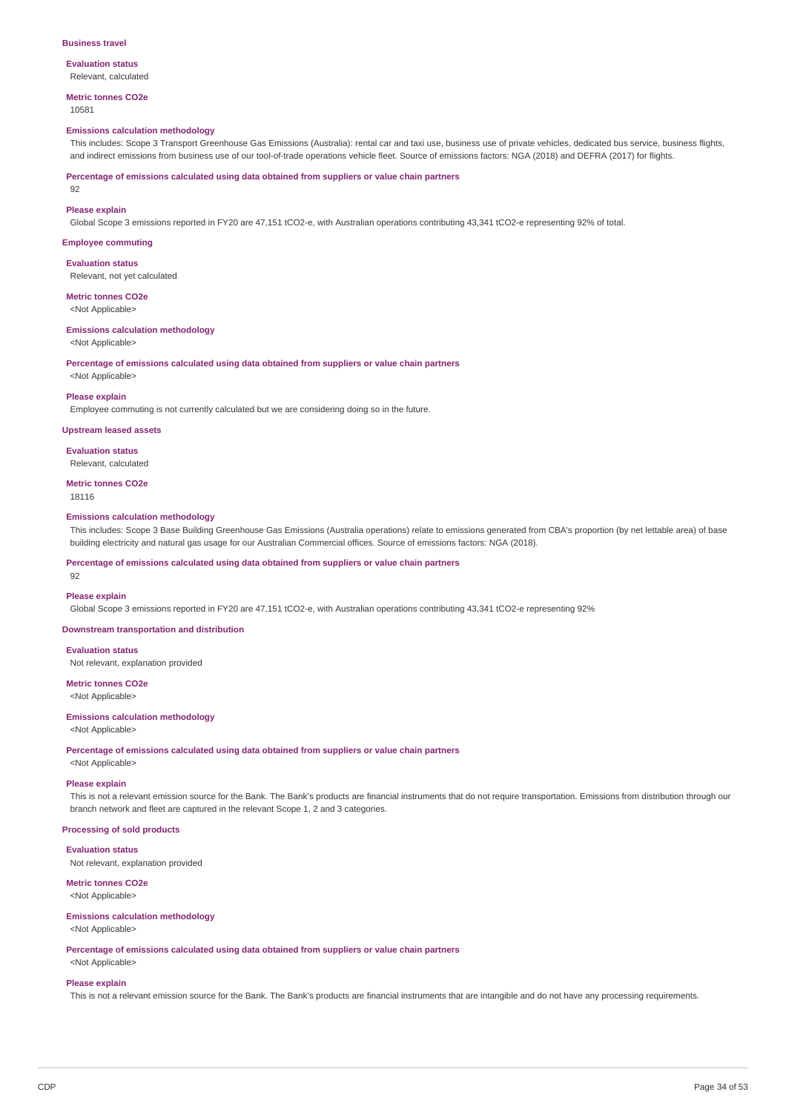#### **Business travel**

# **Evaluation status**

Relevant, calculated

# **Metric tonnes CO2e**

10581

## **Emissions calculation methodology**

This includes: Scope 3 Transport Greenhouse Gas Emissions (Australia): rental car and taxi use, business use of private vehicles, dedicated bus service, business flights, and indirect emissions from business use of our tool-of-trade operations vehicle fleet. Source of emissions factors: NGA (2018) and DEFRA (2017) for flights.

**Percentage of emissions calculated using data obtained from suppliers or value chain partners**

92

## **Please explain**

Global Scope 3 emissions reported in FY20 are 47,151 tCO2-e, with Australian operations contributing 43,341 tCO2-e representing 92% of total.

### **Employee commuting**

**Evaluation status**

Relevant, not yet calculated

# **Metric tonnes CO2e**

<Not Applicable>

# **Emissions calculation methodology**

<Not Applicable>

**Percentage of emissions calculated using data obtained from suppliers or value chain partners**

<Not Applicable>

## **Please explain**

Employee commuting is not currently calculated but we are considering doing so in the future.

# **Upstream leased assets**

**Evaluation status** Relevant, calculated

# **Metric tonnes CO2e**

18116

## **Emissions calculation methodology**

This includes: Scope 3 Base Building Greenhouse Gas Emissions (Australia operations) relate to emissions generated from CBA's proportion (by net lettable area) of base building electricity and natural gas usage for our Australian Commercial offices. Source of emissions factors: NGA (2018).

**Percentage of emissions calculated using data obtained from suppliers or value chain partners**

# **Please explain**

92

Global Scope 3 emissions reported in FY20 are 47,151 tCO2-e, with Australian operations contributing 43,341 tCO2-e representing 92%

**Downstream transportation and distribution**

#### **Evaluation status**

Not relevant, explanation provided

#### **Metric tonnes CO2e** <Not Applicable>

#### **Emissions calculation methodology**

<Not Applicable>

**Percentage of emissions calculated using data obtained from suppliers or value chain partners**

# <Not Applicable>

## **Please explain**

This is not a relevant emission source for the Bank. The Bank's products are financial instruments that do not require transportation. Emissions from distribution through our branch network and fleet are captured in the relevant Scope 1, 2 and 3 categories.

## **Processing of sold products**

## **Evaluation status**

Not relevant, explanation provided

# **Metric tonnes CO2e**

<Not Applicable>

# **Emissions calculation methodology**

<Not Applicable>

**Percentage of emissions calculated using data obtained from suppliers or value chain partners**

# <Not Applicable>

# **Please explain**

This is not a relevant emission source for the Bank. The Bank's products are financial instruments that are intangible and do not have any processing requirements.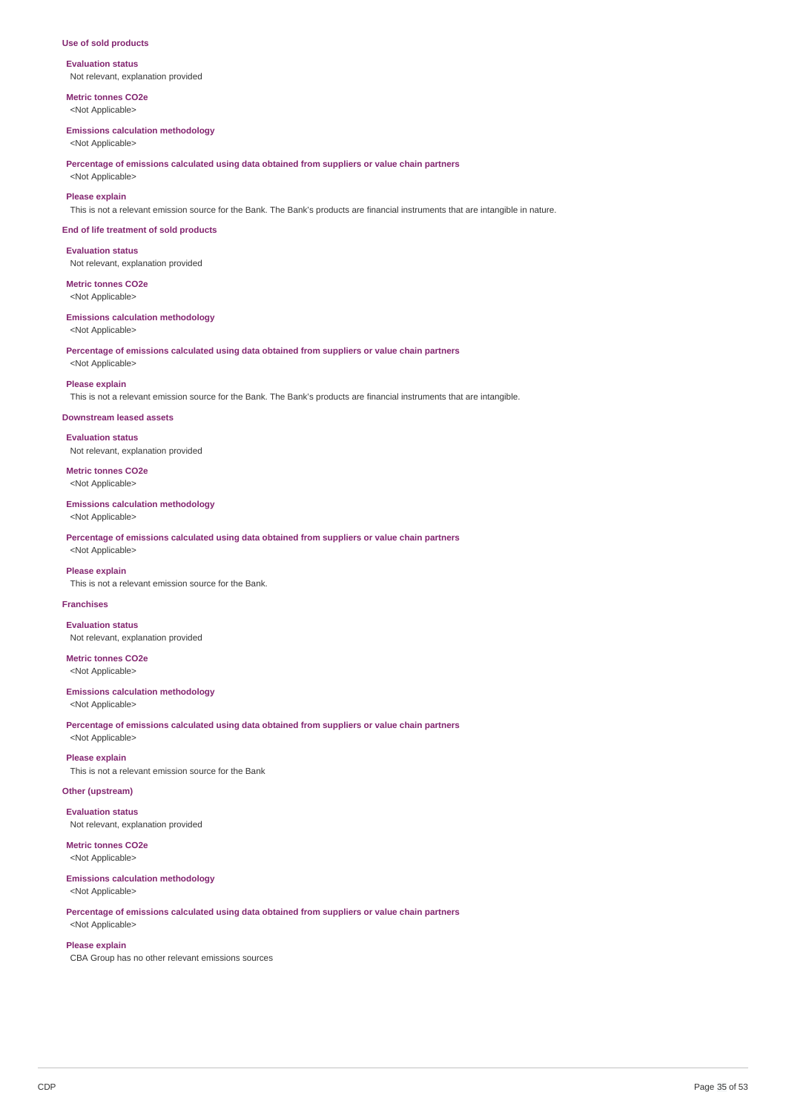#### **Use of sold products**

**Evaluation status** Not relevant, explanation provided

**Metric tonnes CO2e** <Not Applicable>

#### **Emissions calculation methodology**

<Not Applicable>

**Percentage of emissions calculated using data obtained from suppliers or value chain partners**

<Not Applicable>

## **Please explain**

This is not a relevant emission source for the Bank. The Bank's products are financial instruments that are intangible in nature.

#### **End of life treatment of sold products**

**Evaluation status** Not relevant, explanation provided

**Metric tonnes CO2e** <Not Applicable>

**Emissions calculation methodology** <Not Applicable>

**Percentage of emissions calculated using data obtained from suppliers or value chain partners**

## <Not Applicable>

**Please explain**

This is not a relevant emission source for the Bank. The Bank's products are financial instruments that are intangible.

#### **Downstream leased assets**

**Evaluation status** Not relevant, explanation provided

**Metric tonnes CO2e**

<Not Applicable>

## **Emissions calculation methodology**

<Not Applicable>

**Percentage of emissions calculated using data obtained from suppliers or value chain partners** <Not Applicable>

#### **Please explain**

This is not a relevant emission source for the Bank.

## **Franchises**

**Evaluation status** Not relevant, explanation provided

**Metric tonnes CO2e**

<Not Applicable>

#### **Emissions calculation methodology**

<Not Applicable>

**Percentage of emissions calculated using data obtained from suppliers or value chain partners** <Not Applicable>

**Please explain** This is not a relevant emission source for the Bank

#### **Other (upstream)**

**Evaluation status** Not relevant, explanation provided

**Metric tonnes CO2e**

<Not Applicable>

**Emissions calculation methodology**

<Not Applicable>

**Percentage of emissions calculated using data obtained from suppliers or value chain partners**

# <Not Applicable> **Please explain**

CBA Group has no other relevant emissions sources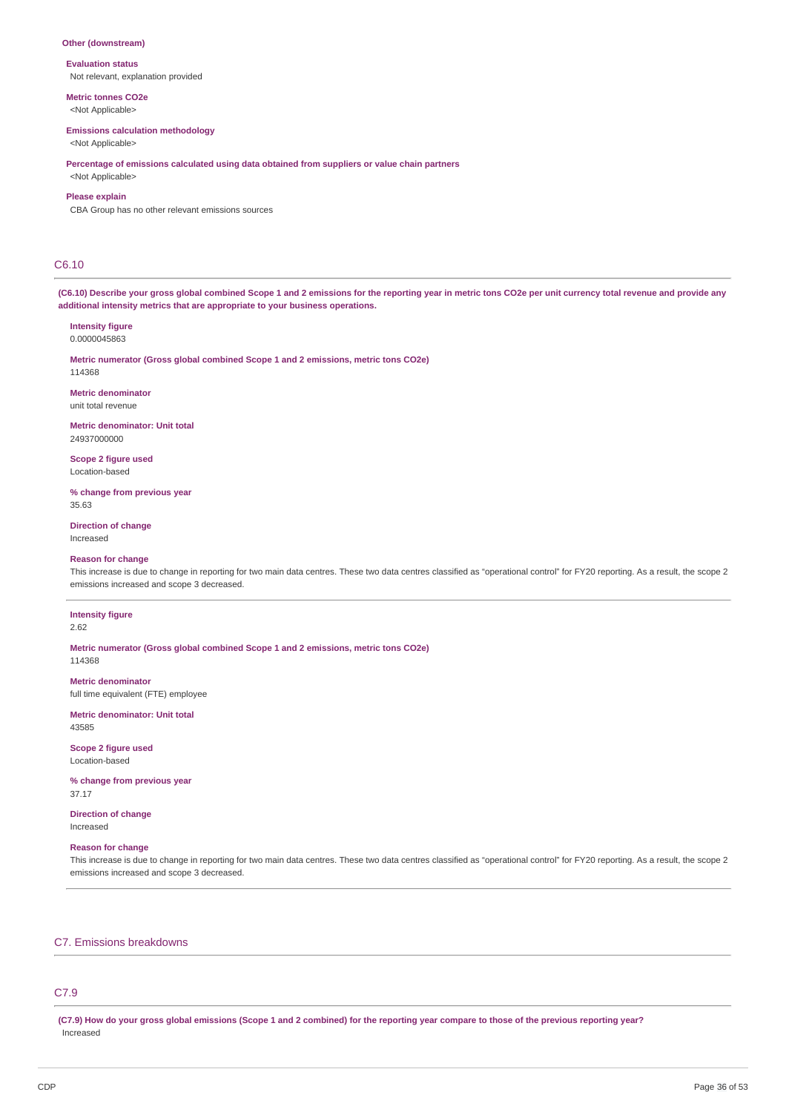#### **Other (downstream)**

**Evaluation status** Not relevant, explanation provided

**Metric tonnes CO2e**

<Not Applicable>

## **Emissions calculation methodology**

<Not Applicable>

**Percentage of emissions calculated using data obtained from suppliers or value chain partners**

# <Not Applicable> **Please explain**

CBA Group has no other relevant emissions sources

## C6.10

(C6.10) Describe your gross global combined Scope 1 and 2 emissions for the reporting year in metric tons CO2e per unit currency total revenue and provide any **additional intensity metrics that are appropriate to your business operations.**

#### **Intensity figure** 0.0000045863

**Metric numerator (Gross global combined Scope 1 and 2 emissions, metric tons CO2e)** 114368

**Metric denominator** unit total revenue

**Metric denominator: Unit total** 24937000000

**Scope 2 figure used** Location-based

**% change from previous year** 35.63

**Direction of change**

Increased

## **Reason for change**

This increase is due to change in reporting for two main data centres. These two data centres classified as "operational control" for FY20 reporting. As a result, the scope 2 emissions increased and scope 3 decreased.

## **Intensity figure**

2.62

**Metric numerator (Gross global combined Scope 1 and 2 emissions, metric tons CO2e)** 114368

**Metric denominator** full time equivalent (FTE) employee

**Metric denominator: Unit total** 43585

**Scope 2 figure used** Location-based

**% change from previous year** 37.17

**Direction of change** Increased

## **Reason for change**

This increase is due to change in reporting for two main data centres. These two data centres classified as "operational control" for FY20 reporting. As a result, the scope 2 emissions increased and scope 3 decreased.

# C7. Emissions breakdowns

# C7.9

(C7.9) How do your gross global emissions (Scope 1 and 2 combined) for the reporting year compare to those of the previous reporting year? Increased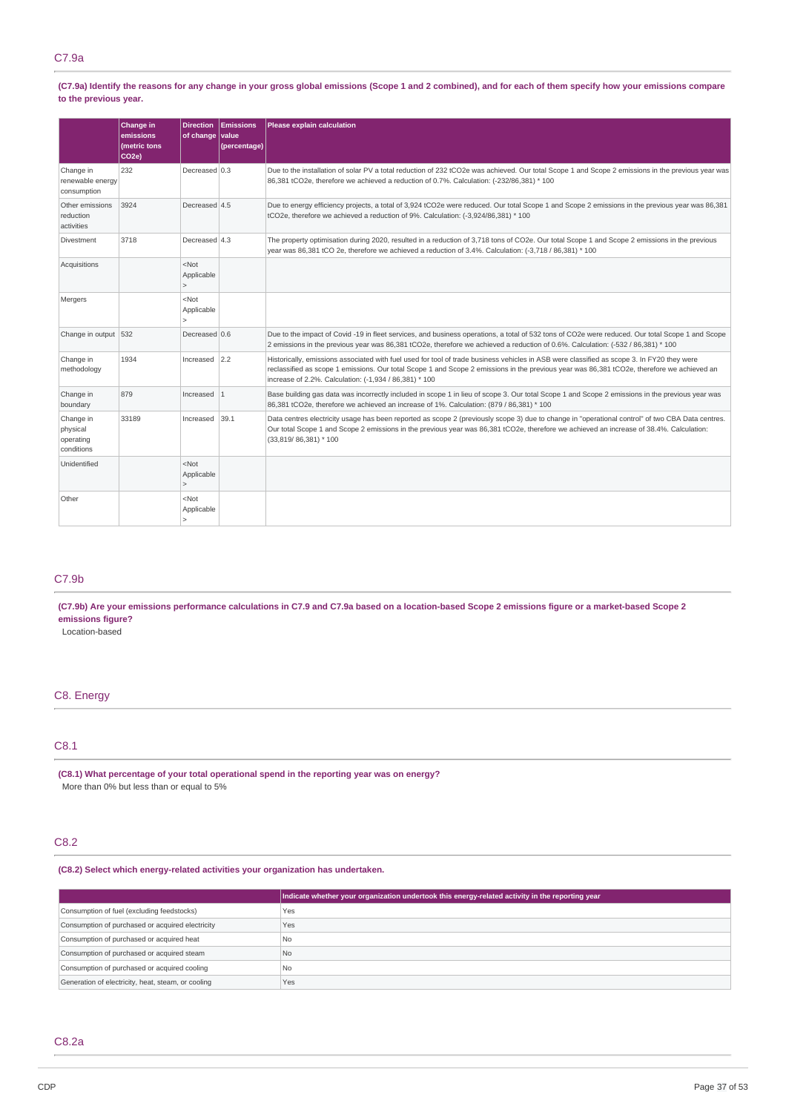(C7.9a) Identify the reasons for any change in your gross global emissions (Scope 1 and 2 combined), and for each of them specify how your emissions compare **to the previous year.**

|                                                  | Change in<br>emissions<br>(metric tons<br>CO <sub>2e</sub> ) | <b>Direction</b><br>of change value | Emissions<br>(percentage) | <b>Please explain calculation</b>                                                                                                                                                                                                                                                                                                                  |
|--------------------------------------------------|--------------------------------------------------------------|-------------------------------------|---------------------------|----------------------------------------------------------------------------------------------------------------------------------------------------------------------------------------------------------------------------------------------------------------------------------------------------------------------------------------------------|
| Change in<br>renewable energy<br>consumption     | 232                                                          | Decreased 0.3                       |                           | Due to the installation of solar PV a total reduction of 232 tCO2e was achieved. Our total Scope 1 and Scope 2 emissions in the previous year was<br>86,381 tCO2e, therefore we achieved a reduction of 0.7%. Calculation: (-232/86,381) * 100                                                                                                     |
| Other emissions<br>reduction<br>activities       | 3924                                                         | Decreased 4.5                       |                           | Due to energy efficiency projects, a total of 3,924 tCO2e were reduced. Our total Scope 1 and Scope 2 emissions in the previous year was 86,381<br>tCO2e, therefore we achieved a reduction of 9%. Calculation: (-3,924/86,381) * 100                                                                                                              |
| Divestment                                       | 3718                                                         | Decreased 4.3                       |                           | The property optimisation during 2020, resulted in a reduction of 3,718 tons of CO2e. Our total Scope 1 and Scope 2 emissions in the previous<br>year was 86,381 tCO 2e, therefore we achieved a reduction of 3.4%. Calculation: (-3,718 / 86,381) * 100                                                                                           |
| Acquisitions                                     |                                                              | $<$ Not<br>Applicable               |                           |                                                                                                                                                                                                                                                                                                                                                    |
| Mergers                                          |                                                              | $<$ Not<br>Applicable<br>$\geq$     |                           |                                                                                                                                                                                                                                                                                                                                                    |
| Change in output 532                             |                                                              | Decreased 0.6                       |                           | Due to the impact of Covid -19 in fleet services, and business operations, a total of 532 tons of CO2e were reduced. Our total Scope 1 and Scope<br>2 emissions in the previous year was 86,381 tCO2e, therefore we achieved a reduction of 0.6%. Calculation: (-532 / 86,381) * 100                                                               |
| Change in<br>methodology                         | 1934                                                         | Increased $ 2.2$                    |                           | Historically, emissions associated with fuel used for tool of trade business vehicles in ASB were classified as scope 3. In FY20 they were<br>reclassified as scope 1 emissions. Our total Scope 1 and Scope 2 emissions in the previous year was 86,381 tCO2e, therefore we achieved an<br>increase of 2.2%. Calculation: (-1,934 / 86,381) * 100 |
| Change in<br>boundary                            | 879                                                          | Increased $ 1$                      |                           | Base building gas data was incorrectly included in scope 1 in lieu of scope 3. Our total Scope 1 and Scope 2 emissions in the previous year was<br>86,381 tCO2e, therefore we achieved an increase of 1%. Calculation: (879 / 86,381) * 100                                                                                                        |
| Change in<br>physical<br>operating<br>conditions | 33189                                                        | Increased 39.1                      |                           | Data centres electricity usage has been reported as scope 2 (previously scope 3) due to change in "operational control" of two CBA Data centres.<br>Our total Scope 1 and Scope 2 emissions in the previous year was 86,381 tCO2e, therefore we achieved an increase of 38.4%. Calculation:<br>$(33,819/86,381)*100$                               |
| Unidentified                                     |                                                              | $<$ Not<br>Applicable<br>$\geq$     |                           |                                                                                                                                                                                                                                                                                                                                                    |
| Other                                            |                                                              | $<$ Not<br>Applicable<br>5          |                           |                                                                                                                                                                                                                                                                                                                                                    |

# C7.9b

(C7.9b) Are your emissions performance calculations in C7.9 and C7.9a based on a location-based Scope 2 emissions figure or a market-based Scope 2 **emissions figure?**

Location-based

## C8. Energy

# C8.1

**(C8.1) What percentage of your total operational spend in the reporting year was on energy?** More than 0% but less than or equal to 5%

## C8.2

## **(C8.2) Select which energy-related activities your organization has undertaken.**

|                                                    | Indicate whether your organization undertook this energy-related activity in the reporting year |
|----------------------------------------------------|-------------------------------------------------------------------------------------------------|
| Consumption of fuel (excluding feedstocks)         | Yes                                                                                             |
| Consumption of purchased or acquired electricity   | Yes                                                                                             |
| Consumption of purchased or acquired heat          | l No                                                                                            |
| Consumption of purchased or acquired steam         | N <sub>o</sub>                                                                                  |
| Consumption of purchased or acquired cooling       | No.                                                                                             |
| Generation of electricity, heat, steam, or cooling | Yes                                                                                             |

# C8.2a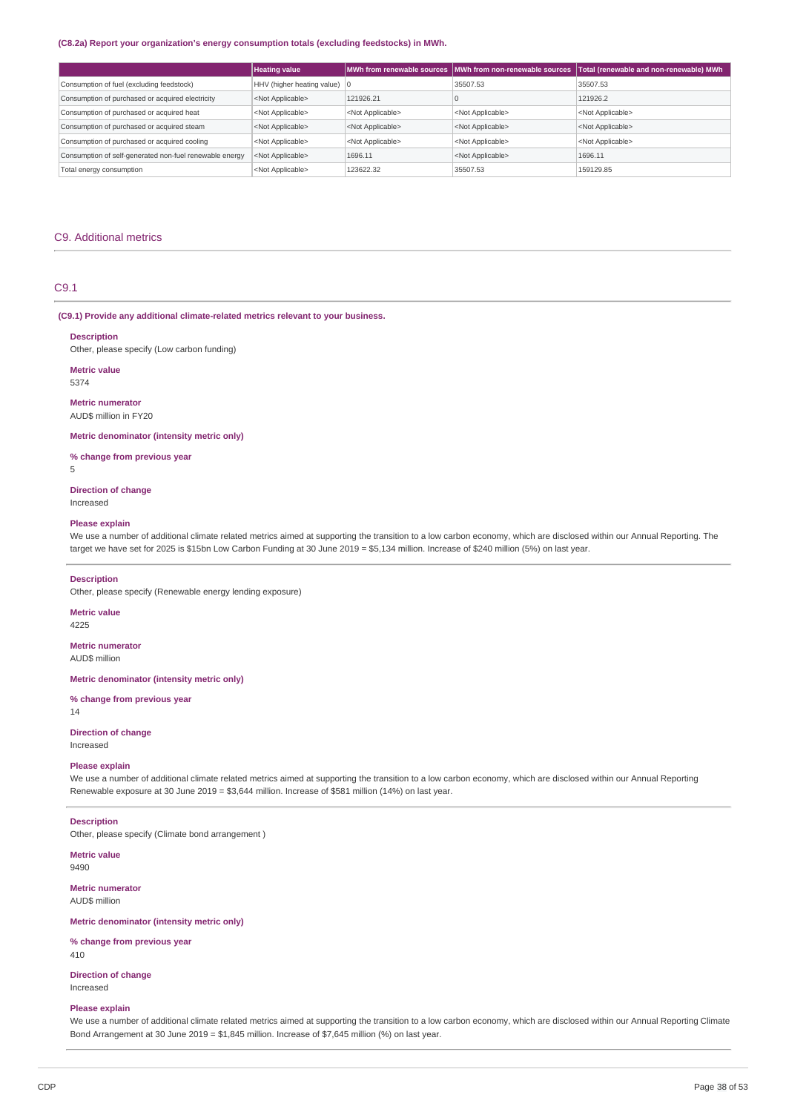#### **(C8.2a) Report your organization's energy consumption totals (excluding feedstocks) in MWh.**

|                                                         | <b>Heating value</b>           |                           |                           | MWh from renewable sources MWh from non-renewable sources Total (renewable and non-renewable) MWh |
|---------------------------------------------------------|--------------------------------|---------------------------|---------------------------|---------------------------------------------------------------------------------------------------|
| Consumption of fuel (excluding feedstock)               | HHV (higher heating value)   0 |                           | 35507.53                  | 35507.53                                                                                          |
| Consumption of purchased or acquired electricity        | <not applicable=""></not>      | 121926.21                 |                           | 121926.2                                                                                          |
| Consumption of purchased or acquired heat               | <not applicable=""></not>      | <not applicable=""></not> | <not applicable=""></not> | <not applicable=""></not>                                                                         |
| Consumption of purchased or acquired steam              | <not applicable=""></not>      | <not applicable=""></not> | <not applicable=""></not> | <not applicable=""></not>                                                                         |
| Consumption of purchased or acquired cooling            | <not applicable=""></not>      | <not applicable=""></not> | <not applicable=""></not> | <not applicable=""></not>                                                                         |
| Consumption of self-generated non-fuel renewable energy | <not applicable=""></not>      | 1696.11                   | <not applicable=""></not> | 1696.11                                                                                           |
| Total energy consumption                                | <not applicable=""></not>      | 123622.32                 | 35507.53                  | 159129.85                                                                                         |

## C9. Additional metrics

## C9.1

#### **(C9.1) Provide any additional climate-related metrics relevant to your business.**

#### **Description**

Other, please specify (Low carbon funding)

**Metric value** 5374

**Metric numerator** AUD\$ million in FY20

## **Metric denominator (intensity metric only)**

**% change from previous year**

5

## **Direction of change**

Increased

## **Please explain**

We use a number of additional climate related metrics aimed at supporting the transition to a low carbon economy, which are disclosed within our Annual Reporting. The target we have set for 2025 is \$15bn Low Carbon Funding at 30 June 2019 = \$5,134 million. Increase of \$240 million (5%) on last year.

#### **Description**

Other, please specify (Renewable energy lending exposure)

# **Metric value**

4225

#### **Metric numerator** AUD\$ million

**Metric denominator (intensity metric only)**

## **% change from previous year**

14

# **Direction of change**

Increased

## **Please explain**

We use a number of additional climate related metrics aimed at supporting the transition to a low carbon economy, which are disclosed within our Annual Reporting Renewable exposure at 30 June 2019 = \$3,644 million. Increase of \$581 million (14%) on last year.

#### **Description**

Other, please specify (Climate bond arrangement )

#### **Metric value** 9490

**Metric numerator** AUD\$ million

### **Metric denominator (intensity metric only)**

**% change from previous year** 410

**Direction of change** Increased

#### **Please explain**

We use a number of additional climate related metrics aimed at supporting the transition to a low carbon economy, which are disclosed within our Annual Reporting Climate Bond Arrangement at 30 June 2019 = \$1,845 million. Increase of \$7,645 million (%) on last year.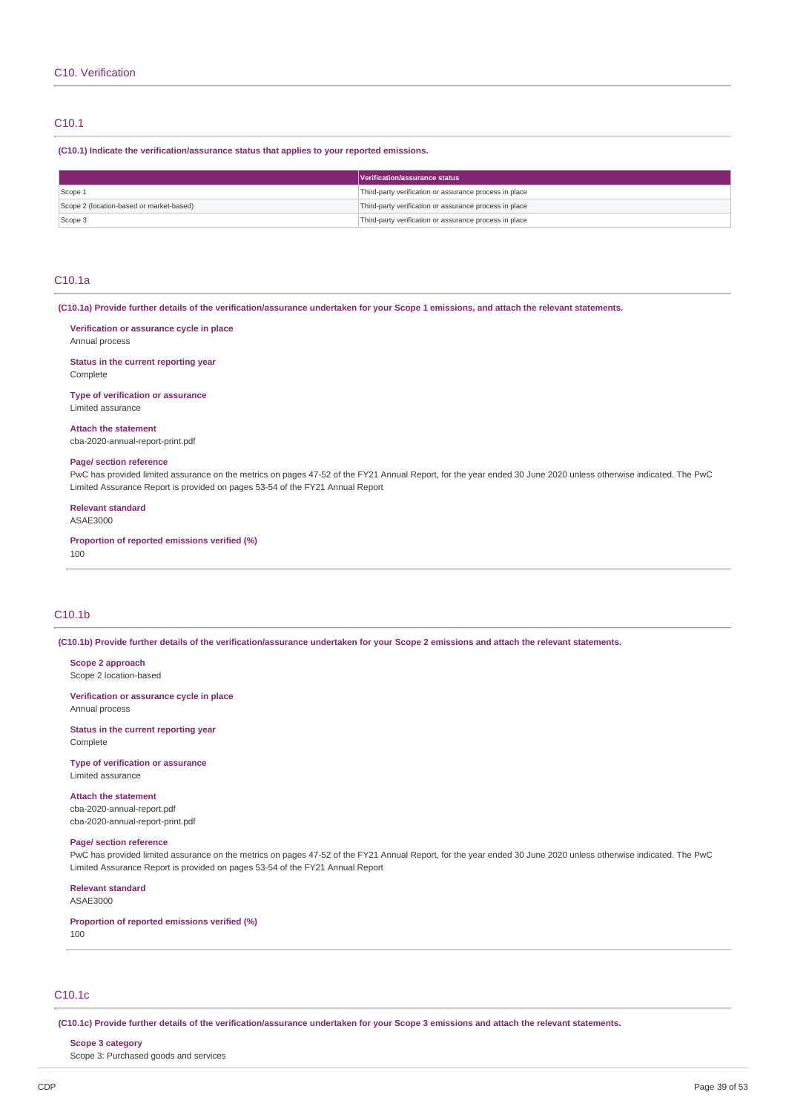# C10.1

## **(C10.1) Indicate the verification/assurance status that applies to your reported emissions.**

|                                          | Verification/assurance status                          |
|------------------------------------------|--------------------------------------------------------|
| Scope 1                                  | Third-party verification or assurance process in place |
| Scope 2 (location-based or market-based) | Third-party verification or assurance process in place |
| Scope 3                                  | Third-party verification or assurance process in place |

## C10.1a

(C10.1a) Provide further details of the verification/assurance undertaken for your Scope 1 emissions, and attach the relevant statements.

## **Verification or assurance cycle in place**

Annual process

**Status in the current reporting year** Complete

**Type of verification or assurance**

Limited assurance

**Attach the statement**

cba-2020-annual-report-print.pdf

#### **Page/ section reference**

PwC has provided limited assurance on the metrics on pages 47-52 of the FY21 Annual Report, for the year ended 30 June 2020 unless otherwise indicated. The PwC Limited Assurance Report is provided on pages 53-54 of the FY21 Annual Report

# **Relevant standard**

ASAE3000

**Proportion of reported emissions verified (%)** 100

# C10.1b

(C10.1b) Provide further details of the verification/assurance undertaken for your Scope 2 emissions and attach the relevant statements.

#### **Scope 2 approach**

Scope 2 location-based

#### **Verification or assurance cycle in place** Annual process

**Status in the current reporting year** Complete

**Type of verification or assurance** Limited assurance

**Attach the statement** cba-2020-annual-report.pdf cba-2020-annual-report-print.pdf

#### **Page/ section reference**

PwC has provided limited assurance on the metrics on pages 47-52 of the FY21 Annual Report, for the year ended 30 June 2020 unless otherwise indicated. The PwC Limited Assurance Report is provided on pages 53-54 of the FY21 Annual Report

# **Relevant standard**

ASAE3000

#### **Proportion of reported emissions verified (%)**

100

# C10.1c

(C10.1c) Provide further details of the verification/assurance undertaken for your Scope 3 emissions and attach the relevant statements.

### **Scope 3 category**

Scope 3: Purchased goods and services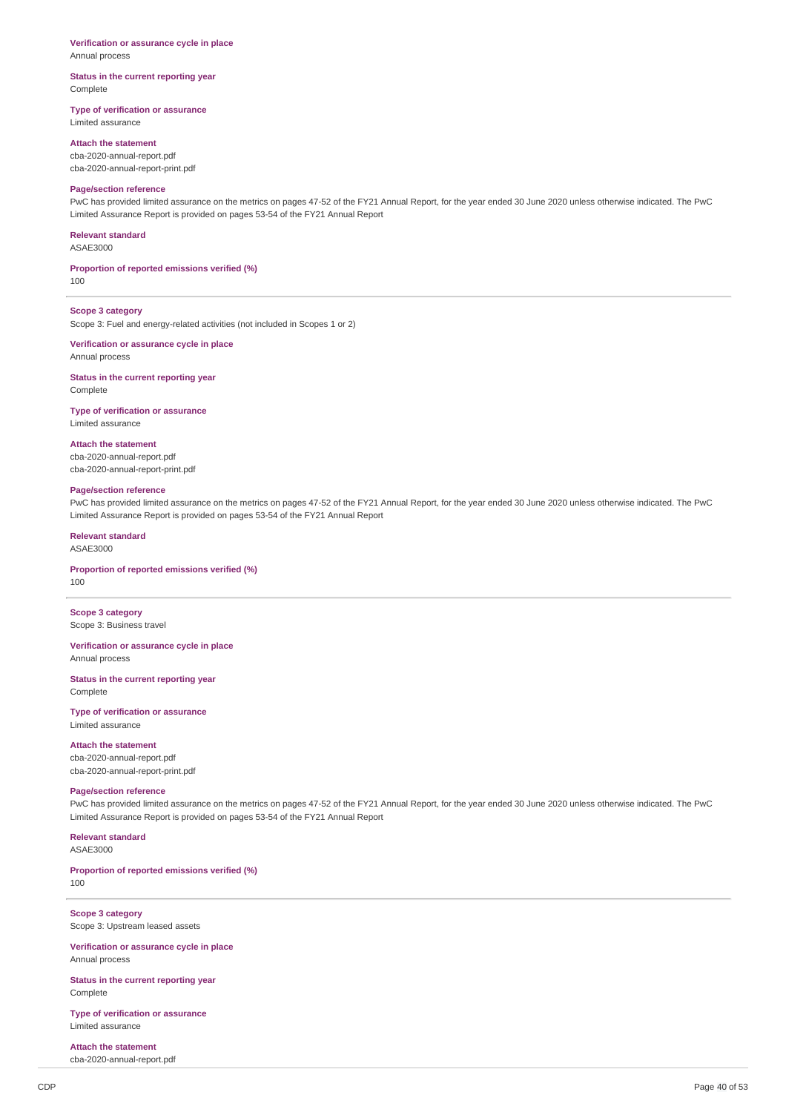# **Verification or assurance cycle in place**

Annual process

#### **Status in the current reporting year** Complete

## **Type of verification or assurance**

Limited assurance

## **Attach the statement**

cba-2020-annual-report.pdf cba-2020-annual-report-print.pdf

## **Page/section reference**

PwC has provided limited assurance on the metrics on pages 47-52 of the FY21 Annual Report, for the year ended 30 June 2020 unless otherwise indicated. The PwC Limited Assurance Report is provided on pages 53-54 of the FY21 Annual Report

#### **Relevant standard**

ASAE3000

## **Proportion of reported emissions verified (%)**

100

# **Scope 3 category**

Scope 3: Fuel and energy-related activities (not included in Scopes 1 or 2)

#### **Verification or assurance cycle in place** Annual process

**Status in the current reporting year**

**Complete** 

# **Type of verification or assurance**

Limited assurance

## **Attach the statement**

cba-2020-annual-report.pdf cba-2020-annual-report-print.pdf

#### **Page/section reference**

PwC has provided limited assurance on the metrics on pages 47-52 of the FY21 Annual Report, for the year ended 30 June 2020 unless otherwise indicated. The PwC Limited Assurance Report is provided on pages 53-54 of the FY21 Annual Report

# **Relevant standard**

ASAE3000

# **Proportion of reported emissions verified (%)**

100

**Scope 3 category** Scope 3: Business travel

# **Verification or assurance cycle in place** Annual process

**Status in the current reporting year** Complete

# **Type of verification or assurance**

Limited assurance

# **Attach the statement**

cba-2020-annual-report.pdf cba-2020-annual-report-print.pdf

# **Page/section reference**

PwC has provided limited assurance on the metrics on pages 47-52 of the FY21 Annual Report, for the year ended 30 June 2020 unless otherwise indicated. The PwC Limited Assurance Report is provided on pages 53-54 of the FY21 Annual Report

# **Relevant standard**

ASAE3000

#### **Proportion of reported emissions verified (%)** 100

**Scope 3 category** Scope 3: Upstream leased assets

**Verification or assurance cycle in place** Annual process

**Status in the current reporting year** Complete

**Type of verification or assurance** Limited assurance

**Attach the statement** cba-2020-annual-report.pdf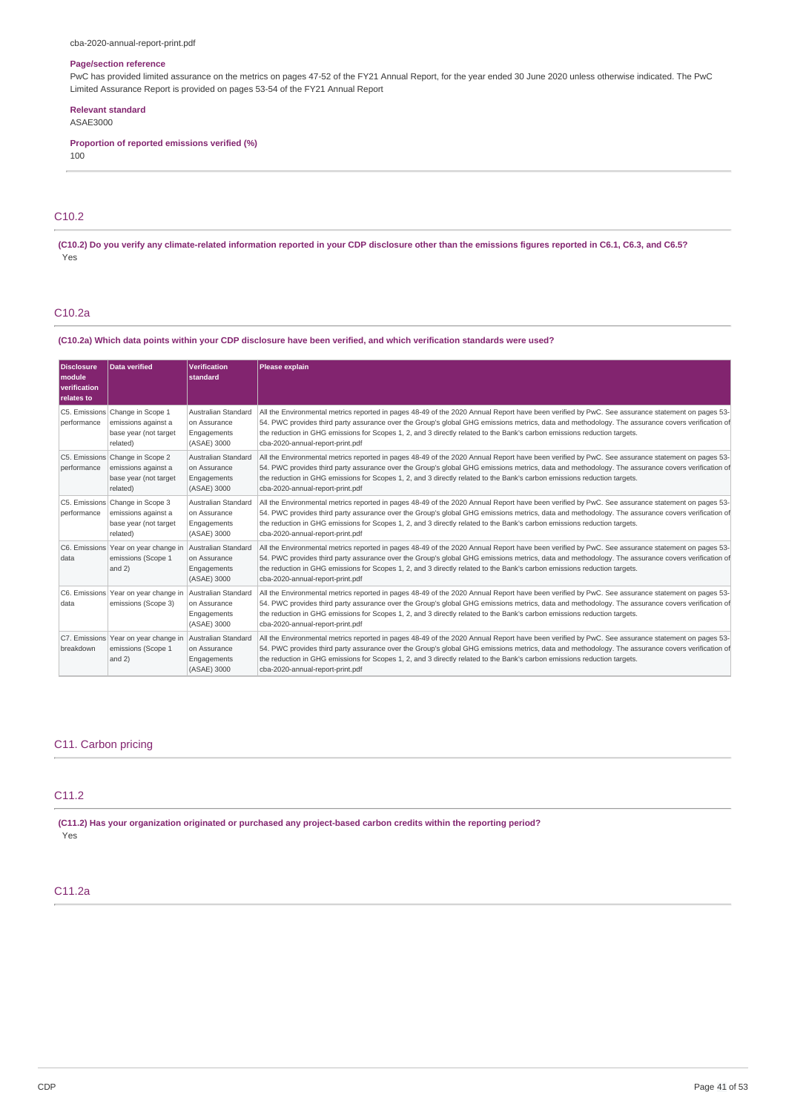## **Page/section reference**

PwC has provided limited assurance on the metrics on pages 47-52 of the FY21 Annual Report, for the year ended 30 June 2020 unless otherwise indicated. The PwC Limited Assurance Report is provided on pages 53-54 of the FY21 Annual Report

### **Relevant standard**

ASAE3000

**Proportion of reported emissions verified (%)** 100

# C10.2

(C10.2) Do you verify any climate-related information reported in your CDP disclosure other than the emissions figures reported in C6.1, C6.3, and C6.5? Yes

# C10.2a

## (C10.2a) Which data points within your CDP disclosure have been verified, and which verification standards were used?

| <b>Disclosure</b><br>module<br>verification<br>relates to | <b>Data verified</b>                                                                        | <b>Verification</b><br>standard                                   | Please explain                                                                                                                                                                                                                                                                                                                                                                                                                                                      |
|-----------------------------------------------------------|---------------------------------------------------------------------------------------------|-------------------------------------------------------------------|---------------------------------------------------------------------------------------------------------------------------------------------------------------------------------------------------------------------------------------------------------------------------------------------------------------------------------------------------------------------------------------------------------------------------------------------------------------------|
| performance                                               | C5. Emissions Change in Scope 1<br>emissions against a<br>base year (not target<br>related) | Australian Standard<br>on Assurance<br>Engagements<br>(ASAE) 3000 | All the Environmental metrics reported in pages 48-49 of the 2020 Annual Report have been verified by PwC. See assurance statement on pages 53-<br>54. PWC provides third party assurance over the Group's global GHG emissions metrics, data and methodology. The assurance covers verification of<br>the reduction in GHG emissions for Scopes 1, 2, and 3 directly related to the Bank's carbon emissions reduction targets.<br>cba-2020-annual-report-print.pdf |
| performance                                               | C5. Emissions Change in Scope 2<br>emissions against a<br>base year (not target<br>related) | Australian Standard<br>on Assurance<br>Engagements<br>(ASAE) 3000 | All the Environmental metrics reported in pages 48-49 of the 2020 Annual Report have been verified by PwC. See assurance statement on pages 53-<br>54. PWC provides third party assurance over the Group's global GHG emissions metrics, data and methodology. The assurance covers verification of<br>the reduction in GHG emissions for Scopes 1, 2, and 3 directly related to the Bank's carbon emissions reduction targets.<br>cba-2020-annual-report-print.pdf |
| performance                                               | C5. Emissions Change in Scope 3<br>emissions against a<br>base year (not target<br>related) | Australian Standard<br>on Assurance<br>Engagements<br>(ASAE) 3000 | All the Environmental metrics reported in pages 48-49 of the 2020 Annual Report have been verified by PwC. See assurance statement on pages 53-<br>54. PWC provides third party assurance over the Group's global GHG emissions metrics, data and methodology. The assurance covers verification of<br>the reduction in GHG emissions for Scopes 1, 2, and 3 directly related to the Bank's carbon emissions reduction targets.<br>cba-2020-annual-report-print.pdf |
| data                                                      | C6. Emissions Year on year change in<br>emissions (Scope 1<br>and 2)                        | Australian Standard<br>on Assurance<br>Engagements<br>(ASAE) 3000 | All the Environmental metrics reported in pages 48-49 of the 2020 Annual Report have been verified by PwC. See assurance statement on pages 53-<br>54. PWC provides third party assurance over the Group's global GHG emissions metrics, data and methodology. The assurance covers verification of<br>the reduction in GHG emissions for Scopes 1, 2, and 3 directly related to the Bank's carbon emissions reduction targets.<br>cba-2020-annual-report-print.pdf |
| data                                                      | C6. Emissions Year on year change in<br>emissions (Scope 3)                                 | Australian Standard<br>on Assurance<br>Engagements<br>(ASAE) 3000 | All the Environmental metrics reported in pages 48-49 of the 2020 Annual Report have been verified by PwC. See assurance statement on pages 53-<br>54. PWC provides third party assurance over the Group's global GHG emissions metrics, data and methodology. The assurance covers verification of<br>the reduction in GHG emissions for Scopes 1, 2, and 3 directly related to the Bank's carbon emissions reduction targets.<br>cba-2020-annual-report-print.pdf |
| breakdown                                                 | C7. Emissions Year on year change in<br>emissions (Scope 1<br>and 2)                        | Australian Standard<br>on Assurance<br>Engagements<br>(ASAE) 3000 | All the Environmental metrics reported in pages 48-49 of the 2020 Annual Report have been verified by PwC. See assurance statement on pages 53-<br>54. PWC provides third party assurance over the Group's global GHG emissions metrics, data and methodology. The assurance covers verification of<br>the reduction in GHG emissions for Scopes 1, 2, and 3 directly related to the Bank's carbon emissions reduction targets.<br>cba-2020-annual-report-print.pdf |

## C11. Carbon pricing

## C11.2

**(C11.2) Has your organization originated or purchased any project-based carbon credits within the reporting period?** Yes

# C11.2a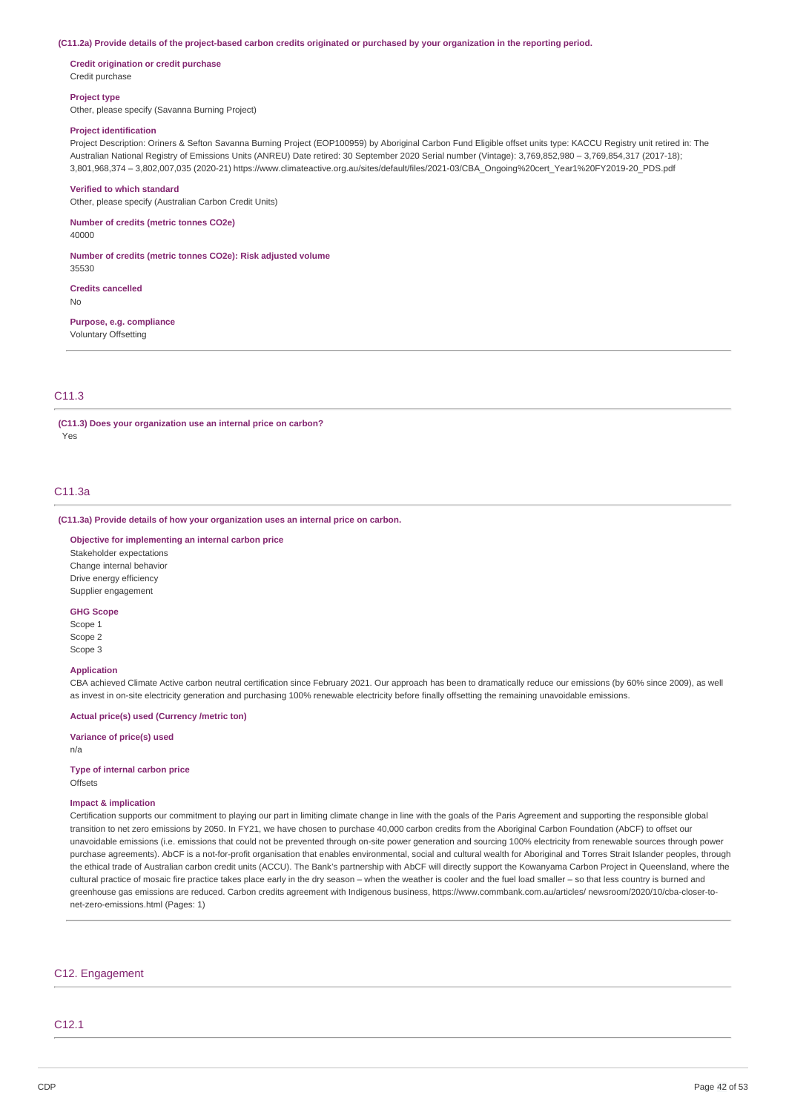(C11.2a) Provide details of the project-based carbon credits originated or purchased by your organization in the reporting period.

**Credit origination or credit purchase** Credit purchase

#### **Project type**

Other, please specify (Savanna Burning Project)

## **Project identification**

Project Description: Oriners & Sefton Savanna Burning Project (EOP100959) by Aboriginal Carbon Fund Eligible offset units type: KACCU Registry unit retired in: The Australian National Registry of Emissions Units (ANREU) Date retired: 30 September 2020 Serial number (Vintage): 3,769,852,980 – 3,769,854,317 (2017-18); 3,801,968,374 – 3,802,007,035 (2020-21) https://www.climateactive.org.au/sites/default/files/2021-03/CBA\_Ongoing%20cert\_Year1%20FY2019-20\_PDS.pdf

#### **Verified to which standard**

Other, please specify (Australian Carbon Credit Units)

**Number of credits (metric tonnes CO2e)**

40000

35530

**Number of credits (metric tonnes CO2e): Risk adjusted volume**

**Credits cancelled**

No

**Purpose, e.g. compliance** Voluntary Offsetting

## C11.3

**(C11.3) Does your organization use an internal price on carbon?** Yes

#### C11.3a

**(C11.3a) Provide details of how your organization uses an internal price on carbon.**

**Objective for implementing an internal carbon price** Stakeholder expectations Change internal behavior Drive energy efficiency Supplier engagement

## **GHG Scope**

Scope 1 Scope 2 Scope 3

### **Application**

CBA achieved Climate Active carbon neutral certification since February 2021. Our approach has been to dramatically reduce our emissions (by 60% since 2009), as well as invest in on-site electricity generation and purchasing 100% renewable electricity before finally offsetting the remaining unavoidable emissions.

## **Actual price(s) used (Currency /metric ton)**

**Variance of price(s) used**

n/a

#### **Type of internal carbon price Offsets**

## **Impact & implication**

Certification supports our commitment to playing our part in limiting climate change in line with the goals of the Paris Agreement and supporting the responsible global transition to net zero emissions by 2050. In FY21, we have chosen to purchase 40,000 carbon credits from the Aboriginal Carbon Foundation (AbCF) to offset our unavoidable emissions (i.e. emissions that could not be prevented through on-site power generation and sourcing 100% electricity from renewable sources through power purchase agreements). AbCF is a not-for-profit organisation that enables environmental, social and cultural wealth for Aboriginal and Torres Strait Islander peoples, through the ethical trade of Australian carbon credit units (ACCU). The Bank's partnership with AbCF will directly support the Kowanyama Carbon Project in Queensland, where the cultural practice of mosaic fire practice takes place early in the dry season – when the weather is cooler and the fuel load smaller – so that less country is burned and greenhouse gas emissions are reduced. Carbon credits agreement with Indigenous business, https://www.commbank.com.au/articles/ newsroom/2020/10/cba-closer-tonet-zero-emissions.html (Pages: 1)

#### C12. Engagement

C12.1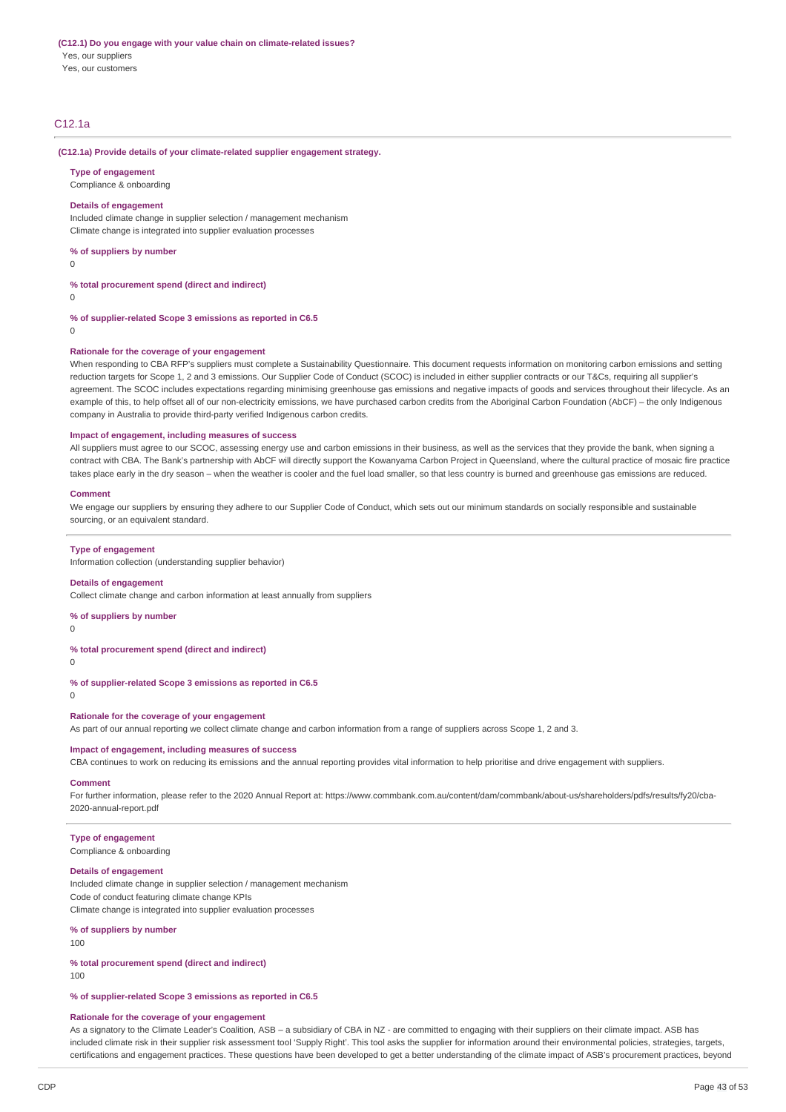Yes, our customers

# C12.1a

#### **(C12.1a) Provide details of your climate-related supplier engagement strategy.**

#### **Type of engagement**

Compliance & onboarding

#### **Details of engagement**

Included climate change in supplier selection / management mechanism Climate change is integrated into supplier evaluation processes

**% of suppliers by number**

 $\Omega$ 

**% total procurement spend (direct and indirect)**

 $\Omega$ 

**% of supplier-related Scope 3 emissions as reported in C6.5**

 $\Omega$ 

#### **Rationale for the coverage of your engagement**

When responding to CBA RFP's suppliers must complete a Sustainability Questionnaire. This document requests information on monitoring carbon emissions and setting reduction targets for Scope 1, 2 and 3 emissions. Our Supplier Code of Conduct (SCOC) is included in either supplier contracts or our T&Cs, requiring all supplier's agreement. The SCOC includes expectations regarding minimising greenhouse gas emissions and negative impacts of goods and services throughout their lifecycle. As an example of this, to help offset all of our non-electricity emissions, we have purchased carbon credits from the Aboriginal Carbon Foundation (AbCF) – the only Indigenous company in Australia to provide third-party verified Indigenous carbon credits.

#### **Impact of engagement, including measures of success**

All suppliers must agree to our SCOC, assessing energy use and carbon emissions in their business, as well as the services that they provide the bank, when signing a contract with CBA. The Bank's partnership with AbCF will directly support the Kowanyama Carbon Project in Queensland, where the cultural practice of mosaic fire practice takes place early in the dry season – when the weather is cooler and the fuel load smaller, so that less country is burned and greenhouse gas emissions are reduced.

#### **Comment**

We engage our suppliers by ensuring they adhere to our Supplier Code of Conduct, which sets out our minimum standards on socially responsible and sustainable sourcing, or an equivalent standard.

#### **Type of engagement**

Information collection (understanding supplier behavior)

#### **Details of engagement**

Collect climate change and carbon information at least annually from suppliers

#### **% of suppliers by number**

 $\Omega$ 

# **% total procurement spend (direct and indirect)**

 $\Omega$ 

**% of supplier-related Scope 3 emissions as reported in C6.5**

 $\Omega$ 

## **Rationale for the coverage of your engagement**

As part of our annual reporting we collect climate change and carbon information from a range of suppliers across Scope 1, 2 and 3.

## **Impact of engagement, including measures of success**

CBA continues to work on reducing its emissions and the annual reporting provides vital information to help prioritise and drive engagement with suppliers.

#### **Comment**

For further information, please refer to the 2020 Annual Report at: https://www.commbank.com.au/content/dam/commbank/about-us/shareholders/pdfs/results/fy20/cba-2020-annual-report.pdf

# **Type of engagement**

Compliance & onboarding

#### **Details of engagement**

Included climate change in supplier selection / management mechanism Code of conduct featuring climate change KPIs Climate change is integrated into supplier evaluation processes

## **% of suppliers by number**

100

# **% total procurement spend (direct and indirect)**

100

**% of supplier-related Scope 3 emissions as reported in C6.5**

#### **Rationale for the coverage of your engagement**

As a signatory to the Climate Leader's Coalition, ASB - a subsidiary of CBA in NZ - are committed to engaging with their suppliers on their climate impact. ASB has included climate risk in their supplier risk assessment tool 'Supply Right'. This tool asks the supplier for information around their environmental policies, strategies, targets, certifications and engagement practices. These questions have been developed to get a better understanding of the climate impact of ASB's procurement practices, beyond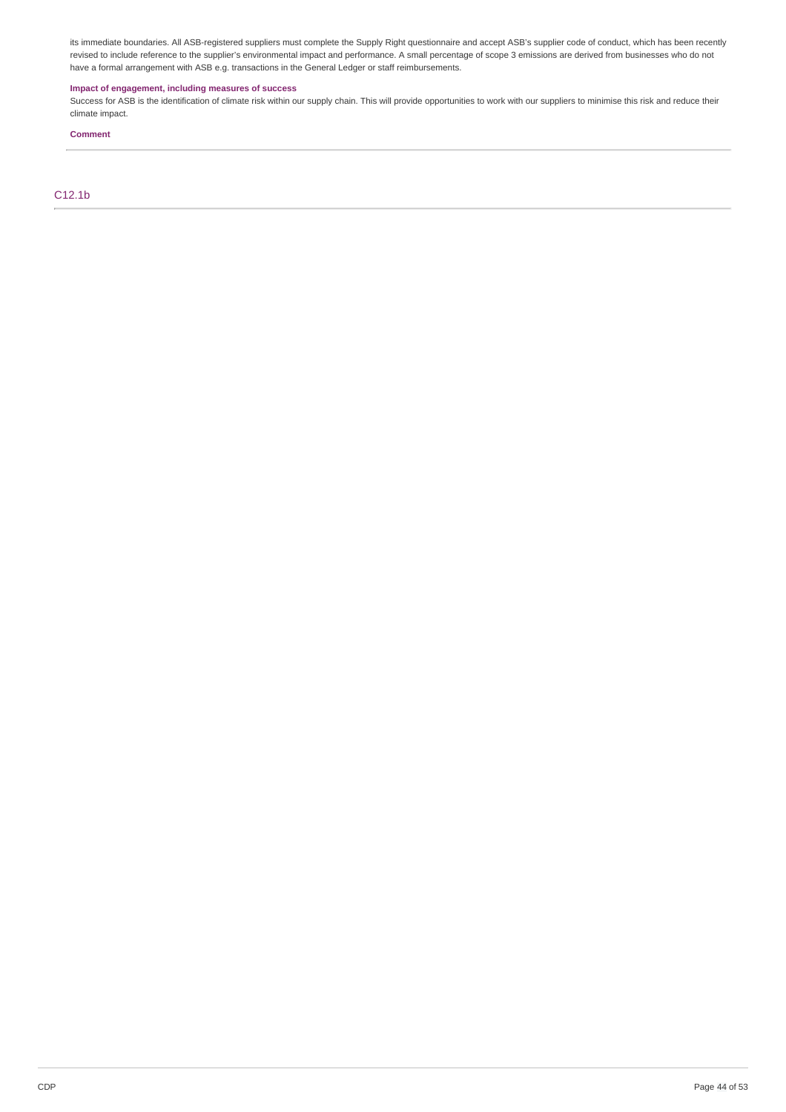its immediate boundaries. All ASB-registered suppliers must complete the Supply Right questionnaire and accept ASB's supplier code of conduct, which has been recently revised to include reference to the supplier's environmental impact and performance. A small percentage of scope 3 emissions are derived from businesses who do not have a formal arrangement with ASB e.g. transactions in the General Ledger or staff reimbursements.

## **Impact of engagement, including measures of success**

Success for ASB is the identification of climate risk within our supply chain. This will provide opportunities to work with our suppliers to minimise this risk and reduce their climate impact.

## **Comment**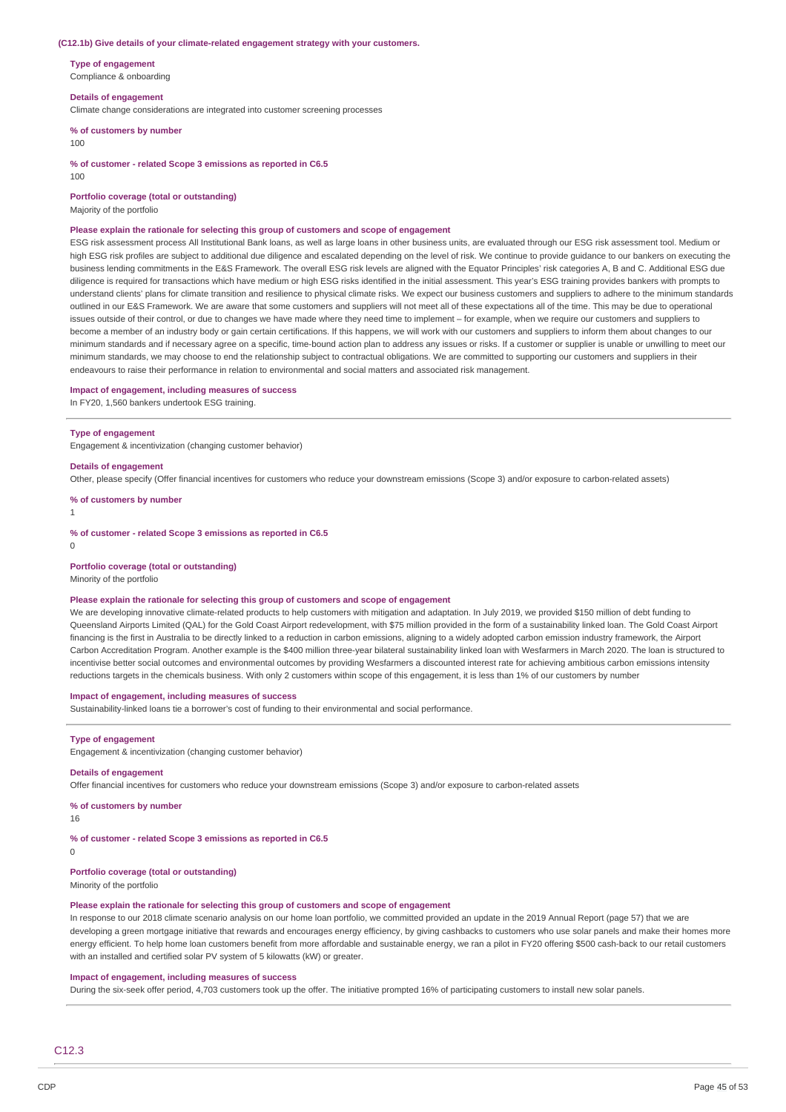#### **(C12.1b) Give details of your climate-related engagement strategy with your customers.**

**Type of engagement** Compliance & onboarding

#### **Details of engagement**

Climate change considerations are integrated into customer screening processes

**% of customers by number**

100

**% of customer - related Scope 3 emissions as reported in C6.5**

 $100$ 

**Portfolio coverage (total or outstanding)**

Majority of the portfolio

#### **Please explain the rationale for selecting this group of customers and scope of engagement**

ESG risk assessment process All Institutional Bank loans, as well as large loans in other business units, are evaluated through our ESG risk assessment tool. Medium or high ESG risk profiles are subject to additional due diligence and escalated depending on the level of risk. We continue to provide guidance to our bankers on executing the business lending commitments in the E&S Framework. The overall ESG risk levels are aligned with the Equator Principles' risk categories A, B and C. Additional ESG due diligence is required for transactions which have medium or high ESG risks identified in the initial assessment. This year's ESG training provides bankers with prompts to understand clients' plans for climate transition and resilience to physical climate risks. We expect our business customers and suppliers to adhere to the minimum standards outlined in our E&S Framework. We are aware that some customers and suppliers will not meet all of these expectations all of the time. This may be due to operational issues outside of their control, or due to changes we have made where they need time to implement – for example, when we require our customers and suppliers to become a member of an industry body or gain certain certifications. If this happens, we will work with our customers and suppliers to inform them about changes to our minimum standards and if necessary agree on a specific, time-bound action plan to address any issues or risks. If a customer or supplier is unable or unwilling to meet our minimum standards, we may choose to end the relationship subject to contractual obligations. We are committed to supporting our customers and suppliers in their endeavours to raise their performance in relation to environmental and social matters and associated risk management.

**Impact of engagement, including measures of success**

In FY20, 1,560 bankers undertook ESG training.

#### **Type of engagement**

Engagement & incentivization (changing customer behavior)

#### **Details of engagement**

Other, please specify (Offer financial incentives for customers who reduce your downstream emissions (Scope 3) and/or exposure to carbon-related assets)

**% of customers by number**

# 1

**% of customer - related Scope 3 emissions as reported in C6.5**

 $\Omega$ 

#### **Portfolio coverage (total or outstanding)**

Minority of the portfolio

#### **Please explain the rationale for selecting this group of customers and scope of engagement**

We are developing innovative climate-related products to help customers with mitigation and adaptation. In July 2019, we provided \$150 million of debt funding to Queensland Airports Limited (QAL) for the Gold Coast Airport redevelopment, with \$75 million provided in the form of a sustainability linked loan. The Gold Coast Airport financing is the first in Australia to be directly linked to a reduction in carbon emissions, aligning to a widely adopted carbon emission industry framework, the Airport Carbon Accreditation Program. Another example is the \$400 million three-year bilateral sustainability linked loan with Wesfarmers in March 2020. The loan is structured to incentivise better social outcomes and environmental outcomes by providing Wesfarmers a discounted interest rate for achieving ambitious carbon emissions intensity reductions targets in the chemicals business. With only 2 customers within scope of this engagement, it is less than 1% of our customers by number

#### **Impact of engagement, including measures of success**

Sustainability-linked loans tie a borrower's cost of funding to their environmental and social performance.

#### **Type of engagement**

Engagement & incentivization (changing customer behavior)

#### **Details of engagement**

Offer financial incentives for customers who reduce your downstream emissions (Scope 3) and/or exposure to carbon-related assets

#### **% of customers by number**

16

## **% of customer - related Scope 3 emissions as reported in C6.5**

 $\Omega$ 

## **Portfolio coverage (total or outstanding)**

Minority of the portfolio

#### **Please explain the rationale for selecting this group of customers and scope of engagement**

In response to our 2018 climate scenario analysis on our home loan portfolio, we committed provided an update in the 2019 Annual Report (page 57) that we are developing a green mortgage initiative that rewards and encourages energy efficiency, by giving cashbacks to customers who use solar panels and make their homes more energy efficient. To help home loan customers benefit from more affordable and sustainable energy, we ran a pilot in FY20 offering \$500 cash-back to our retail customers with an installed and certified solar PV system of 5 kilowatts (kW) or greater.

#### **Impact of engagement, including measures of success**

During the six-seek offer period, 4,703 customers took up the offer. The initiative prompted 16% of participating customers to install new solar panels.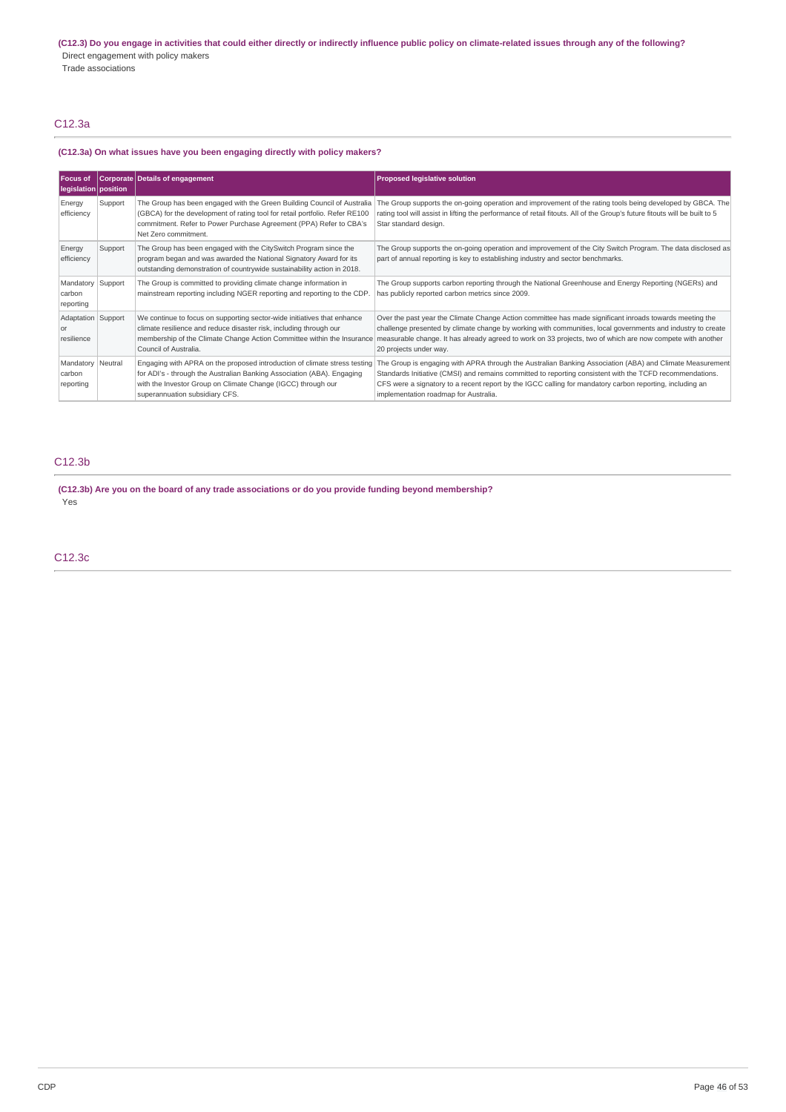# C12.3a

## **(C12.3a) On what issues have you been engaging directly with policy makers?**

| <b>Focus of</b><br>legislation   position |         | Corporate Details of engagement                                                                                                                                                                                                                       | <b>Proposed legislative solution</b>                                                                                                                                                                                                                                                                                                                                      |
|-------------------------------------------|---------|-------------------------------------------------------------------------------------------------------------------------------------------------------------------------------------------------------------------------------------------------------|---------------------------------------------------------------------------------------------------------------------------------------------------------------------------------------------------------------------------------------------------------------------------------------------------------------------------------------------------------------------------|
| Energy<br>efficiency                      | Support | The Group has been engaged with the Green Building Council of Australia<br>(GBCA) for the development of rating tool for retail portfolio. Refer RE100<br>commitment. Refer to Power Purchase Agreement (PPA) Refer to CBA's<br>Net Zero commitment.  | The Group supports the on-going operation and improvement of the rating tools being developed by GBCA. The<br>rating tool will assist in lifting the performance of retail fitouts. All of the Group's future fitouts will be built to 5<br>Star standard design.                                                                                                         |
| Energy<br>efficiency                      | Support | The Group has been engaged with the CitySwitch Program since the<br>program began and was awarded the National Signatory Award for its<br>outstanding demonstration of countrywide sustainability action in 2018.                                     | The Group supports the on-going operation and improvement of the City Switch Program. The data disclosed as<br>part of annual reporting is key to establishing industry and sector benchmarks.                                                                                                                                                                            |
| Mandatory Support<br>carbon<br>reporting  |         | The Group is committed to providing climate change information in<br>mainstream reporting including NGER reporting and reporting to the CDP.                                                                                                          | The Group supports carbon reporting through the National Greenhouse and Energy Reporting (NGERs) and<br>has publicly reported carbon metrics since 2009.                                                                                                                                                                                                                  |
| Adaptation   Support<br>or<br>resilience  |         | We continue to focus on supporting sector-wide initiatives that enhance<br>climate resilience and reduce disaster risk, including through our<br>membership of the Climate Change Action Committee within the Insurance<br>Council of Australia.      | Over the past year the Climate Change Action committee has made significant inroads towards meeting the<br>challenge presented by climate change by working with communities, local governments and industry to create<br>measurable change. It has already agreed to work on 33 projects, two of which are now compete with another<br>20 projects under way.            |
| Mandatory Neutral<br>carbon<br>reporting  |         | Engaging with APRA on the proposed introduction of climate stress testing<br>for ADI's - through the Australian Banking Association (ABA). Engaging<br>with the Investor Group on Climate Change (IGCC) through our<br>superannuation subsidiary CFS. | The Group is engaging with APRA through the Australian Banking Association (ABA) and Climate Measurement<br>Standards Initiative (CMSI) and remains committed to reporting consistent with the TCFD recommendations.<br>CFS were a signatory to a recent report by the IGCC calling for mandatory carbon reporting, including an<br>implementation roadmap for Australia. |

# C12.3b

**(C12.3b) Are you on the board of any trade associations or do you provide funding beyond membership?** Yes

C12.3c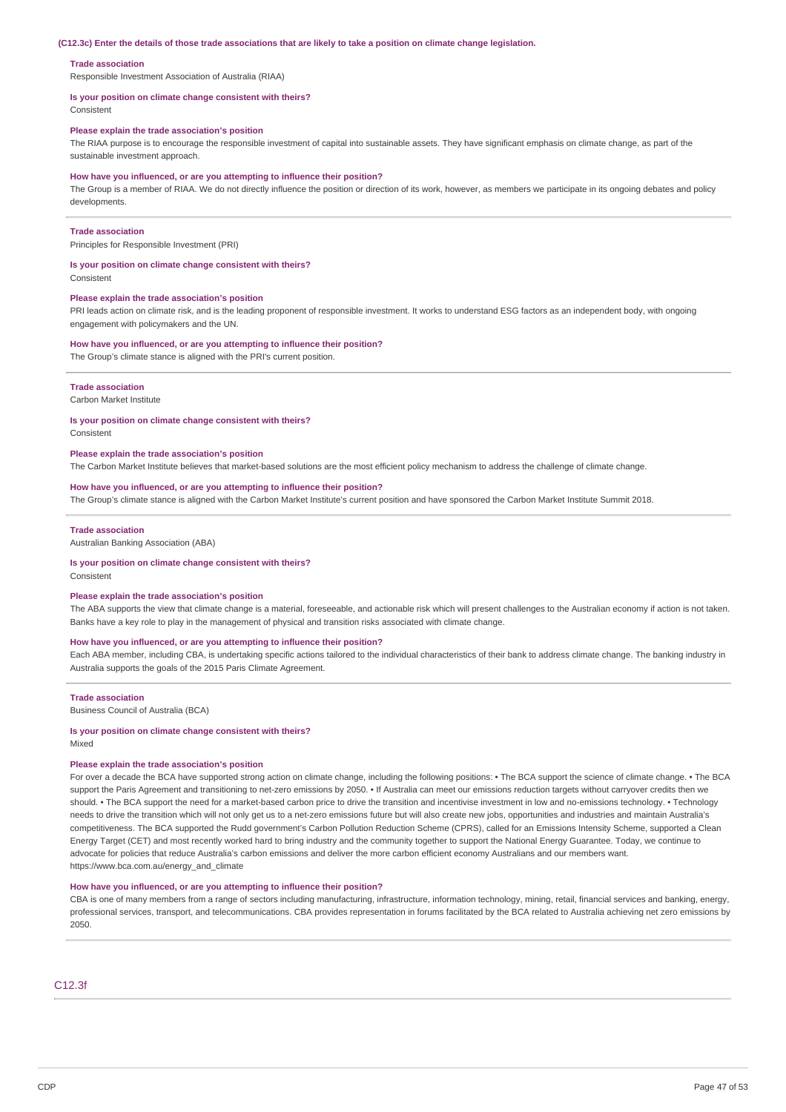#### **Trade association**

Responsible Investment Association of Australia (RIAA)

#### **Is your position on climate change consistent with theirs?**

Consistent

#### **Please explain the trade association's position**

The RIAA purpose is to encourage the responsible investment of capital into sustainable assets. They have significant emphasis on climate change, as part of the sustainable investment approach

#### **How have you influenced, or are you attempting to influence their position?**

The Group is a member of RIAA. We do not directly influence the position or direction of its work, however, as members we participate in its ongoing debates and policy developments.

#### **Trade association**

Principles for Responsible Investment (PRI)

#### **Is your position on climate change consistent with theirs?**

Consistent

#### **Please explain the trade association's position**

PRI leads action on climate risk, and is the leading proponent of responsible investment. It works to understand ESG factors as an independent body, with ongoing engagement with policymakers and the UN.

#### **How have you influenced, or are you attempting to influence their position?**

The Group's climate stance is aligned with the PRI's current position.

#### **Trade association**

Carbon Market Institute

#### **Is your position on climate change consistent with theirs?**

Consistent

#### **Please explain the trade association's position**

The Carbon Market Institute believes that market-based solutions are the most efficient policy mechanism to address the challenge of climate change.

#### **How have you influenced, or are you attempting to influence their position?**

The Group's climate stance is aligned with the Carbon Market Institute's current position and have sponsored the Carbon Market Institute Summit 2018.

#### **Trade association**

Australian Banking Association (ABA)

#### **Is your position on climate change consistent with theirs?**

**Consistent** 

#### **Please explain the trade association's position**

The ABA supports the view that climate change is a material, foreseeable, and actionable risk which will present challenges to the Australian economy if action is not taken. Banks have a key role to play in the management of physical and transition risks associated with climate change.

#### **How have you influenced, or are you attempting to influence their position?**

Each ABA member, including CBA, is undertaking specific actions tailored to the individual characteristics of their bank to address climate change. The banking industry in Australia supports the goals of the 2015 Paris Climate Agreement.

#### **Trade association**

Business Council of Australia (BCA)

## **Is your position on climate change consistent with theirs?**

Mixed

## **Please explain the trade association's position**

For over a decade the BCA have supported strong action on climate change, including the following positions: • The BCA support the science of climate change. • The BCA support the Paris Agreement and transitioning to net-zero emissions by 2050. • If Australia can meet our emissions reduction targets without carryover credits then we should. • The BCA support the need for a market-based carbon price to drive the transition and incentivise investment in low and no-emissions technology. • Technology needs to drive the transition which will not only get us to a net-zero emissions future but will also create new jobs, opportunities and industries and maintain Australia's competitiveness. The BCA supported the Rudd government's Carbon Pollution Reduction Scheme (CPRS), called for an Emissions Intensity Scheme, supported a Clean Energy Target (CET) and most recently worked hard to bring industry and the community together to support the National Energy Guarantee. Today, we continue to advocate for policies that reduce Australia's carbon emissions and deliver the more carbon efficient economy Australians and our members want. https://www.bca.com.au/energy\_and\_climate

#### **How have you influenced, or are you attempting to influence their position?**

CBA is one of many members from a range of sectors including manufacturing, infrastructure, information technology, mining, retail, financial services and banking, energy, professional services, transport, and telecommunications. CBA provides representation in forums facilitated by the BCA related to Australia achieving net zero emissions by 2050.

#### C12.3f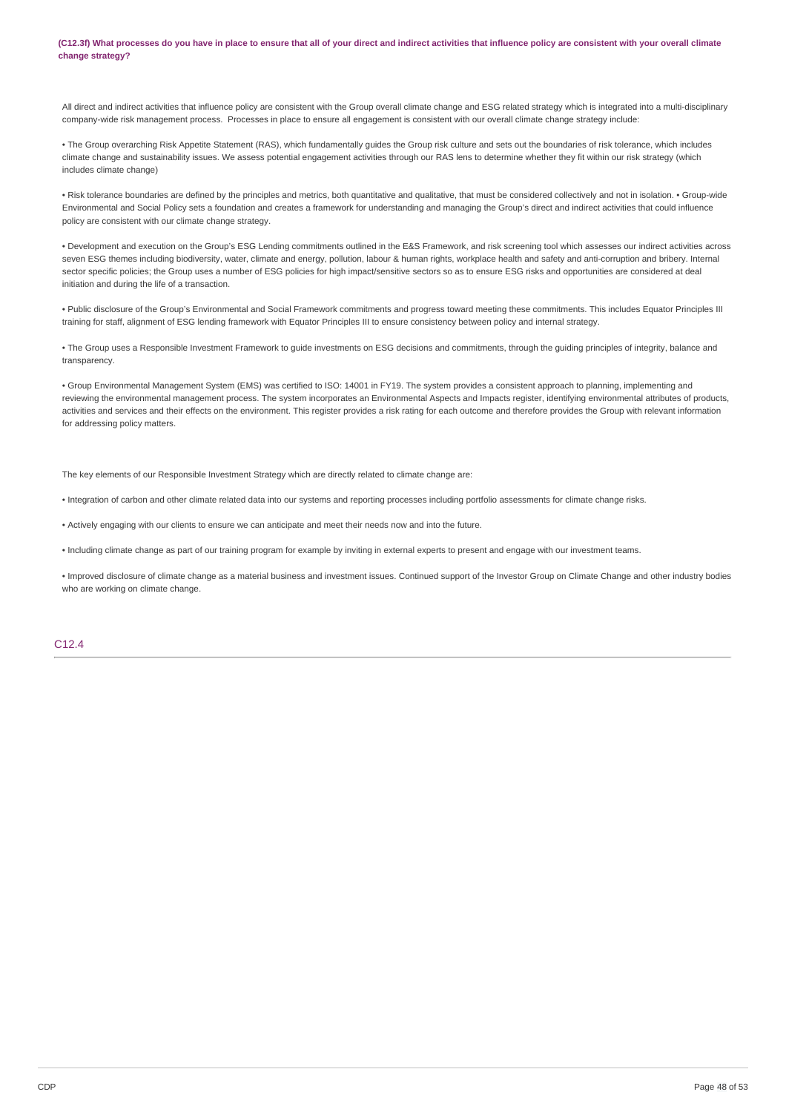(C12.3f) What processes do you have in place to ensure that all of your direct and indirect activities that influence policy are consistent with your overall climate **change strategy?**

All direct and indirect activities that influence policy are consistent with the Group overall climate change and ESG related strategy which is integrated into a multi-disciplinary company-wide risk management process. Processes in place to ensure all engagement is consistent with our overall climate change strategy include:

• The Group overarching Risk Appetite Statement (RAS), which fundamentally guides the Group risk culture and sets out the boundaries of risk tolerance, which includes climate change and sustainability issues. We assess potential engagement activities through our RAS lens to determine whether they fit within our risk strategy (which includes climate change)

• Risk tolerance boundaries are defined by the principles and metrics, both quantitative and qualitative, that must be considered collectively and not in isolation. • Group-wide Environmental and Social Policy sets a foundation and creates a framework for understanding and managing the Group's direct and indirect activities that could influence policy are consistent with our climate change strategy.

• Development and execution on the Group's ESG Lending commitments outlined in the E&S Framework, and risk screening tool which assesses our indirect activities across seven ESG themes including biodiversity, water, climate and energy, pollution, labour & human rights, workplace health and safety and anti-corruption and bribery. Internal sector specific policies; the Group uses a number of ESG policies for high impact/sensitive sectors so as to ensure ESG risks and opportunities are considered at deal initiation and during the life of a transaction.

• Public disclosure of the Group's Environmental and Social Framework commitments and progress toward meeting these commitments. This includes Equator Principles III training for staff, alignment of ESG lending framework with Equator Principles III to ensure consistency between policy and internal strategy.

• The Group uses a Responsible Investment Framework to guide investments on ESG decisions and commitments, through the guiding principles of integrity, balance and transparency.

• Group Environmental Management System (EMS) was certified to ISO: 14001 in FY19. The system provides a consistent approach to planning, implementing and reviewing the environmental management process. The system incorporates an Environmental Aspects and Impacts register, identifying environmental attributes of products, activities and services and their effects on the environment. This register provides a risk rating for each outcome and therefore provides the Group with relevant information for addressing policy matters.

The key elements of our Responsible Investment Strategy which are directly related to climate change are:

• Integration of carbon and other climate related data into our systems and reporting processes including portfolio assessments for climate change risks.

• Actively engaging with our clients to ensure we can anticipate and meet their needs now and into the future.

• Including climate change as part of our training program for example by inviting in external experts to present and engage with our investment teams.

• Improved disclosure of climate change as a material business and investment issues. Continued support of the Investor Group on Climate Change and other industry bodies who are working on climate change.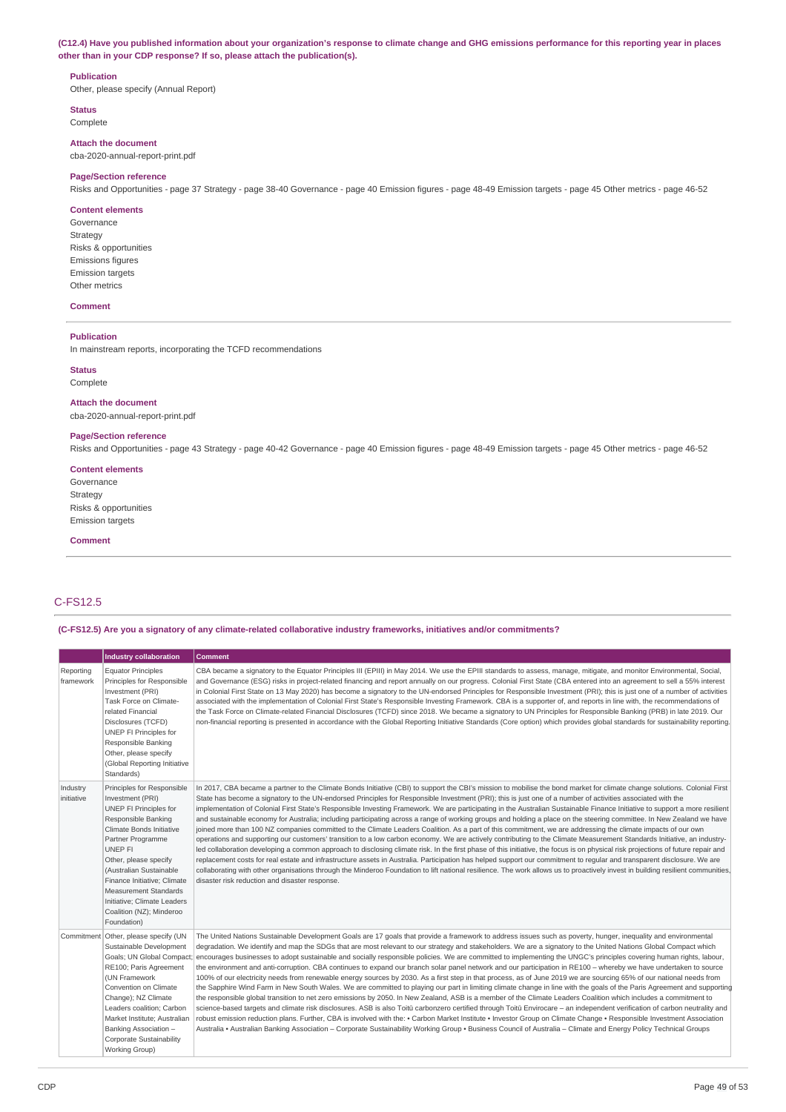(C12.4) Have you published information about your organization's response to climate change and GHG emissions performance for this reporting year in places **other than in your CDP response? If so, please attach the publication(s).**

#### **Publication**

Other, please specify (Annual Report)

**Status** Complete

**Attach the document** cba-2020-annual-report-print.pdf

#### **Page/Section reference**

Risks and Opportunities - page 37 Strategy - page 38-40 Governance - page 40 Emission figures - page 48-49 Emission targets - page 45 Other metrics - page 46-52

#### **Content elements**

Governance Strategy Risks & opportunities Emissions figures Emission targets Other metrics

#### **Comment**

#### **Publication**

In mainstream reports, incorporating the TCFD recommendations

# **Status**

Complete

**Attach the document** cba-2020-annual-report-print.pdf

### **Page/Section reference**

Risks and Opportunities - page 43 Strategy - page 40-42 Governance - page 40 Emission figures - page 48-49 Emission targets - page 45 Other metrics - page 46-52

#### **Content elements**

Governance Strategy Risks & opportunities Emission targets

#### **Comment**

# C-FS12.5

**(C-FS12.5) Are you a signatory of any climate-related collaborative industry frameworks, initiatives and/or commitments?**

|                        | <b>Industry collaboration</b>                                                                                                                                                                                                                                                                                                                            | <b>Comment</b>                                                                                                                                                                                                                                                                                                                                                                                                                                                                                                                                                                                                                                                                                                                                                                                                                                                                                                                                                                                                                                                                                                                                                                                                                                                                                                                                                                                                                                                                                                                                                                                                                                                                                                                   |
|------------------------|----------------------------------------------------------------------------------------------------------------------------------------------------------------------------------------------------------------------------------------------------------------------------------------------------------------------------------------------------------|----------------------------------------------------------------------------------------------------------------------------------------------------------------------------------------------------------------------------------------------------------------------------------------------------------------------------------------------------------------------------------------------------------------------------------------------------------------------------------------------------------------------------------------------------------------------------------------------------------------------------------------------------------------------------------------------------------------------------------------------------------------------------------------------------------------------------------------------------------------------------------------------------------------------------------------------------------------------------------------------------------------------------------------------------------------------------------------------------------------------------------------------------------------------------------------------------------------------------------------------------------------------------------------------------------------------------------------------------------------------------------------------------------------------------------------------------------------------------------------------------------------------------------------------------------------------------------------------------------------------------------------------------------------------------------------------------------------------------------|
| Reporting<br>framework | <b>Equator Principles</b><br>Principles for Responsible<br>Investment (PRI)<br>Task Force on Climate-<br>related Financial<br>Disclosures (TCFD)<br>UNEP FI Principles for<br>Responsible Banking<br>Other, please specify<br>(Global Reporting Initiative<br>Standards)                                                                                 | CBA became a signatory to the Equator Principles III (EPIII) in May 2014. We use the EPIII standards to assess, manage, mitigate, and monitor Environmental, Social,<br>and Governance (ESG) risks in project-related financing and report annually on our progress. Colonial First State (CBA entered into an agreement to sell a 55% interest<br>in Colonial First State on 13 May 2020) has become a signatory to the UN-endorsed Principles for Responsible Investment (PRI); this is just one of a number of activities<br>associated with the implementation of Colonial First State's Responsible Investing Framework. CBA is a supporter of, and reports in line with, the recommendations of<br>the Task Force on Climate-related Financial Disclosures (TCFD) since 2018. We became a signatory to UN Principles for Responsible Banking (PRB) in late 2019. Our<br>non-financial reporting is presented in accordance with the Global Reporting Initiative Standards (Core option) which provides global standards for sustainability reporting.                                                                                                                                                                                                                                                                                                                                                                                                                                                                                                                                                                                                                                                                      |
| Industry<br>initiative | Principles for Responsible<br>Investment (PRI)<br>UNEP FI Principles for<br>Responsible Banking<br>Climate Bonds Initiative<br>Partner Programme<br>UNEP FI<br>Other, please specify<br>(Australian Sustainable<br>Finance Initiative; Climate<br><b>Measurement Standards</b><br>Initiative; Climate Leaders<br>Coalition (NZ); Minderoo<br>Foundation) | In 2017, CBA became a partner to the Climate Bonds Initiative (CBI) to support the CBI's mission to mobilise the bond market for climate change solutions. Colonial First<br>State has become a signatory to the UN-endorsed Principles for Responsible Investment (PRI); this is just one of a number of activities associated with the<br>implementation of Colonial First State's Responsible Investing Framework. We are participating in the Australian Sustainable Finance Initiative to support a more resilient<br>and sustainable economy for Australia; including participating across a range of working groups and holding a place on the steering committee. In New Zealand we have<br>joined more than 100 NZ companies committed to the Climate Leaders Coalition. As a part of this commitment, we are addressing the climate impacts of our own<br>operations and supporting our customers' transition to a low carbon economy. We are actively contributing to the Climate Measurement Standards Initiative, an industry-<br>led collaboration developing a common approach to disclosing climate risk. In the first phase of this initiative, the focus is on physical risk projections of future repair and<br>replacement costs for real estate and infrastructure assets in Australia. Participation has helped support our commitment to reqular and transparent disclosure. We are<br>collaborating with other organisations through the Minderoo Foundation to lift national resilience. The work allows us to proactively invest in building resilient communities,<br>disaster risk reduction and disaster response.                                                                                  |
|                        | Commitment Other, please specify (UN<br>Sustainable Development<br>Goals; UN Global Compact;<br>RE100; Paris Agreement<br>(UN Framework<br>Convention on Climate<br>Change); NZ Climate<br>Leaders coalition; Carbon<br>Market Institute; Australian<br>Banking Association -<br>Corporate Sustainability<br>Working Group)                              | The United Nations Sustainable Development Goals are 17 goals that provide a framework to address issues such as poverty, hunger, inequality and environmental<br>degradation. We identify and map the SDGs that are most relevant to our strategy and stakeholders. We are a signatory to the United Nations Global Compact which<br>encourages businesses to adopt sustainable and socially responsible policies. We are committed to implementing the UNGC's principles covering human rights, labour,<br>the environment and anti-corruption. CBA continues to expand our branch solar panel network and our participation in RE100 - whereby we have undertaken to source<br>100% of our electricity needs from renewable energy sources by 2030. As a first step in that process, as of June 2019 we are sourcing 65% of our national needs from<br>the Sapphire Wind Farm in New South Wales. We are committed to playing our part in limiting climate change in line with the goals of the Paris Agreement and supporting<br>the responsible global transition to net zero emissions by 2050. In New Zealand, ASB is a member of the Climate Leaders Coalition which includes a commitment to<br>science-based targets and climate risk disclosures. ASB is also Toitū carbonzero certified through Toitū Envirocare - an independent verification of carbon neutrality and<br>robust emission reduction plans. Further, CBA is involved with the: • Carbon Market Institute • Investor Group on Climate Change • Responsible Investment Association<br>Australia • Australian Banking Association – Corporate Sustainability Working Group • Business Council of Australia – Climate and Energy Policy Technical Groups |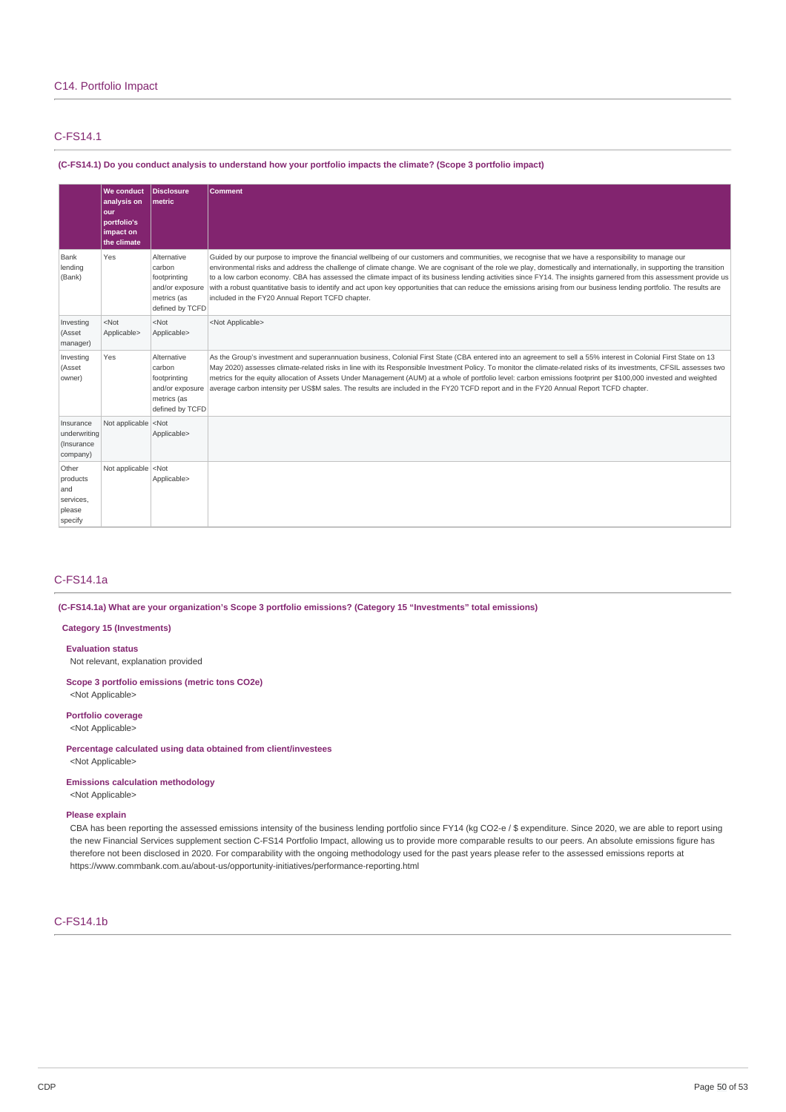# C-FS14.1

(C-FS14.1) Do you conduct analysis to understand how your portfolio impacts the climate? (Scope 3 portfolio impact)

|                                                            | We conduct<br>analysis on<br>our<br>portfolio's<br>impact on<br>the climate | Disclosure<br>Imetric                                                                      | Comment                                                                                                                                                                                                                                                                                                                                                                                                                                                                                                                                                                                                                                                                                                                         |
|------------------------------------------------------------|-----------------------------------------------------------------------------|--------------------------------------------------------------------------------------------|---------------------------------------------------------------------------------------------------------------------------------------------------------------------------------------------------------------------------------------------------------------------------------------------------------------------------------------------------------------------------------------------------------------------------------------------------------------------------------------------------------------------------------------------------------------------------------------------------------------------------------------------------------------------------------------------------------------------------------|
| Bank<br>lending<br>(Bank)                                  | Yes                                                                         | Alternative<br>carbon<br>footprinting<br>and/or exposure<br>metrics (as<br>defined by TCFD | Guided by our purpose to improve the financial wellbeing of our customers and communities, we recognise that we have a responsibility to manage our<br>environmental risks and address the challenge of climate change. We are cognisant of the role we play, domestically and internationally, in supporting the transition<br>to a low carbon economy. CBA has assessed the climate impact of its business lending activities since FY14. The insights garnered from this assessment provide us<br>with a robust quantitative basis to identify and act upon key opportunities that can reduce the emissions arising from our business lending portfolio. The results are<br>included in the FY20 Annual Report TCFD chapter. |
| Investing<br>(Asset<br>manager)                            | $<$ Not<br>Applicable>                                                      | $<$ Not<br>Applicable>                                                                     | <not applicable=""></not>                                                                                                                                                                                                                                                                                                                                                                                                                                                                                                                                                                                                                                                                                                       |
| Investing<br>(Asset<br>owner)                              | Yes                                                                         | Alternative<br>carbon<br>footprinting<br>and/or exposure<br>metrics (as<br>defined by TCFD | As the Group's investment and superannuation business, Colonial First State (CBA entered into an agreement to sell a 55% interest in Colonial First State on 13<br>May 2020) assesses climate-related risks in line with its Responsible Investment Policy. To monitor the climate-related risks of its investments, CFSIL assesses two<br>metrics for the equity allocation of Assets Under Management (AUM) at a whole of portfolio level: carbon emissions footprint per \$100,000 invested and weighted<br>average carbon intensity per US\$M sales. The results are included in the FY20 TCFD report and in the FY20 Annual Report TCFD chapter.                                                                           |
| Insurance<br>underwriting<br>(Insurance<br>company)        | Not applicable <not< td=""><td>Applicable&gt;</td><td></td></not<>          | Applicable>                                                                                |                                                                                                                                                                                                                                                                                                                                                                                                                                                                                                                                                                                                                                                                                                                                 |
| Other<br>products<br>and<br>services,<br>please<br>specify | Not applicable <not< td=""><td>Applicable&gt;</td><td></td></not<>          | Applicable>                                                                                |                                                                                                                                                                                                                                                                                                                                                                                                                                                                                                                                                                                                                                                                                                                                 |

## C-FS14.1a

**(C-FS14.1a) What are your organization's Scope 3 portfolio emissions? (Category 15 "Investments" total emissions)**

## **Category 15 (Investments)**

#### **Evaluation status**

Not relevant, explanation provided

**Scope 3 portfolio emissions (metric tons CO2e)** <Not Applicable>

## **Portfolio coverage** <Not Applicable>

**Percentage calculated using data obtained from client/investees** <Not Applicable>

**Emissions calculation methodology**

<Not Applicable>

## **Please explain**

CBA has been reporting the assessed emissions intensity of the business lending portfolio since FY14 (kg CO2-e / \$ expenditure. Since 2020, we are able to report using the new Financial Services supplement section C-FS14 Portfolio Impact, allowing us to provide more comparable results to our peers. An absolute emissions figure has therefore not been disclosed in 2020. For comparability with the ongoing methodology used for the past years please refer to the assessed emissions reports at https://www.commbank.com.au/about-us/opportunity-initiatives/performance-reporting.html

## C-FS14.1b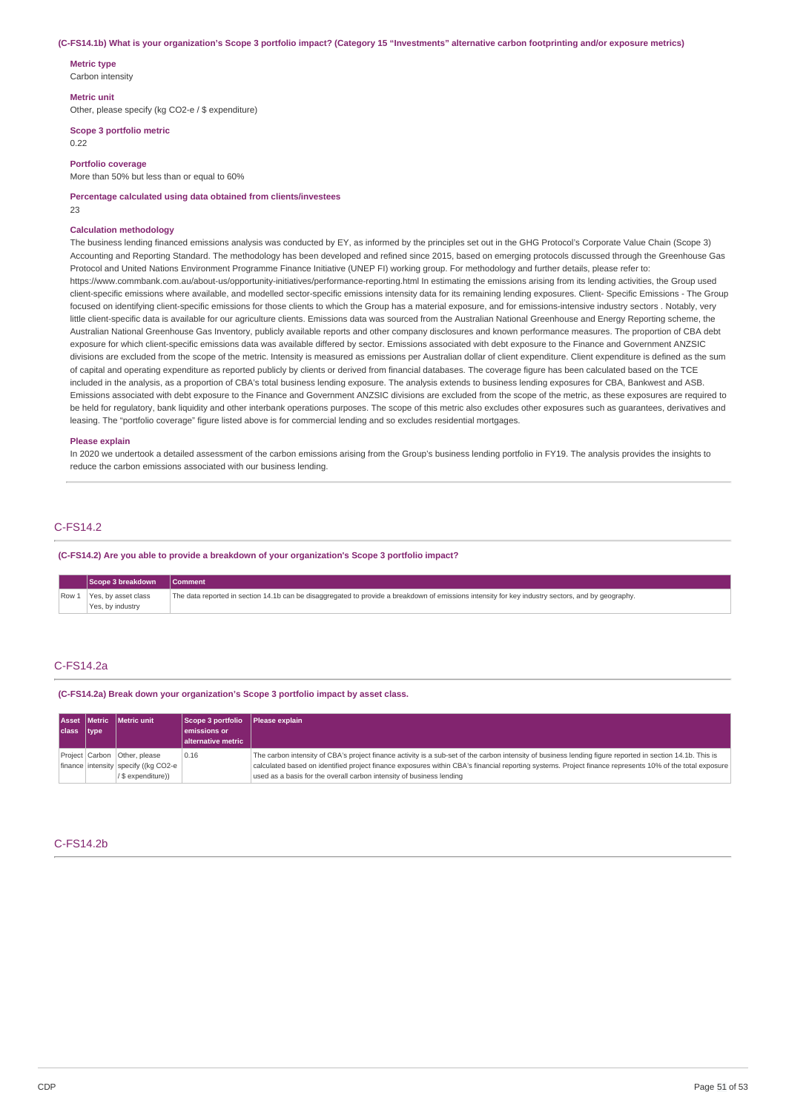#### (C-FS14.1b) What is your organization's Scope 3 portfolio impact? (Category 15 "Investments" alternative carbon footprinting and/or exposure metrics)

**Metric type** Carbon intensity

#### **Metric unit**

Other, please specify (kg CO2-e / \$ expenditure)

**Scope 3 portfolio metric**

0.22

**Portfolio coverage**

More than 50% but less than or equal to 60%

**Percentage calculated using data obtained from clients/investees** 23

#### **Calculation methodology**

The business lending financed emissions analysis was conducted by EY, as informed by the principles set out in the GHG Protocol's Corporate Value Chain (Scope 3) Accounting and Reporting Standard. The methodology has been developed and refined since 2015, based on emerging protocols discussed through the Greenhouse Gas Protocol and United Nations Environment Programme Finance Initiative (UNEP FI) working group. For methodology and further details, please refer to: https://www.commbank.com.au/about-us/opportunity-initiatives/performance-reporting.html In estimating the emissions arising from its lending activities, the Group used client-specific emissions where available, and modelled sector-specific emissions intensity data for its remaining lending exposures. Client- Specific Emissions - The Group focused on identifying client-specific emissions for those clients to which the Group has a material exposure, and for emissions-intensive industry sectors . Notably, very little client-specific data is available for our agriculture clients. Emissions data was sourced from the Australian National Greenhouse and Energy Reporting scheme, the Australian National Greenhouse Gas Inventory, publicly available reports and other company disclosures and known performance measures. The proportion of CBA debt exposure for which client-specific emissions data was available differed by sector. Emissions associated with debt exposure to the Finance and Government ANZSIC divisions are excluded from the scope of the metric. Intensity is measured as emissions per Australian dollar of client expenditure. Client expenditure is defined as the sum of capital and operating expenditure as reported publicly by clients or derived from financial databases. The coverage figure has been calculated based on the TCE included in the analysis, as a proportion of CBA's total business lending exposure. The analysis extends to business lending exposures for CBA, Bankwest and ASB. Emissions associated with debt exposure to the Finance and Government ANZSIC divisions are excluded from the scope of the metric, as these exposures are required to be held for regulatory, bank liquidity and other interbank operations purposes. The scope of this metric also excludes other exposures such as guarantees, derivatives and leasing. The "portfolio coverage" figure listed above is for commercial lending and so excludes residential mortgages.

#### **Please explain**

In 2020 we undertook a detailed assessment of the carbon emissions arising from the Group's business lending portfolio in FY19. The analysis provides the insights to reduce the carbon emissions associated with our business lending.

# C-FS14.2

**(C-FS14.2) Are you able to provide a breakdown of your organization's Scope 3 portfolio impact?**

| Scope 3 breakdown                             | <b>Comment</b>                                                                                                                                    |
|-----------------------------------------------|---------------------------------------------------------------------------------------------------------------------------------------------------|
| Row 1 Yes, by asset class<br>Yes, by industry | The data reported in section 14.1b can be disaggregated to provide a breakdown of emissions intensity for key industry sectors, and by geography. |

#### C-FS14.2a

**(C-FS14.2a) Break down your organization's Scope 3 portfolio impact by asset class.**

| class type | Asset Metric Metric unit                                                                     | Scope 3 portfolio Please explain<br>lemissions or<br>alternative metric |                                                                                                                                                                                                                                                                                                                                                                                              |
|------------|----------------------------------------------------------------------------------------------|-------------------------------------------------------------------------|----------------------------------------------------------------------------------------------------------------------------------------------------------------------------------------------------------------------------------------------------------------------------------------------------------------------------------------------------------------------------------------------|
|            | Project Carbon   Other, please<br>finance intensity specify ((kg CO2-e<br>/ \$ expenditure)) | 0.16                                                                    | The carbon intensity of CBA's project finance activity is a sub-set of the carbon intensity of business lending figure reported in section 14.1b. This is<br>calculated based on identified project finance exposures within CBA's financial reporting systems. Project finance represents 10% of the total exposure<br>used as a basis for the overall carbon intensity of business lending |

#### C-FS14.2b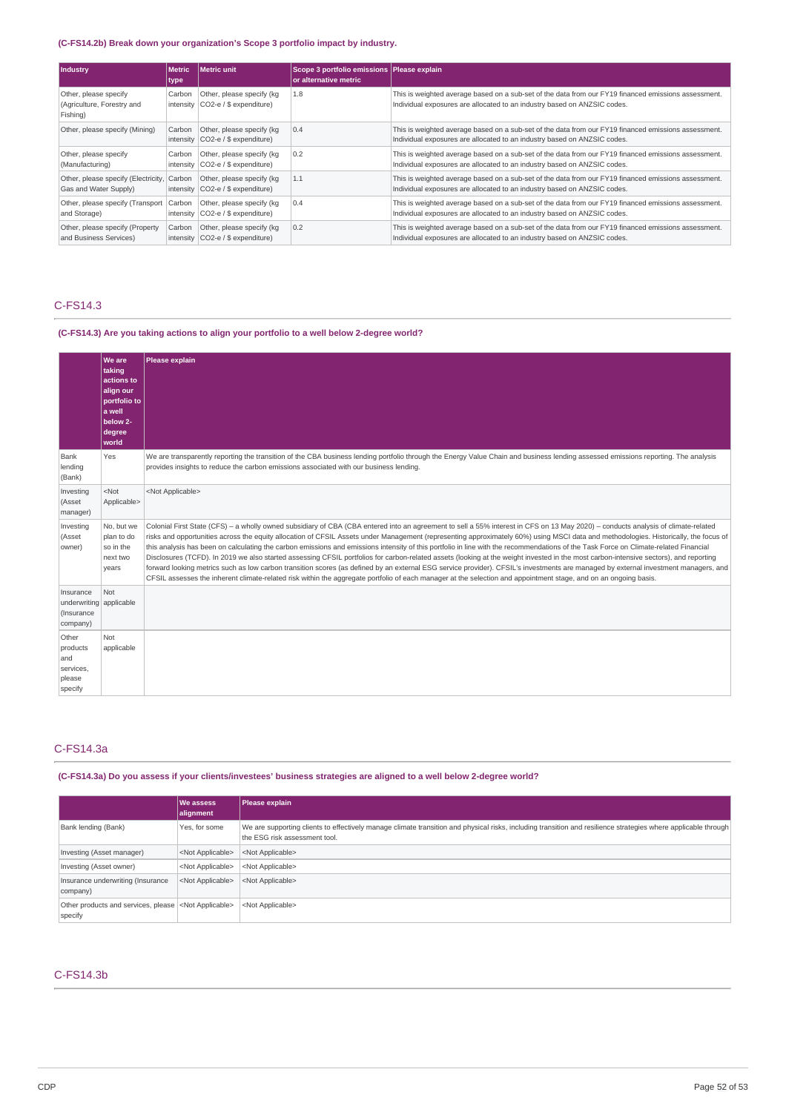## **(C-FS14.2b) Break down your organization's Scope 3 portfolio impact by industry.**

| Industry                                                        | <b>Metric</b><br>type | Metric unit                                                      | Scope 3 portfolio emissions Please explain<br>or alternative metric |                                                                                                                                                                                  |
|-----------------------------------------------------------------|-----------------------|------------------------------------------------------------------|---------------------------------------------------------------------|----------------------------------------------------------------------------------------------------------------------------------------------------------------------------------|
| Other, please specify<br>(Agriculture, Forestry and<br>Fishing) | Carbon                | Other, please specify (kg)<br>intensity $CO2-e/$ \$ expenditure) | 1.8                                                                 | This is weighted average based on a sub-set of the data from our FY19 financed emissions assessment.<br>Individual exposures are allocated to an industry based on ANZSIC codes. |
| Other, please specify (Mining)                                  | Carbon                | Other, please specify (kg)<br>intensity $CO2-e/$ \$ expenditure) | 0.4                                                                 | This is weighted average based on a sub-set of the data from our FY19 financed emissions assessment.<br>Individual exposures are allocated to an industry based on ANZSIC codes. |
| Other, please specify<br>(Manufacturing)                        | Carbon                | Other, please specify (kg)<br>intensity $CO2-e/$ \$ expenditure) | 0.2                                                                 | This is weighted average based on a sub-set of the data from our FY19 financed emissions assessment.<br>Individual exposures are allocated to an industry based on ANZSIC codes. |
| Other, please specify (Electricity,<br>Gas and Water Supply)    | Carbon                | Other, please specify (kg<br>intensity $CO2-e/$ \$ expenditure)  | 1.1                                                                 | This is weighted average based on a sub-set of the data from our FY19 financed emissions assessment.<br>Individual exposures are allocated to an industry based on ANZSIC codes. |
| Other, please specify (Transport<br>and Storage)                | Carbon                | Other, please specify (kg<br>intensity $CO2-e/$ \$ expenditure)  | 0.4                                                                 | This is weighted average based on a sub-set of the data from our FY19 financed emissions assessment.<br>Individual exposures are allocated to an industry based on ANZSIC codes. |
| Other, please specify (Property<br>and Business Services)       | Carbon                | Other, please specify (kg)<br>intensity CO2-e / \$ expenditure)  | 0.2                                                                 | This is weighted average based on a sub-set of the data from our FY19 financed emissions assessment.<br>Individual exposures are allocated to an industry based on ANZSIC codes. |

# C-FS14.3

## **(C-FS14.3) Are you taking actions to align your portfolio to a well below 2-degree world?**

|                                                                | <b>We are</b><br>taking<br>actions to<br>align our<br>portfolio to<br>a well<br>below 2-<br>degree<br>world | Please explain                                                                                                                                                                                                                                                                                                                                                                                                                                                                                                                                                                                                                                                                                                                                                                                                                                                                                                                                                                                                                                                                                                        |
|----------------------------------------------------------------|-------------------------------------------------------------------------------------------------------------|-----------------------------------------------------------------------------------------------------------------------------------------------------------------------------------------------------------------------------------------------------------------------------------------------------------------------------------------------------------------------------------------------------------------------------------------------------------------------------------------------------------------------------------------------------------------------------------------------------------------------------------------------------------------------------------------------------------------------------------------------------------------------------------------------------------------------------------------------------------------------------------------------------------------------------------------------------------------------------------------------------------------------------------------------------------------------------------------------------------------------|
| Bank<br>lending<br>(Bank)                                      | Yes                                                                                                         | We are transparently reporting the transition of the CBA business lending portfolio through the Energy Value Chain and business lending assessed emissions reporting. The analysis<br>provides insights to reduce the carbon emissions associated with our business lending.                                                                                                                                                                                                                                                                                                                                                                                                                                                                                                                                                                                                                                                                                                                                                                                                                                          |
| Investing<br>(Asset<br>manager)                                | $<$ Not<br>Applicable>                                                                                      | <not applicable=""></not>                                                                                                                                                                                                                                                                                                                                                                                                                                                                                                                                                                                                                                                                                                                                                                                                                                                                                                                                                                                                                                                                                             |
| Investing<br>(Asset<br>owner)                                  | No, but we<br>plan to do<br>so in the<br>next two<br>years                                                  | Colonial First State (CFS) - a wholly owned subsidiary of CBA (CBA entered into an agreement to sell a 55% interest in CFS on 13 May 2020) - conducts analysis of climate-related<br>risks and opportunities across the equity allocation of CFSIL Assets under Management (representing approximately 60%) using MSCI data and methodologies. Historically, the focus of<br>this analysis has been on calculating the carbon emissions and emissions intensity of this portfolio in line with the recommendations of the Task Force on Climate-related Financial<br>Disclosures (TCFD). In 2019 we also started assessing CFSIL portfolios for carbon-related assets (looking at the weight invested in the most carbon-intensive sectors), and reporting<br>forward looking metrics such as low carbon transition scores (as defined by an external ESG service provider). CFSIL's investments are managed by external investment managers, and<br>CFSIL assesses the inherent climate-related risk within the aggregate portfolio of each manager at the selection and appointment stage, and on an ongoing basis. |
| Insurance<br>underwriting applicable<br>(Insurance<br>company) | Not                                                                                                         |                                                                                                                                                                                                                                                                                                                                                                                                                                                                                                                                                                                                                                                                                                                                                                                                                                                                                                                                                                                                                                                                                                                       |
| Other<br>products<br>and<br>services,<br>please<br>specify     | Not<br>applicable                                                                                           |                                                                                                                                                                                                                                                                                                                                                                                                                                                                                                                                                                                                                                                                                                                                                                                                                                                                                                                                                                                                                                                                                                                       |

# C-FS14.3a

# (C-FS14.3a) Do you assess if your clients/investees' business strategies are aligned to a well below 2-degree world?

|                                                                           | <b>We assess</b><br>alignment | Please explain                                                                                                                                                                                  |
|---------------------------------------------------------------------------|-------------------------------|-------------------------------------------------------------------------------------------------------------------------------------------------------------------------------------------------|
| Bank lending (Bank)                                                       | Yes, for some                 | We are supporting clients to effectively manage climate transition and physical risks, including transition and resilience strategies where applicable through<br>the ESG risk assessment tool. |
| Investing (Asset manager)                                                 | <not applicable=""></not>     | <not applicable=""></not>                                                                                                                                                                       |
| Investing (Asset owner)                                                   | <not applicable=""></not>     | <not applicable=""></not>                                                                                                                                                                       |
| Insurance underwriting (Insurance<br>company)                             | <not applicable=""></not>     | <not applicable=""></not>                                                                                                                                                                       |
| Other products and services, please <not applicable=""><br/>specify</not> |                               | <not applicable=""></not>                                                                                                                                                                       |

# C-FS14.3b